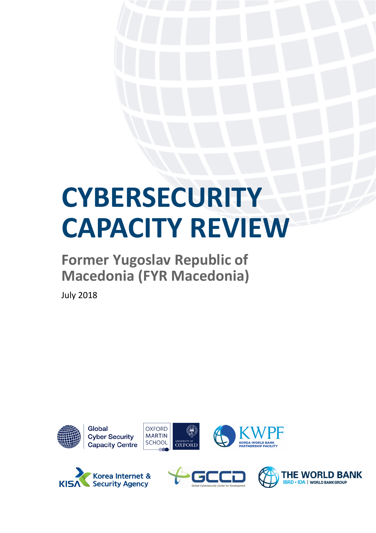# **CYBERSECURITY CAPACITY REVIEW**

## **Former Yugoslav Republic of Macedonia (FYR Macedonia)**

July 2018







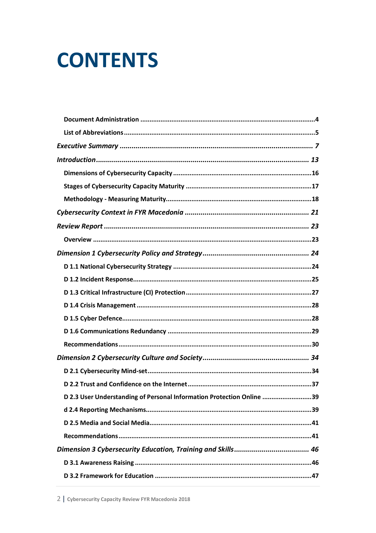## **CONTENTS**

| D 2.3 User Understanding of Personal Information Protection Online 39 |
|-----------------------------------------------------------------------|
|                                                                       |
|                                                                       |
|                                                                       |
|                                                                       |
|                                                                       |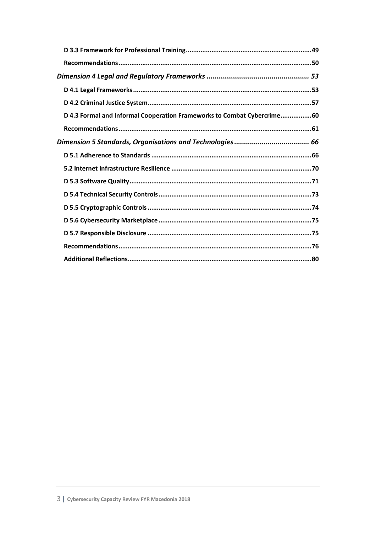| D 4.3 Formal and Informal Cooperation Frameworks to Combat Cybercrime60 |  |
|-------------------------------------------------------------------------|--|
|                                                                         |  |
|                                                                         |  |
|                                                                         |  |
|                                                                         |  |
|                                                                         |  |
|                                                                         |  |
|                                                                         |  |
|                                                                         |  |
|                                                                         |  |
|                                                                         |  |
|                                                                         |  |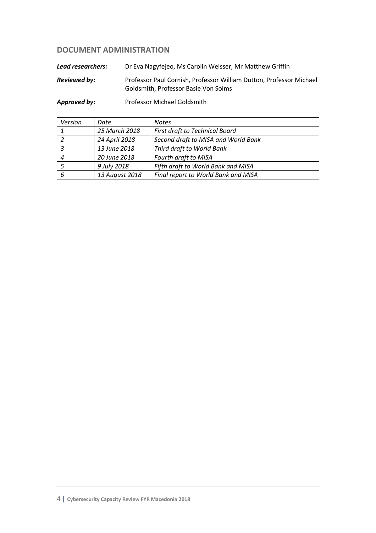## **DOCUMENT ADMINISTRATION**

*Lead researchers:* Dr Eva Nagyfejeo, Ms Carolin Weisser, Mr Matthew Griffin

*Reviewed by:* Professor Paul Cornish, Professor William Dutton, Professor Michael Goldsmith, Professor Basie Von Solms

*Approved by:* Professor Michael Goldsmith

| Version | Date           | <b>Notes</b>                        |
|---------|----------------|-------------------------------------|
|         | 25 March 2018  | First draft to Technical Board      |
|         | 24 April 2018  | Second draft to MISA and World Bank |
|         | 13 June 2018   | Third draft to World Bank           |
|         | 20 June 2018   | Fourth draft to MISA                |
|         | 9 July 2018    | Fifth draft to World Bank and MISA  |
| 6       | 13 August 2018 | Final report to World Bank and MISA |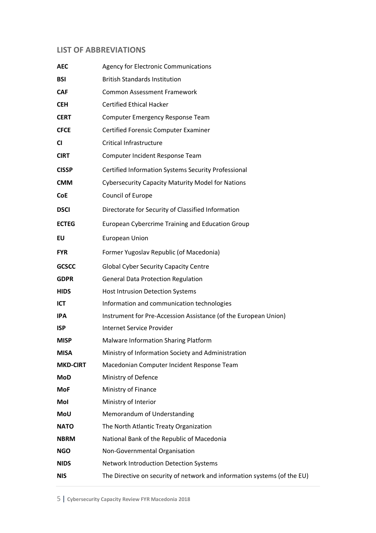## **LIST OF ABBREVIATIONS**

| <b>AEC</b>      | <b>Agency for Electronic Communications</b>                              |  |
|-----------------|--------------------------------------------------------------------------|--|
| <b>BSI</b>      | <b>British Standards Institution</b>                                     |  |
| <b>CAF</b>      | <b>Common Assessment Framework</b>                                       |  |
| <b>CEH</b>      | <b>Certified Ethical Hacker</b>                                          |  |
| <b>CERT</b>     | Computer Emergency Response Team                                         |  |
| <b>CFCE</b>     | <b>Certified Forensic Computer Examiner</b>                              |  |
| CI              | <b>Critical Infrastructure</b>                                           |  |
| <b>CIRT</b>     | Computer Incident Response Team                                          |  |
| <b>CISSP</b>    | Certified Information Systems Security Professional                      |  |
| <b>CMM</b>      | <b>Cybersecurity Capacity Maturity Model for Nations</b>                 |  |
| <b>CoE</b>      | Council of Europe                                                        |  |
| <b>DSCI</b>     | Directorate for Security of Classified Information                       |  |
| <b>ECTEG</b>    | <b>European Cybercrime Training and Education Group</b>                  |  |
| EU              | <b>European Union</b>                                                    |  |
| <b>FYR</b>      | Former Yugoslav Republic (of Macedonia)                                  |  |
| <b>GCSCC</b>    | <b>Global Cyber Security Capacity Centre</b>                             |  |
| <b>GDPR</b>     | <b>General Data Protection Regulation</b>                                |  |
| <b>HIDS</b>     | <b>Host Intrusion Detection Systems</b>                                  |  |
| ICT             | Information and communication technologies                               |  |
| <b>IPA</b>      | Instrument for Pre-Accession Assistance (of the European Union)          |  |
| <b>ISP</b>      | Internet Service Provider                                                |  |
| <b>MISP</b>     | Malware Information Sharing Platform                                     |  |
| <b>MISA</b>     | Ministry of Information Society and Administration                       |  |
| <b>MKD-CIRT</b> | Macedonian Computer Incident Response Team                               |  |
| <b>MoD</b>      | Ministry of Defence                                                      |  |
| MoF             | Ministry of Finance                                                      |  |
| Mol             | Ministry of Interior                                                     |  |
| MoU             | Memorandum of Understanding                                              |  |
| <b>NATO</b>     | The North Atlantic Treaty Organization                                   |  |
| <b>NBRM</b>     | National Bank of the Republic of Macedonia                               |  |
| <b>NGO</b>      | Non-Governmental Organisation                                            |  |
| <b>NIDS</b>     | Network Introduction Detection Systems                                   |  |
| <b>NIS</b>      | The Directive on security of network and information systems (of the EU) |  |
|                 |                                                                          |  |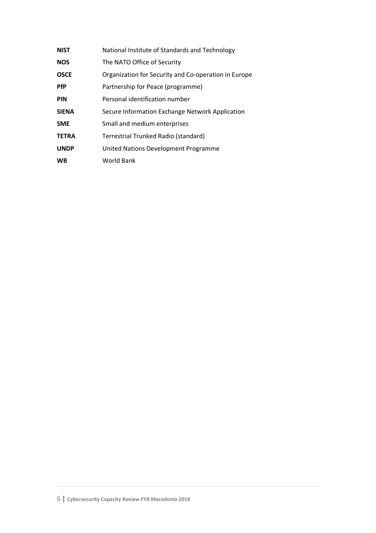| <b>NIST</b>  | National Institute of Standards and Technology       |
|--------------|------------------------------------------------------|
| <b>NOS</b>   | The NATO Office of Security                          |
| <b>OSCE</b>  | Organization for Security and Co-operation in Europe |
| <b>PfP</b>   | Partnership for Peace (programme)                    |
| <b>PIN</b>   | Personal identification number                       |
| <b>SIENA</b> | Secure Information Exchange Network Application      |
| <b>SME</b>   | Small and medium enterprises                         |
| <b>TETRA</b> | Terrestrial Trunked Radio (standard)                 |
| <b>UNDP</b>  | United Nations Development Programme                 |
| <b>WB</b>    | World Bank                                           |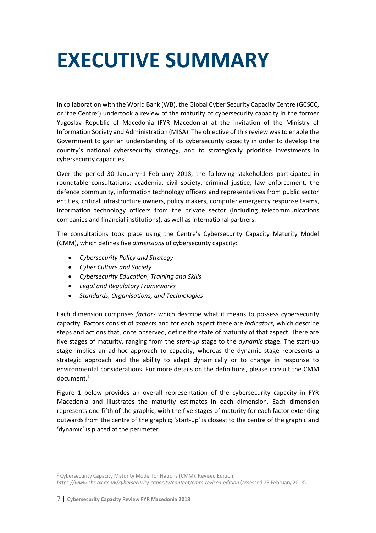## **EXECUTIVE SUMMARY**

In collaboration with the World Bank (WB), the Global Cyber Security Capacity Centre (GCSCC, or 'the Centre') undertook a review of the maturity of cybersecurity capacity in the former Yugoslav Republic of Macedonia (FYR Macedonia) at the invitation of the Ministry of Information Society and Administration (MISA). The objective of this review was to enable the Government to gain an understanding of its cybersecurity capacity in order to develop the country's national cybersecurity strategy, and to strategically prioritise investments in cybersecurity capacities.

Over the period 30 January–1 February 2018, the following stakeholders participated in roundtable consultations: academia, civil society, criminal justice, law enforcement, the defence community, information technology officers and representatives from public sector entities, critical infrastructure owners, policy makers, computer emergency response teams, information technology officers from the private sector (including telecommunications companies and financial institutions), as well as international partners.

The consultations took place using the Centre's Cybersecurity Capacity Maturity Model (CMM), which defines five *dimensions* of cybersecurity capacity:

- *Cybersecurity Policy and Strategy*
- *Cyber Culture and Society*
- *Cybersecurity Education, Training and Skills*
- *Legal and Regulatory Frameworks*
- *Standards, Organisations, and Technologies*

Each dimension comprises *factors* which describe what it means to possess cybersecurity capacity. Factors consist of *aspects* and for each aspect there are *indicators*, which describe steps and actions that, once observed, define the state of maturity of that aspect. There are five stages of maturity, ranging from the *start-up* stage to the *dynamic* stage. The start-up stage implies an ad-hoc approach to capacity, whereas the dynamic stage represents a strategic approach and the ability to adapt dynamically or to change in response to environmental considerations. For more details on the definitions, please consult the CMM  $document.<sup>1</sup>$ 

Figure 1 below provides an overall representation of the cybersecurity capacity in FYR Macedonia and illustrates the maturity estimates in each dimension. Each dimension represents one fifth of the graphic, with the five stages of maturity for each factor extending outwards from the centre of the graphic; 'start-up' is closest to the centre of the graphic and 'dynamic' is placed at the perimeter.

 $\overline{\phantom{a}}$ *<sup>1</sup>* Cybersecurity Capacity Maturity Model for Nations (CMM), Revised Edition, *https://www.sbs.ox.ac.uk/cybersecurity-capacity/content/cmm-revised-edition* (assessed 25 February 2018)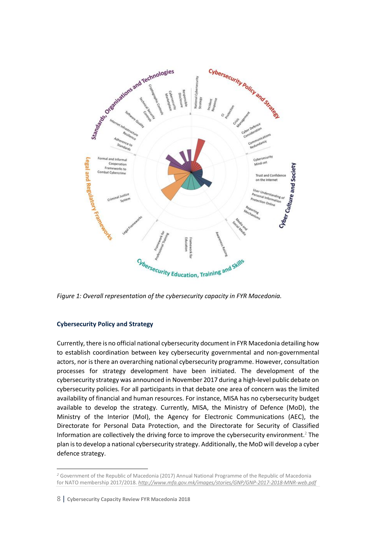

*Figure 1: Overall representation of the cybersecurity capacity in FYR Macedonia.*

### **Cybersecurity Policy and Strategy**

Currently, there is no official national cybersecurity document in FYR Macedonia detailing how to establish coordination between key cybersecurity governmental and non-governmental actors, nor is there an overarching national cybersecurity programme. However, consultation processes for strategy development have been initiated. The development of the cybersecurity strategy was announced in November 2017 during a high-level public debate on cybersecurity policies. For all participants in that debate one area of concern was the limited availability of financial and human resources. For instance, MISA has no cybersecurity budget available to develop the strategy. Currently, MISA, the Ministry of Defence (MoD), the Ministry of the Interior (MoI), the Agency for Electronic Communications (AEC), the Directorate for Personal Data Protection, and the Directorate for Security of Classified Information are collectively the driving force to improve the cybersecurity environment.<sup>2</sup> The plan is to develop a national cybersecurity strategy. Additionally, the MoD will develop a cyber defence strategy.

 $\overline{\phantom{a}}$ 

*<sup>2</sup>* Government of the Republic of Macedonia (2017) Annual National Programme of the Republic of Macedonia for NATO membership 2017/2018. *http://www.mfa.gov.mk/images/stories/GNP/GNP-2017-2018-MNR-web.pdf*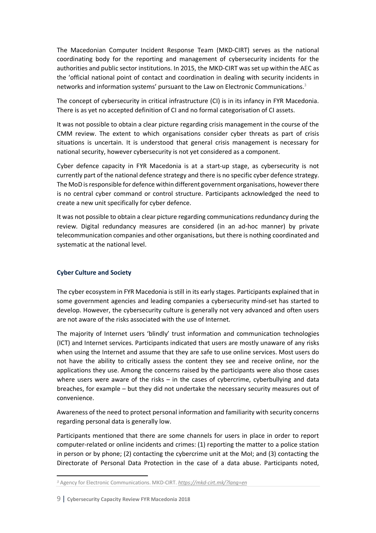The Macedonian Computer Incident Response Team (MKD-CIRT) serves as the national coordinating body for the reporting and management of cybersecurity incidents for the authorities and public sector institutions. In 2015, the MKD-CIRT was set up within the AEC as the 'official national point of contact and coordination in dealing with security incidents in networks and information systems' pursuant to the Law on Electronic Communications.3

The concept of cybersecurity in critical infrastructure (CI) is in its infancy in FYR Macedonia. There is as yet no accepted definition of CI and no formal categorisation of CI assets.

It was not possible to obtain a clear picture regarding crisis management in the course of the CMM review. The extent to which organisations consider cyber threats as part of crisis situations is uncertain. It is understood that general crisis management is necessary for national security, however cybersecurity is not yet considered as a component.

Cyber defence capacity in FYR Macedonia is at a start-up stage, as cybersecurity is not currently part of the national defence strategy and there is no specific cyber defence strategy. The MoD is responsible for defence within different government organisations, however there is no central cyber command or control structure. Participants acknowledged the need to create a new unit specifically for cyber defence.

It was not possible to obtain a clear picture regarding communications redundancy during the review. Digital redundancy measures are considered (in an ad-hoc manner) by private telecommunication companies and other organisations, but there is nothing coordinated and systematic at the national level.

#### **Cyber Culture and Society**

The cyber ecosystem in FYR Macedonia is still in its early stages. Participants explained that in some government agencies and leading companies a cybersecurity mind-set has started to develop. However, the cybersecurity culture is generally not very advanced and often users are not aware of the risks associated with the use of Internet.

The majority of Internet users 'blindly' trust information and communication technologies (ICT) and Internet services. Participants indicated that users are mostly unaware of any risks when using the Internet and assume that they are safe to use online services. Most users do not have the ability to critically assess the content they see and receive online, nor the applications they use. Among the concerns raised by the participants were also those cases where users were aware of the risks – in the cases of cybercrime, cyberbullying and data breaches, for example – but they did not undertake the necessary security measures out of convenience.

Awareness of the need to protect personal information and familiarity with security concerns regarding personal data is generally low.

Participants mentioned that there are some channels for users in place in order to report computer-related or online incidents and crimes: (1) reporting the matter to a police station in person or by phone; (2) contacting the cybercrime unit at the MoI; and (3) contacting the Directorate of Personal Data Protection in the case of a data abuse. Participants noted,

 $\overline{a}$ 

*<sup>3</sup>* Agency for Electronic Communications. MKD-CIRT. *https://mkd-cirt.mk/?lang=en*

<sup>9</sup> | **Cybersecurity Capacity Review FYR Macedonia 2018**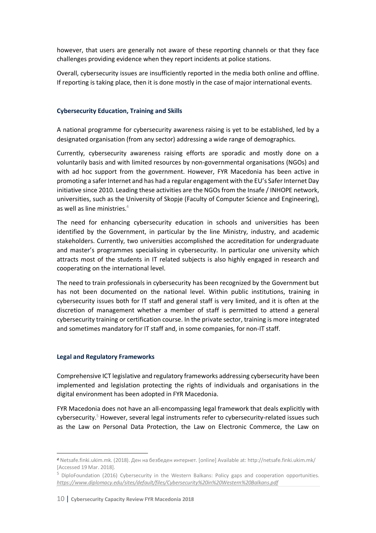however, that users are generally not aware of these reporting channels or that they face challenges providing evidence when they report incidents at police stations.

Overall, cybersecurity issues are insufficiently reported in the media both online and offline. If reporting is taking place, then it is done mostly in the case of major international events.

### **Cybersecurity Education, Training and Skills**

A national programme for cybersecurity awareness raising is yet to be established, led by a designated organisation (from any sector) addressing a wide range of demographics.

Currently, cybersecurity awareness raising efforts are sporadic and mostly done on a voluntarily basis and with limited resources by non-governmental organisations (NGOs) and with ad hoc support from the government. However, FYR Macedonia has been active in promoting a safer Internet and has had a regular engagement with the EU's Safer Internet Day initiative since 2010. Leading these activities are the NGOs from the Insafe / INHOPE network, universities, such as the University of Skopje (Faculty of Computer Science and Engineering), as well as line ministries. $4$ 

The need for enhancing cybersecurity education in schools and universities has been identified by the Government, in particular by the line Ministry, industry, and academic stakeholders. Currently, two universities accomplished the accreditation for undergraduate and master's programmes specialising in cybersecurity. In particular one university which attracts most of the students in IT related subjects is also highly engaged in research and cooperating on the international level.

The need to train professionals in cybersecurity has been recognized by the Government but has not been documented on the national level. Within public institutions, training in cybersecurity issues both for IT staff and general staff is very limited, and it is often at the discretion of management whether a member of staff is permitted to attend a general cybersecurity training or certification course. In the private sector, training is more integrated and sometimes mandatory for IT staff and, in some companies, for non-IT staff.

#### **Legal and Regulatory Frameworks**

l

Comprehensive ICT legislative and regulatory frameworks addressing cybersecurity have been implemented and legislation protecting the rights of individuals and organisations in the digital environment has been adopted in FYR Macedonia.

FYR Macedonia does not have an all-encompassing legal framework that deals explicitly with cybersecurity.<sup>5</sup> However, several legal instruments refer to cybersecurity-related issues such as the Law on Personal Data Protection, the Law on Electronic Commerce, the Law on

*<sup>4</sup>* Netsafe.finki.ukim.mk. (2018). Ден на безбеден интернет. [online] Available at: http://netsafe.finki.ukim.mk/ [Accessed 19 Mar. 2018].

<sup>&</sup>lt;sup>5</sup> DiploFoundation (2016) Cybersecurity in the Western Balkans: Policy gaps and cooperation opportunities. *https://www.diplomacy.edu/sites/default/files/Cybersecurity%20in%20Western%20Balkans.pdf*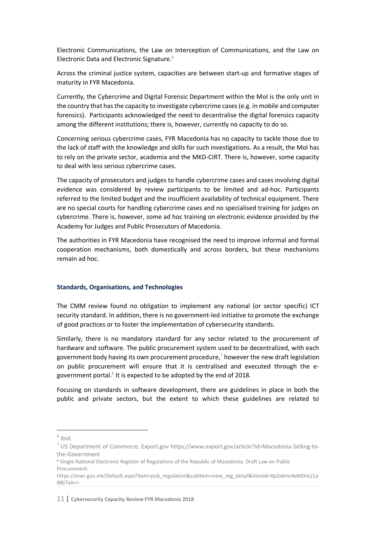Electronic Communications, the Law on Interception of Communications, and the Law on Electronic Data and Electronic Signature. $6$ 

Across the criminal justice system, capacities are between start-up and formative stages of maturity in FYR Macedonia.

Currently, the Cybercrime and Digital Forensic Department within the MoI is the only unit in the country that has the capacity to investigate cybercrime cases (e.g. in mobile and computer forensics). Participants acknowledged the need to decentralise the digital forensics capacity among the different institutions; there is, however, currently no capacity to do so.

Concerning serious cybercrime cases, FYR Macedonia has no capacity to tackle those due to the lack of staff with the knowledge and skills for such investigations. As a result, the MoI has to rely on the private sector, academia and the MKD-CIRT. There is, however, some capacity to deal with less serious cybercrime cases.

The capacity of prosecutors and judges to handle cybercrime cases and cases involving digital evidence was considered by review participants to be limited and ad-hoc. Participants referred to the limited budget and the insufficient availability of technical equipment. There are no special courts for handling cybercrime cases and no specialised training for judges on cybercrime. There is, however, some ad hoc training on electronic evidence provided by the Academy for Judges and Public Prosecutors of Macedonia.

The authorities in FYR Macedonia have recognised the need to improve informal and formal cooperation mechanisms, both domestically and across borders, but these mechanisms remain ad hoc.

#### **Standards, Organisations, and Technologies**

The CMM review found no obligation to implement any national (or sector specific) ICT security standard. In addition, there is no government-led initiative to promote the exchange of good practices or to foster the implementation of cybersecurity standards.

Similarly, there is no mandatory standard for any sector related to the procurement of hardware and software. The public procurement system used to be decentralized, with each government body having its own procurement procedure,<sup>7</sup> however the new draft legislation on public procurement will ensure that it is centralised and executed through the egovernment portal. $8$  It is expected to be adopted by the end of 2018.

Focusing on standards in software development, there are guidelines in place in both the public and private sectors, but the extent to which these guidelines are related to

 $6$  Ibid.

<sup>7</sup> US Department of Commerce, Export.gov https://www.export.gov/article?id=Macedonia-Selling-tothe-Government

<sup>8</sup> Single National Electronic Register of Regulations of the Republic of Macedonia. Draft Law on Public Procurement.

https://ener.gov.mk/Default.aspx?item=pub\_regulation&subitem=view\_reg\_detail&itemid=Xp2x6ms4eMDvLz1a B8J7aA==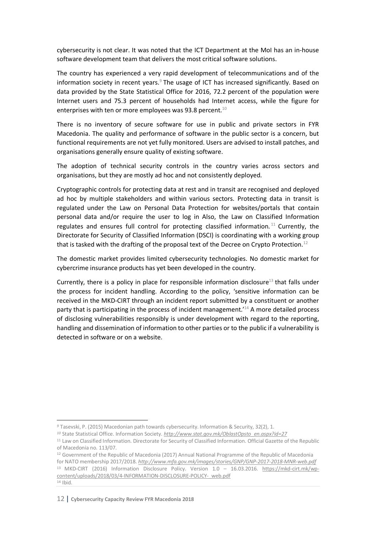cybersecurity is not clear. It was noted that the ICT Department at the MoI has an in-house software development team that delivers the most critical software solutions.

The country has experienced a very rapid development of telecommunications and of the information society in recent years. $9$  The usage of ICT has increased significantly. Based on data provided by the State Statistical Office for 2016, 72.2 percent of the population were Internet users and 75.3 percent of households had Internet access, while the figure for enterprises with ten or more employees was 93.8 percent.<sup>10</sup>

There is no inventory of secure software for use in public and private sectors in FYR Macedonia. The quality and performance of software in the public sector is a concern, but functional requirements are not yet fully monitored. Users are advised to install patches, and organisations generally ensure quality of existing software.

The adoption of technical security controls in the country varies across sectors and organisations, but they are mostly ad hoc and not consistently deployed.

Cryptographic controls for protecting data at rest and in transit are recognised and deployed ad hoc by multiple stakeholders and within various sectors. Protecting data in transit is regulated under the Law on Personal Data Protection for websites/portals that contain personal data and/or require the user to log in Also, the Law on Classified Information regulates and ensures full control for protecting classified information.<sup>11</sup> Currently, the Directorate for Security of Classified Information (DSCI) is coordinating with a working group that is tasked with the drafting of the proposal text of the Decree on Crypto Protection.<sup>12</sup>

The domestic market provides limited cybersecurity technologies. No domestic market for cybercrime insurance products has yet been developed in the country.

Currently, there is a policy in place for responsible information disclosure<sup>13</sup> that falls under the process for incident handling. According to the policy, 'sensitive information can be received in the MKD-CIRT through an incident report submitted by a constituent or another party that is participating in the process of incident management.<sup>'14</sup> A more detailed process of disclosing vulnerabilities responsibly is under development with regard to the reporting, handling and dissemination of information to other parties or to the public if a vulnerability is detected in software or on a website.

 $\overline{\phantom{a}}$ 

*<sup>9</sup>* Tasevski, P. (2015) Macedonian path towards cybersecurity. Information & Security, 32(2), 1.

*<sup>10</sup>* State Statistical Office. Information Society. *http://www.stat.gov.mk/OblastOpsto\_en.aspx?id=27*

<sup>11</sup> Law on Classified Information. Directorate for Security of Classified Information. Official Gazette of the Republic of Macedonia no. 113/07.

<sup>12</sup> Government of the Republic of Macedonia (2017) Annual National Programme of the Republic of Macedonia for NATO membership 2017/2018. *http://www.mfa.gov.mk/images/stories/GNP/GNP-2017-2018-MNR-web.pdf* <sup>13</sup> MKD-CIRT (2016) Information Disclosure Policy. Version 1.0 – 16.03.2016. https://mkd-cirt.mk/wpcontent/uploads/2018/03/4-INFORMATION-DISCLOSURE-POLICY-\_web.pdf <sup>14</sup> Ibid.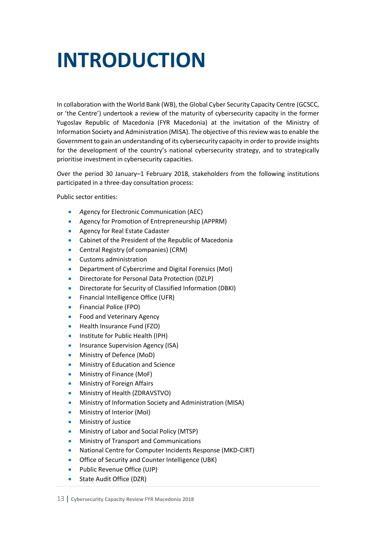## **INTRODUCTION**

In collaboration with the World Bank (WB), the Global Cyber Security Capacity Centre (GCSCC, or 'the Centre') undertook a review of the maturity of cybersecurity capacity in the former Yugoslav Republic of Macedonia (FYR Macedonia) at the invitation of the Ministry of Information Society and Administration (MISA). The objective of this review was to enable the Government to gain an understanding of its cybersecurity capacity in order to provide insights for the development of the country's national cybersecurity strategy, and to strategically prioritise investment in cybersecurity capacities.

Over the period 30 January–1 February 2018, stakeholders from the following institutions participated in a three-day consultation process:

Public sector entities:

- *A*gency for Electronic Communication (AEC)
- Agency for Promotion of Entrepreneurship (APPRM)
- Agency for Real Estate Cadaster
- Cabinet of the President of the Republic of Macedonia
- Central Registry (of companies) (CRM)
- Customs administration
- Department of Cybercrime and Digital Forensics (MoI)
- Directorate for Personal Data Protection (DZLP)
- Directorate for Security of Classified Information (DBKI)
- Financial Intelligence Office (UFR)
- Financial Police (FPO)
- Food and Veterinary Agency
- Health Insurance Fund (FZO)
- Institute for Public Health (IPH)
- Insurance Supervision Agency (ISA)
- Ministry of Defence (MoD)
- Ministry of Education and Science
- Ministry of Finance (MoF)
- Ministry of Foreign Affairs
- Ministry of Health (ZDRAVSTVO)
- Ministry of Information Society and Administration (MISA)
- Ministry of Interior (MoI)
- Ministry of Justice
- Ministry of Labor and Social Policy (MTSP)
- Ministry of Transport and Communications
- National Centre for Computer Incidents Response (MKD-CIRT)
- Office of Security and Counter Intelligence (UBK)
- Public Revenue Office (UJP)
- State Audit Office (DZR)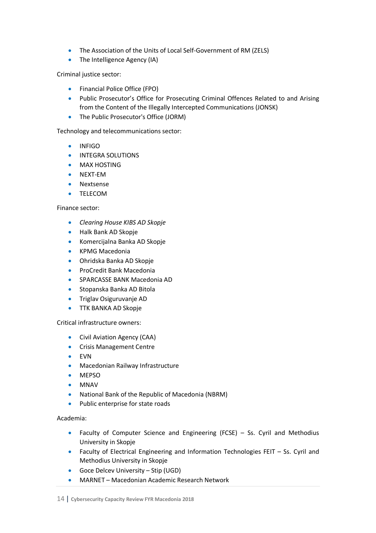- The Association of the Units of Local Self-Government of RM (ZELS)
- The Intelligence Agency (IA)

Criminal justice sector:

- Financial Police Office (FPO)
- Public Prosecutor's Office for Prosecuting Criminal Offences Related to and Arising from the Content of the Illegally Intercepted Communications (JONSK)
- The Public Prosecutor's Office (JORM)

Technology and telecommunications sector:

- INFIGO
- INTEGRA SOLUTIONS
- MAX HOSTING
- NEXT-EM
- Nextsense
- TELECOM

#### Finance sector:

- *Clearing House KIBS AD Skopje*
- Halk Bank AD Skopje
- Komercijalna Banka AD Skopje
- KPMG Macedonia
- Ohridska Banka AD Skopje
- ProCredit Bank Macedonia
- SPARCASSE BANK Macedonia AD
- Stopanska Banka AD Bitola
- Triglav Osiguruvanje AD
- **TTK BANKA AD Skopje**

#### Critical infrastructure owners:

- Civil Aviation Agency (CAA)
- Crisis Management Centre
- EVN
- Macedonian Railway Infrastructure
- MEPSO
- MNAV
- National Bank of the Republic of Macedonia (NBRM)
- Public enterprise for state roads

Academia:

- Faculty of Computer Science and Engineering (FCSE) Ss. Cyril and Methodius University in Skopje
- Faculty of Electrical Engineering and Information Technologies FEIT Ss. Cyril and Methodius University in Skopje
- Goce Delcev University Stip (UGD)
- MARNET Macedonian Academic Research Network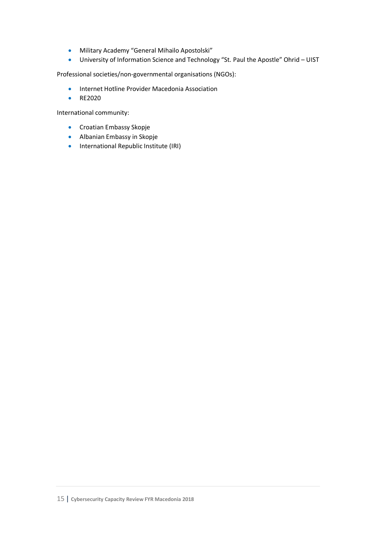- Military Academy "General Mihailo Apostolski"
- University of Information Science and Technology "St. Paul the Apostle" Ohrid UIST

Professional societies/non-governmental organisations (NGOs):

- Internet Hotline Provider Macedonia Association
- RE2020

International community:

- Croatian Embassy Skopje
- Albanian Embassy in Skopje
- International Republic Institute (IRI)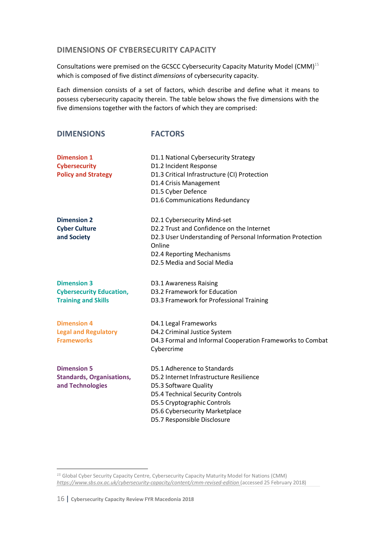## **DIMENSIONS OF CYBERSECURITY CAPACITY**

Consultations were premised on the GCSCC Cybersecurity Capacity Maturity Model (CMM)<sup>15</sup> which is composed of five distinct *dimensions* of cybersecurity capacity.

Each dimension consists of a set of factors, which describe and define what it means to possess cybersecurity capacity therein. The table below shows the five dimensions with the five dimensions together with the factors of which they are comprised:

| <b>DIMENSIONS</b>                                                                   | <b>FACTORS</b>                                                                                                                                                                                                                             |
|-------------------------------------------------------------------------------------|--------------------------------------------------------------------------------------------------------------------------------------------------------------------------------------------------------------------------------------------|
| <b>Dimension 1</b><br><b>Cybersecurity</b><br><b>Policy and Strategy</b>            | D1.1 National Cybersecurity Strategy<br>D1.2 Incident Response<br>D1.3 Critical Infrastructure (CI) Protection<br>D1.4 Crisis Management<br>D1.5 Cyber Defence<br>D1.6 Communications Redundancy                                           |
| <b>Dimension 2</b><br><b>Cyber Culture</b><br>and Society                           | D2.1 Cybersecurity Mind-set<br>D2.2 Trust and Confidence on the Internet<br>D2.3 User Understanding of Personal Information Protection<br>Online<br>D2.4 Reporting Mechanisms<br>D2.5 Media and Social Media                               |
| <b>Dimension 3</b><br><b>Cybersecurity Education,</b><br><b>Training and Skills</b> | D3.1 Awareness Raising<br>D3.2 Framework for Education<br>D3.3 Framework for Professional Training                                                                                                                                         |
| <b>Dimension 4</b><br><b>Legal and Regulatory</b><br><b>Frameworks</b>              | D4.1 Legal Frameworks<br>D4.2 Criminal Justice System<br>D4.3 Formal and Informal Cooperation Frameworks to Combat<br>Cybercrime                                                                                                           |
| <b>Dimension 5</b><br><b>Standards, Organisations,</b><br>and Technologies          | D5.1 Adherence to Standards<br>D5.2 Internet Infrastructure Resilience<br>D5.3 Software Quality<br><b>D5.4 Technical Security Controls</b><br>D5.5 Cryptographic Controls<br>D5.6 Cybersecurity Marketplace<br>D5.7 Responsible Disclosure |

 $\overline{\phantom{a}}$ *<sup>15</sup>* Global Cyber Security Capacity Centre, Cybersecurity Capacity Maturity Model for Nations (CMM) *https://www.sbs.ox.ac.uk/cybersecurity-capacity/content/cmm-revised-edition* (accessed 25 February 2018)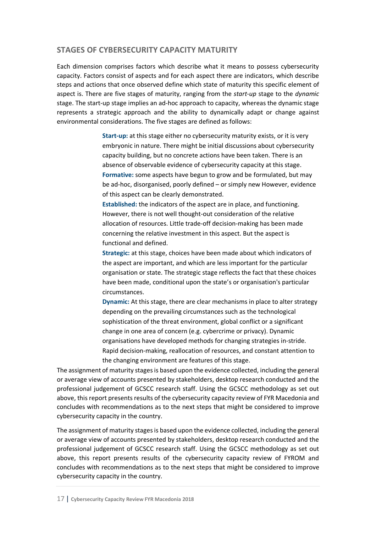## **STAGES OF CYBERSECURITY CAPACITY MATURITY**

Each dimension comprises factors which describe what it means to possess cybersecurity capacity. Factors consist of aspects and for each aspect there are indicators, which describe steps and actions that once observed define which state of maturity this specific element of aspect is. There are five stages of maturity, ranging from the *start-up* stage to the *dynamic* stage. The start-up stage implies an ad-hoc approach to capacity, whereas the dynamic stage represents a strategic approach and the ability to dynamically adapt or change against environmental considerations. The five stages are defined as follows:

> **Start-up:** at this stage either no cybersecurity maturity exists, or it is very embryonic in nature. There might be initial discussions about cybersecurity capacity building, but no concrete actions have been taken. There is an absence of observable evidence of cybersecurity capacity at this stage. **Formative:** some aspects have begun to grow and be formulated, but may be ad-hoc, disorganised, poorly defined – or simply new However, evidence of this aspect can be clearly demonstrated.

**Established:** the indicators of the aspect are in place, and functioning. However, there is not well thought-out consideration of the relative allocation of resources. Little trade-off decision-making has been made concerning the relative investment in this aspect. But the aspect is functional and defined.

**Strategic:** at this stage, choices have been made about which indicators of the aspect are important, and which are less important for the particular organisation or state. The strategic stage reflects the fact that these choices have been made, conditional upon the state's or organisation's particular circumstances.

**Dynamic:** At this stage, there are clear mechanisms in place to alter strategy depending on the prevailing circumstances such as the technological sophistication of the threat environment, global conflict or a significant change in one area of concern (e.g. cybercrime or privacy). Dynamic organisations have developed methods for changing strategies in-stride. Rapid decision-making, reallocation of resources, and constant attention to the changing environment are features of this stage.

The assignment of maturity stages is based upon the evidence collected, including the general or average view of accounts presented by stakeholders, desktop research conducted and the professional judgement of GCSCC research staff. Using the GCSCC methodology as set out above, this report presents results of the cybersecurity capacity review of FYR Macedonia and concludes with recommendations as to the next steps that might be considered to improve cybersecurity capacity in the country.

The assignment of maturity stages is based upon the evidence collected, including the general or average view of accounts presented by stakeholders, desktop research conducted and the professional judgement of GCSCC research staff. Using the GCSCC methodology as set out above, this report presents results of the cybersecurity capacity review of FYROM and concludes with recommendations as to the next steps that might be considered to improve cybersecurity capacity in the country.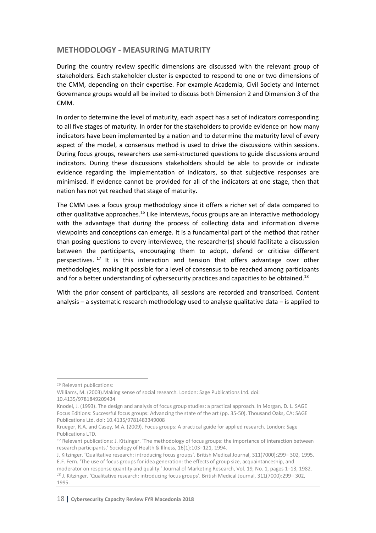## **METHODOLOGY - MEASURING MATURITY**

During the country review specific dimensions are discussed with the relevant group of stakeholders. Each stakeholder cluster is expected to respond to one or two dimensions of the CMM, depending on their expertise. For example Academia, Civil Society and Internet Governance groups would all be invited to discuss both Dimension 2 and Dimension 3 of the CMM.

In order to determine the level of maturity, each aspect has a set of indicators corresponding to all five stages of maturity. In order for the stakeholders to provide evidence on how many indicators have been implemented by a nation and to determine the maturity level of every aspect of the model, a consensus method is used to drive the discussions within sessions. During focus groups, researchers use semi-structured questions to guide discussions around indicators. During these discussions stakeholders should be able to provide or indicate evidence regarding the implementation of indicators, so that subjective responses are minimised. If evidence cannot be provided for all of the indicators at one stage, then that nation has not yet reached that stage of maturity.

The CMM uses a focus group methodology since it offers a richer set of data compared to other qualitative approaches.<sup>16</sup> Like interviews, focus groups are an interactive methodology with the advantage that during the process of collecting data and information diverse viewpoints and conceptions can emerge. It is a fundamental part of the method that rather than posing questions to every interviewee, the researcher(s) should facilitate a discussion between the participants, encouraging them to adopt, defend or criticise different perspectives.<sup>17</sup> It is this interaction and tension that offers advantage over other methodologies, making it possible for a level of consensus to be reached among participants and for a better understanding of cybersecurity practices and capacities to be obtained.<sup>18</sup>

With the prior consent of participants, all sessions are recorded and transcribed. Content analysis – a systematic research methodology used to analyse qualitative data – is applied to

 $\overline{\phantom{a}}$ 

*<sup>16</sup>* Relevant publications:

Williams, M. (2003).Making sense of social research. London: Sage Publications Ltd. doi: 10.4135/9781849209434

Knodel, J. (1993). The design and analysis of focus group studies: a practical approach. In Morgan, D. L. SAGE Focus Editions: Successful focus groups: Advancing the state of the art (pp. 35-50). Thousand Oaks, CA: SAGE Publications Ltd. doi: 10.4135/9781483349008

Krueger, R.A. and Casey, M.A. (2009). Focus groups: A practical guide for applied research. London: Sage Publications LTD.

*<sup>17</sup>* Relevant publications: J. Kitzinger. 'The methodology of focus groups: the importance of interaction between research participants.' Sociology of Health & Illness, 16(1):103–121, 1994.

J. Kitzinger. 'Qualitative research: introducing focus groups'. British Medical Journal, 311(7000):299– 302, 1995. E.F. Fern. 'The use of focus groups for idea generation: the effects of group size, acquaintanceship, and

moderator on response quantity and quality.' Journal of Marketing Research, Vol. 19, No. 1, pages 1–13, 1982. *<sup>18</sup>* J. Kitzinger. 'Qualitative research: introducing focus groups'. British Medical Journal, 311(7000):299– 302, 1995.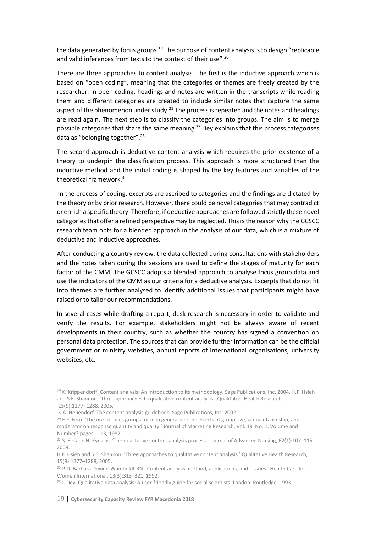the data generated by focus groups.<sup>19</sup> The purpose of content analysis is to design "replicable and valid inferences from texts to the context of their use".<sup>20</sup>

There are three approaches to content analysis. The first is the inductive approach which is based on "open coding", meaning that the categories or themes are freely created by the researcher. In open coding, headings and notes are written in the transcripts while reading them and different categories are created to include similar notes that capture the same aspect of the phenomenon under study.<sup>21</sup> The process is repeated and the notes and headings are read again. The next step is to classify the categories into groups. The aim is to merge possible categories that share the same meaning.22 Dey explains that this process categorises data as "belonging together".<sup>23</sup>

The second approach is deductive content analysis which requires the prior existence of a theory to underpin the classification process. This approach is more structured than the inductive method and the initial coding is shaped by the key features and variables of the theoretical framework.4

In the process of coding, excerpts are ascribed to categories and the findings are dictated by the theory or by prior research. However, there could be novel categories that may contradict or enrich a specific theory. Therefore, if deductive approaches are followed strictly these novel categories that offer a refined perspective may be neglected. This is the reason why the GCSCC research team opts for a blended approach in the analysis of our data, which is a mixture of deductive and inductive approaches.

After conducting a country review, the data collected during consultations with stakeholders and the notes taken during the sessions are used to define the stages of maturity for each factor of the CMM. The GCSCC adopts a blended approach to analyse focus group data and use the indicators of the CMM as our criteria for a deductive analysis. Excerpts that do not fit into themes are further analysed to identify additional issues that participants might have raised or to tailor our recommendations.

In several cases while drafting a report, desk research is necessary in order to validate and verify the results. For example, stakeholders might not be always aware of recent developments in their country, such as whether the country has signed a convention on personal data protection. The sources that can provide further information can be the official government or ministry websites, annual reports of international organisations, university websites, etc.

l

*<sup>19</sup>* K. Krippendorff. Content analysis: An introduction to its methodology. Sage Publications, Inc, 2004. H.F. Hsieh and S.E. Shannon. 'Three approaches to qualitative content analysis.' Qualitative Health Research, 15(9):1277–1288, 2005.

K.A. Neuendorf. The content analysis guidebook. Sage Publications, Inc, 2002.

*<sup>20</sup>* E.F. Fern. 'The use of focus groups for idea generation: the effects of group size, acquaintanceship, and moderator on response quantity and quality.' Journal of Marketing Research, Vol. 19, No. 1, Volume and Number? pages 1–13, 1982.

<sup>&</sup>lt;sup>21</sup> S. Elo and H. Kyng as. 'The qualitative content analysis process.' Journal of Advanced Nursing, 62(1):107–115, 2008.

H.F. Hsieh and S.E. Shannon. 'Three approaches to qualitative content analysis.' Qualitative Health Research, 15(9):1277–1288, 2005.

*<sup>22</sup>* P.D. Barbara Downe-Wamboldt RN. 'Content analysis: method, applications, and issues.' Health Care for Women International, 13(3):313–321, 1992.

*<sup>23</sup>* I. Dey. Qualitative data analysis: A user-friendly guide for social scientists. London: Routledge, 1993.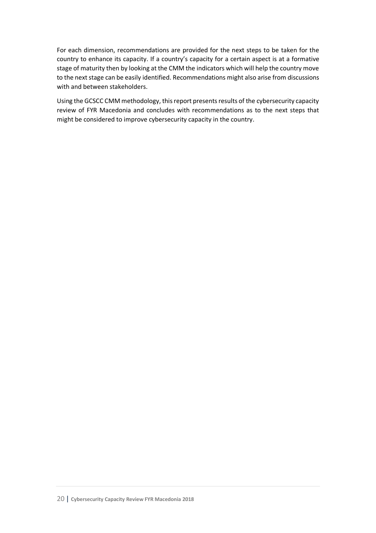For each dimension, recommendations are provided for the next steps to be taken for the country to enhance its capacity. If a country's capacity for a certain aspect is at a formative stage of maturity then by looking at the CMM the indicators which will help the country move to the next stage can be easily identified. Recommendations might also arise from discussions with and between stakeholders.

Using the GCSCC CMM methodology, this report presents results of the cybersecurity capacity review of FYR Macedonia and concludes with recommendations as to the next steps that might be considered to improve cybersecurity capacity in the country.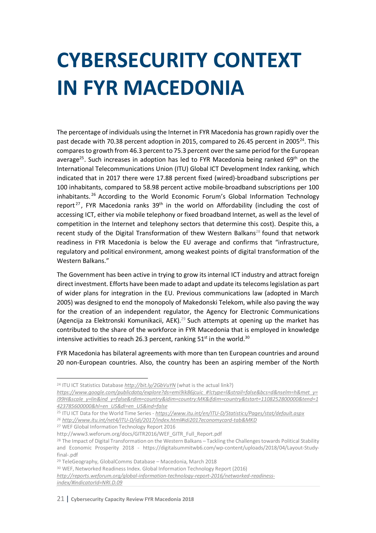## **CYBERSECURITY CONTEXT IN FYR MACEDONIA**

The percentage of individuals using the Internet in FYR Macedonia has grown rapidly over the past decade with 70.38 percent adoption in 2015, compared to 26.45 percent in 2005<sup>24</sup>. This compares to growth from 46.3 percent to 75.3 percent over the same period for the European average<sup>25</sup>. Such increases in adoption has led to FYR Macedonia being ranked 69<sup>th</sup> on the International Telecommunications Union (ITU) Global ICT Development Index ranking, which indicated that in 2017 there were 17.88 percent fixed (wired)-broadband subscriptions per 100 inhabitants, compared to 58.98 percent active mobile-broadband subscriptions per 100 inhabitants. <sup>26</sup> According to the World Economic Forum's Global Information Technology report<sup>27</sup>, FYR Macedonia ranks  $39<sup>th</sup>$  in the world on Affordability (including the cost of accessing ICT, either via mobile telephony or fixed broadband Internet, as well as the level of competition in the Internet and telephony sectors that determine this cost). Despite this, a recent study of the Digital Transformation of thew Western Balkans<sup>28</sup> found that network readiness in FYR Macedonia is below the EU average and confirms that "infrastructure, regulatory and political environment, among weakest points of digital transformation of the Western Balkans."

The Government has been active in trying to grow its internal ICT industry and attract foreign direct investment. Efforts have been made to adapt and update its telecoms legislation as part of wider plans for integration in the EU. Previous communications law (adopted in March 2005) was designed to end the monopoly of Makedonski Telekom, while also paving the way for the creation of an independent regulator, the Agency for Electronic Communications (Agencija za Elektronski Komunikacii, AEK).<sup>29</sup> Such attempts at opening up the market has contributed to the share of the workforce in FYR Macedonia that is employed in knowledge intensive activities to reach 26.3 percent, ranking  $51<sup>st</sup>$  in the world.<sup>30</sup>

FYR Macedonia has bilateral agreements with more than ten European countries and around 20 non-European countries. Also, the country has been an aspiring member of the North

<sup>&</sup>lt;sup>24</sup> ITU ICT Statistics Database *http://bit.ly/2GbVuYN* (what is the actual link?)

*https://www.google.com/publicdata/explore?ds=emi9ik86jcuic\_#!ctype=l&strail=false&bcs=d&nselm=h&met\_y= i99H&scale\_y=lin&ind\_y=false&rdim=country&idim=country:MK&ifdim=country&tstart=1108252800000&tend=1 423785600000&hl=en\_US&dl=en\_US&ind=false*

<sup>25</sup> ITU ICT Data for the World Time Series - *https://www.itu.int/en/ITU-D/Statistics/Pages/stat/default.aspx*

*<sup>26</sup> http://www.itu.int/net4/ITU-D/idi/2017/index.html#idi2017economycard-tab&MKD*

<sup>27</sup> WEF Global Information Technology Report 2016

http://www3.weforum.org/docs/GITR2016/WEF\_GITR\_Full\_Report.pdf

<sup>&</sup>lt;sup>28</sup> The Impact of Digital Transformation on the Western Balkans – Tackling the Challenges towards Political Stability and Economic Prosperity 2018 - https://digitalsummitwb6.com/wp-content/uploads/2018/04/Layout-Studyfinal-.pdf

<sup>29</sup> TeleGeography, GlobalComms Database – Macedonia, March 2018

<sup>30</sup> WEF, Networked Readiness Index. Global Information Technology Report (2016)

*http://reports.weforum.org/global-information-technology-report-2016/networked-readinessindex/#indicatorId=NRI.D.09*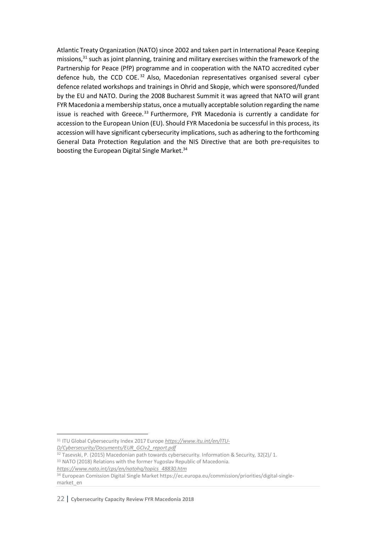Atlantic Treaty Organization (NATO) since 2002 and taken part in International Peace Keeping missions,<sup>31</sup> such as joint planning, training and military exercises within the framework of the Partnership for Peace (PfP) programme and in cooperation with the NATO accredited cyber defence hub, the CCD COE. <sup>32</sup> Also, Macedonian representatives organised several cyber defence related workshops and trainings in Ohrid and Skopje, which were sponsored/funded by the EU and NATO. During the 2008 Bucharest Summit it was agreed that NATO will grant FYR Macedonia a membership status, once a mutually acceptable solution regarding the name issue is reached with Greece. $33$  Furthermore, FYR Macedonia is currently a candidate for accession to the European Union (EU). Should FYR Macedonia be successful in this process, its accession will have significant cybersecurity implications, such as adhering to the forthcoming General Data Protection Regulation and the NIS Directive that are both pre-requisites to boosting the European Digital Single Market.<sup>34</sup>

 <sup>31</sup> ITU Global Cybersecurity Index 2017 Europe *https://www.itu.int/en/ITU-D/Cybersecurity/Documents/EUR\_GCIv2\_report.pdf*

<sup>&</sup>lt;sup>32</sup> Tasevski, P. (2015) Macedonian path towards cybersecurity. Information & Security, 32(2)/1.

<sup>33</sup> NATO (2018) Relations with the former Yugoslav Republic of Macedonia.

*https://www.nato.int/cps/en/natohq/topics\_48830.htm*

<sup>34</sup> European Comission Digital Single Market https://ec.europa.eu/commission/priorities/digital-singlemarket\_en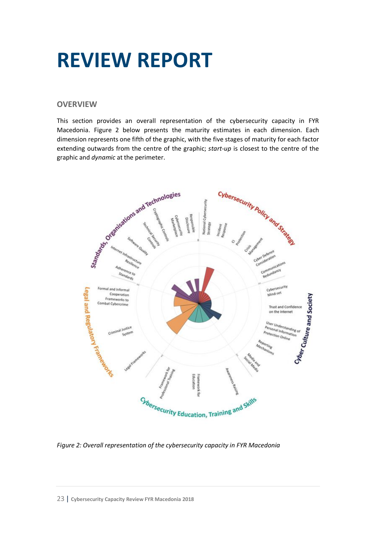## **REVIEW REPORT**

## **OVERVIEW**

This section provides an overall representation of the cybersecurity capacity in FYR Macedonia. Figure 2 below presents the maturity estimates in each dimension. Each dimension represents one fifth of the graphic, with the five stages of maturity for each factor extending outwards from the centre of the graphic; *start-up* is closest to the centre of the graphic and *dynamic* at the perimeter.



*Figure 2: Overall representation of the cybersecurity capacity in FYR Macedonia*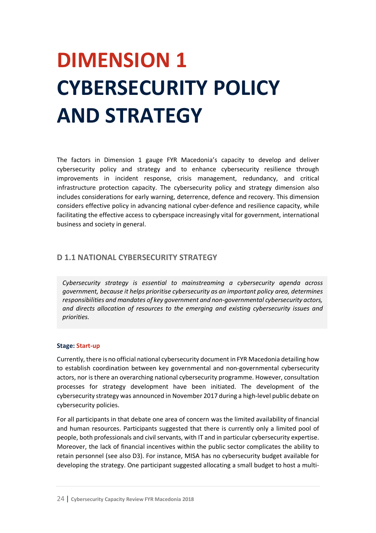## **DIMENSION 1 CYBERSECURITY POLICY AND STRATEGY**

The factors in Dimension 1 gauge FYR Macedonia's capacity to develop and deliver cybersecurity policy and strategy and to enhance cybersecurity resilience through improvements in incident response, crisis management, redundancy, and critical infrastructure protection capacity. The cybersecurity policy and strategy dimension also includes considerations for early warning, deterrence, defence and recovery. This dimension considers effective policy in advancing national cyber-defence and resilience capacity, while facilitating the effective access to cyberspace increasingly vital for government, international business and society in general.

## **D 1.1 NATIONAL CYBERSECURITY STRATEGY**

*Cybersecurity strategy is essential to mainstreaming a cybersecurity agenda across government, because it helps prioritise cybersecurity as an important policy area, determines responsibilities and mandates of key government and non-governmental cybersecurity actors, and directs allocation of resources to the emerging and existing cybersecurity issues and priorities.*

#### **Stage: Start-up**

Currently, there is no official national cybersecurity document in FYR Macedonia detailing how to establish coordination between key governmental and non-governmental cybersecurity actors, nor is there an overarching national cybersecurity programme. However, consultation processes for strategy development have been initiated. The development of the cybersecurity strategy was announced in November 2017 during a high-level public debate on cybersecurity policies.

For all participants in that debate one area of concern was the limited availability of financial and human resources. Participants suggested that there is currently only a limited pool of people, both professionals and civil servants, with IT and in particular cybersecurity expertise. Moreover, the lack of financial incentives within the public sector complicates the ability to retain personnel (see also D3). For instance, MISA has no cybersecurity budget available for developing the strategy. One participant suggested allocating a small budget to host a multi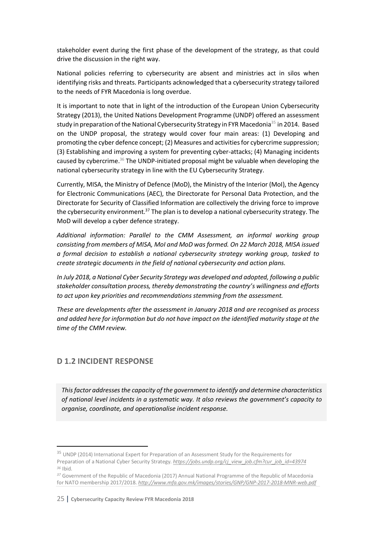stakeholder event during the first phase of the development of the strategy, as that could drive the discussion in the right way.

National policies referring to cybersecurity are absent and ministries act in silos when identifying risks and threats. Participants acknowledged that a cybersecurity strategy tailored to the needs of FYR Macedonia is long overdue.

It is important to note that in light of the introduction of the European Union Cybersecurity Strategy (2013), the United Nations Development Programme (UNDP) offered an assessment study in preparation of the National Cybersecurity Strategy in FYR Macedonia<sup>35</sup> in 2014. Based on the UNDP proposal, the strategy would cover four main areas: (1) Developing and promoting the cyber defence concept; (2) Measures and activities for cybercrime suppression; (3) Establishing and improving a system for preventing cyber-attacks; (4) Managing incidents caused by cybercrime.36 The UNDP-initiated proposal might be valuable when developing the national cybersecurity strategy in line with the EU Cybersecurity Strategy.

Currently, MISA, the Ministry of Defence (MoD), the Ministry of the Interior (MoI), the Agency for Electronic Communications (AEC), the Directorate for Personal Data Protection, and the Directorate for Security of Classified Information are collectively the driving force to improve the cybersecurity environment.<sup>37</sup> The plan is to develop a national cybersecurity strategy. The MoD will develop a cyber defence strategy.

*Additional information: Parallel to the CMM Assessment, an informal working group consisting from members of MISA, MoI and MoD was formed. On 22 March 2018, MISA issued a formal decision to establish a national cybersecurity strategy working group, tasked to create strategic documents in the field of national cybersecurity and action plans.*

*In July 2018, a National Cyber Security Strategy was developed and adopted, following a public stakeholder consultation process, thereby demonstrating the country's willingness and efforts to act upon key priorities and recommendations stemming from the assessment.*

*These are developments after the assessment in January 2018 and are recognised as process and added here for information but do not have impact on the identified maturity stage at the time of the CMM review.* 

## **D 1.2 INCIDENT RESPONSE**

*This factor addresses the capacity of the government to identify and determine characteristics of national level incidents in a systematic way. It also reviews the government's capacity to organise, coordinate, and operationalise incident response.*

<sup>&</sup>lt;sup>35</sup> UNDP (2014) International Expert for Preparation of an Assessment Study for the Requirements for Preparation of a National Cyber Security Strategy. *https://jobs.undp.org/cj\_view\_job.cfm?cur\_job\_id=43974 <sup>36</sup>* Ibid.

*<sup>37</sup>* Government of the Republic of Macedonia (2017) Annual National Programme of the Republic of Macedonia for NATO membership 2017/2018. *http://www.mfa.gov.mk/images/stories/GNP/GNP-2017-2018-MNR-web.pdf*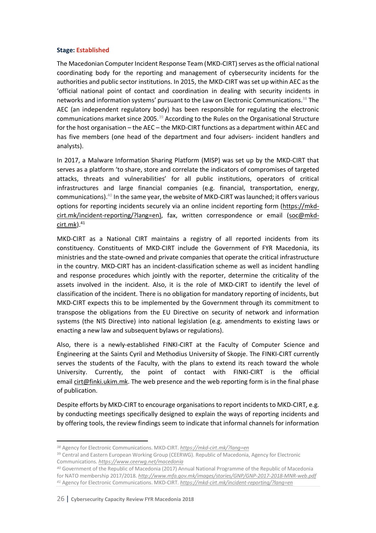#### **Stage: Established**

The Macedonian Computer Incident Response Team (MKD-CIRT) serves as the official national coordinating body for the reporting and management of cybersecurity incidents for the authorities and public sector institutions. In 2015, the MKD-CIRT was set up within AEC as the 'official national point of contact and coordination in dealing with security incidents in networks and information systems' pursuant to the Law on Electronic Communications.<sup>38</sup> The AEC (an independent regulatory body) has been responsible for regulating the electronic communications market since 2005.39 According to the Rules on the Organisational Structure for the host organisation – the AEC – the MKD-CIRT functions as a department within AEC and has five members (one head of the department and four advisers- incident handlers and analysts).

In 2017, a Malware Information Sharing Platform (MISP) was set up by the MKD-CIRT that serves as a platform 'to share, store and correlate the indicators of compromises of targeted attacks, threats and vulnerabilities' for all public institutions, operators of critical infrastructures and large financial companies (e.g. financial, transportation, energy, communications).40 In the same year, the website of MKD-CIRT was launched; it offers various options for reporting incidents securely via an online incident reporting form (https://mkdcirt.mk/incident-reporting/?lang=en), fax, written correspondence or email (soc@mkd $cirt.mk$ ). $41$ 

MKD-CIRT as a National CIRT maintains a registry of all reported incidents from its constituency. Constituents of MKD-CIRT include the Government of FYR Macedonia, its ministries and the state-owned and private companies that operate the critical infrastructure in the country. MKD-CIRT has an incident-classification scheme as well as incident handling and response procedures which jointly with the reporter, determine the criticality of the assets involved in the incident. Also, it is the role of MKD-CIRT to identify the level of classification of the incident. There is no obligation for mandatory reporting of incidents, but MKD-CIRT expects this to be implemented by the Government through its commitment to transpose the obligations from the EU Directive on security of network and information systems (the NIS Directive) into national legislation (e.g. amendments to existing laws or enacting a new law and subsequent bylaws or regulations).

Also, there is a newly-established FINKI-CIRT at the Faculty of Computer Science and Engineering at the Saints Cyril and Methodius University of Skopje. The FINKI-CIRT currently serves the students of the Faculty, with the plans to extend its reach toward the whole University. Currently, the point of contact with FINKI-CIRT is the official email cirt@finki.ukim.mk. The web presence and the web reporting form is in the final phase of publication.

Despite efforts by MKD-CIRT to encourage organisations to report incidents to MKD-CIRT, e.g. by conducting meetings specifically designed to explain the ways of reporting incidents and by offering tools, the review findings seem to indicate that informal channels for information

l

*<sup>38</sup>* Agency for Electronic Communications. MKD-CIRT. *https://mkd-cirt.mk/?lang=en*

<sup>&</sup>lt;sup>39</sup> Central and Eastern European Working Group (CEERWG). Republic of Macedonia, Agency for Electronic Communications. *https://www.ceerwg.net/macedonia*

*<sup>40</sup>* Government of the Republic of Macedonia (2017) Annual National Programme of the Republic of Macedonia for NATO membership 2017/2018. *http://www.mfa.gov.mk/images/stories/GNP/GNP-2017-2018-MNR-web.pdf <sup>41</sup>* Agency for Electronic Communications. MKD-CIRT. *https://mkd-cirt.mk/incident-reporting/?lang=en*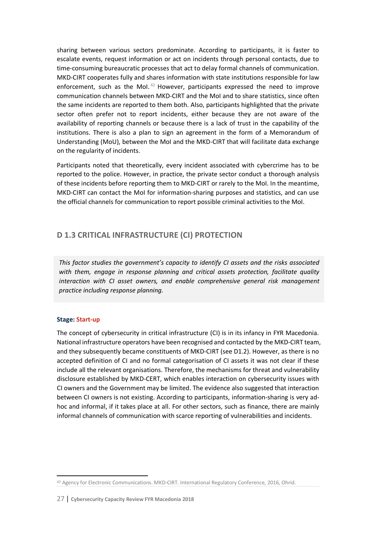sharing between various sectors predominate. According to participants, it is faster to escalate events, request information or act on incidents through personal contacts, due to time-consuming bureaucratic processes that act to delay formal channels of communication. MKD-CIRT cooperates fully and shares information with state institutions responsible for law enforcement, such as the MoI. $42$  However, participants expressed the need to improve communication channels between MKD-CIRT and the MoI and to share statistics, since often the same incidents are reported to them both. Also, participants highlighted that the private sector often prefer not to report incidents, either because they are not aware of the availability of reporting channels or because there is a lack of trust in the capability of the institutions. There is also a plan to sign an agreement in the form of a Memorandum of Understanding (MoU), between the MoI and the MKD-CIRT that will facilitate data exchange on the regularity of incidents.

Participants noted that theoretically, every incident associated with cybercrime has to be reported to the police. However, in practice, the private sector conduct a thorough analysis of these incidents before reporting them to MKD-CIRT or rarely to the MoI. In the meantime, MKD-CIRT can contact the MoI for information-sharing purposes and statistics, and can use the official channels for communication to report possible criminal activities to the MoI.

## **D 1.3 CRITICAL INFRASTRUCTURE (CI) PROTECTION**

*This factor studies the government's capacity to identify CI assets and the risks associated with them, engage in response planning and critical assets protection, facilitate quality interaction with CI asset owners, and enable comprehensive general risk management practice including response planning.* 

### **Stage: Start-up**

 $\overline{a}$ 

The concept of cybersecurity in critical infrastructure (CI) is in its infancy in FYR Macedonia. National infrastructure operators have been recognised and contacted by the MKD-CIRT team, and they subsequently became constituents of MKD-CIRT (see D1.2). However, as there is no accepted definition of CI and no formal categorisation of CI assets it was not clear if these include all the relevant organisations. Therefore, the mechanisms for threat and vulnerability disclosure established by MKD-CERT, which enables interaction on cybersecurity issues with CI owners and the Government may be limited. The evidence also suggested that interaction between CI owners is not existing. According to participants, information-sharing is very adhoc and informal, if it takes place at all. For other sectors, such as finance, there are mainly informal channels of communication with scarce reporting of vulnerabilities and incidents.

*<sup>42</sup>* Agency for Electronic Communications. MKD-CIRT. International Regulatory Conference, 2016, Ohrid.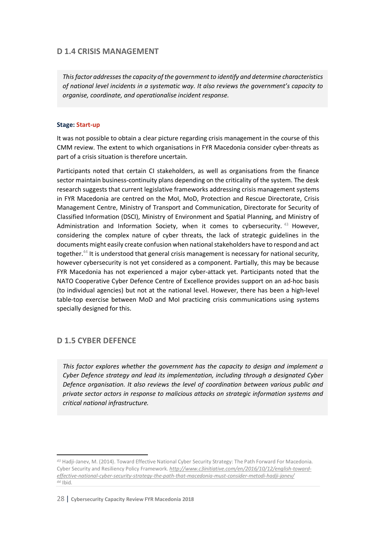## **D 1.4 CRISIS MANAGEMENT**

*This factor addresses the capacity of the government to identify and determine characteristics of national level incidents in a systematic way. It also reviews the government's capacity to organise, coordinate, and operationalise incident response.*

#### **Stage: Start-up**

It was not possible to obtain a clear picture regarding crisis management in the course of this CMM review. The extent to which organisations in FYR Macedonia consider cyber-threats as part of a crisis situation is therefore uncertain.

Participants noted that certain CI stakeholders, as well as organisations from the finance sector maintain business-continuity plans depending on the criticality of the system. The desk research suggests that current legislative frameworks addressing crisis management systems in FYR Macedonia are centred on the MoI, MoD, Protection and Rescue Directorate, Crisis Management Centre, Ministry of Transport and Communication, Directorate for Security of Classified Information (DSCI), Ministry of Environment and Spatial Planning, and Ministry of Administration and Information Society, when it comes to cybersecurity. <sup>43</sup> However, considering the complex nature of cyber threats, the lack of strategic guidelines in the documents might easily create confusion when national stakeholders have to respond and act together.<sup>44</sup> It is understood that general crisis management is necessary for national security, however cybersecurity is not yet considered as a component. Partially, this may be because FYR Macedonia has not experienced a major cyber-attack yet. Participants noted that the NATO Cooperative Cyber Defence Centre of Excellence provides support on an ad-hoc basis (to individual agencies) but not at the national level. However, there has been a high-level table-top exercise between MoD and MoI practicing crisis communications using systems specially designed for this.

## **D 1.5 CYBER DEFENCE**

 $\overline{\phantom{a}}$ 

*This factor explores whether the government has the capacity to design and implement a Cyber Defence strategy and lead its implementation, including through a designated Cyber Defence organisation. It also reviews the level of coordination between various public and private sector actors in response to malicious attacks on strategic information systems and critical national infrastructure.*

*<sup>43</sup>* Hadji-Janev, M. (2014). Toward Effective National Cyber Security Strategy: The Path Forward For Macedonia. Cyber Security and Resiliency Policy Framework. *http://www.c3initiative.com/en/2016/10/12/english-towardeffective-national-cyber-security-strategy-the-path-that-macedonia-must-consider-metodi-hadji-janev/ <sup>44</sup>* Ibid.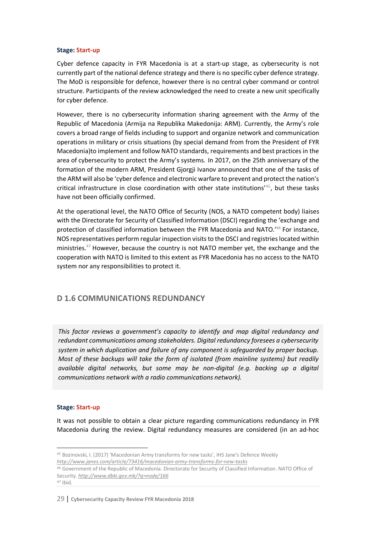#### **Stage: Start-up**

Cyber defence capacity in FYR Macedonia is at a start-up stage, as cybersecurity is not currently part of the national defence strategy and there is no specific cyber defence strategy. The MoD is responsible for defence, however there is no central cyber command or control structure. Participants of the review acknowledged the need to create a new unit specifically for cyber defence.

However, there is no cybersecurity information sharing agreement with the Army of the Republic of Macedonia (Armija na Republika Makedonija: ARM). Currently, the Army's role covers a broad range of fields including to support and organize network and communication operations in military or crisis situations (by special demand from from the President of FYR Macedonia)to implement and follow NATO standards, requirements and best practices in the area of cybersecurity to protect the Army's systems. In 2017, on the 25th anniversary of the formation of the modern ARM, President Gjorgji Ivanov announced that one of the tasks of the ARM will also be 'cyber defence and electronic warfare to prevent and protect the nation's critical infrastructure in close coordination with other state institutions' 45, but these tasks have not been officially confirmed.

At the operational level, the NATO Office of Security (NOS, a NATO competent body) liaises with the Directorate for Security of Classified Information (DSCI) regarding the 'exchange and protection of classified information between the FYR Macedonia and NATO.'46 For instance, NOS representatives perform regular inspection visits to the DSCI and registries located within ministries. $47$  However, because the country is not NATO member yet, the exchange and the cooperation with NATO is limited to this extent as FYR Macedonia has no access to the NATO system nor any responsibilities to protect it.

## **D 1.6 COMMUNICATIONS REDUNDANCY**

*This factor reviews a government's capacity to identify and map digital redundancy and redundant communications among stakeholders. Digital redundancy foresees a cybersecurity system in which duplication and failure of any component is safeguarded by proper backup. Most of these backups will take the form of isolated (from mainline systems) but readily available digital networks, but some may be non-digital (e.g. backing up a digital communications network with a radio communications network).* 

#### **Stage: Start-up**

 $\overline{a}$ 

It was not possible to obtain a clear picture regarding communications redundancy in FYR Macedonia during the review. Digital redundancy measures are considered (in an ad-hoc

*<sup>45</sup>* Bozinovski, I. (2017) 'Macedonian Army transforms for new tasks', IHS Jane's Defence Weekly *http://www.janes.com/article/73416/macedonian-army-transforms-for-new-tasks*

*<sup>46</sup>* Government of the Republic of Macedonia. Directorate for Security of Classified Information. NATO Office of Security. *http://www.dbki.gov.mk/?q=node/166 <sup>47</sup>* Ibid.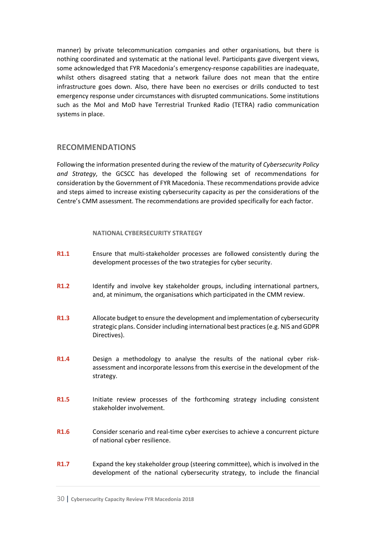manner) by private telecommunication companies and other organisations, but there is nothing coordinated and systematic at the national level. Participants gave divergent views, some acknowledged that FYR Macedonia's emergency-response capabilities are inadequate, whilst others disagreed stating that a network failure does not mean that the entire infrastructure goes down. Also, there have been no exercises or drills conducted to test emergency response under circumstances with disrupted communications. Some institutions such as the MoI and MoD have Terrestrial Trunked Radio (TETRA) radio communication systems in place.

## **RECOMMENDATIONS**

Following the information presented during the review of the maturity of *Cybersecurity Policy and Strategy*, the GCSCC has developed the following set of recommendations for consideration by the Government of FYR Macedonia. These recommendations provide advice and steps aimed to increase existing cybersecurity capacity as per the considerations of the Centre's CMM assessment. The recommendations are provided specifically for each factor.

### **NATIONAL CYBERSECURITY STRATEGY**

- **R1.1** Ensure that multi-stakeholder processes are followed consistently during the development processes of the two strategies for cyber security.
- **R1.2** Identify and involve key stakeholder groups, including international partners, and, at minimum, the organisations which participated in the CMM review.
- **R1.3** Allocate budget to ensure the development and implementation of cybersecurity strategic plans. Consider including international best practices (e.g. NIS and GDPR Directives).
- **R1.4** Design a methodology to analyse the results of the national cyber riskassessment and incorporate lessonsfrom this exercise in the development of the strategy.
- **R1.5** Initiate review processes of the forthcoming strategy including consistent stakeholder involvement.
- **R1.6** Consider scenario and real-time cyber exercises to achieve a concurrent picture of national cyber resilience.
- **R1.7** Expand the key stakeholder group (steering committee), which is involved in the development of the national cybersecurity strategy, to include the financial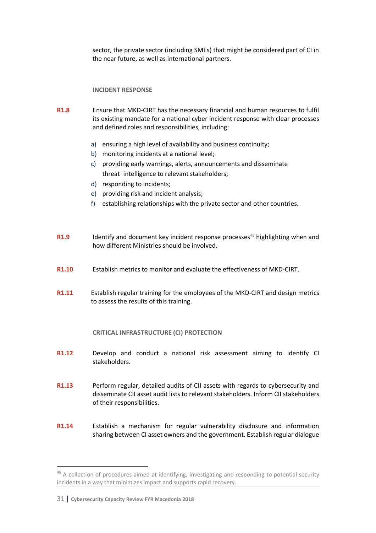sector, the private sector (including SMEs) that might be considered part of CI in the near future, as well as international partners.

### **INCIDENT RESPONSE**

- **R1.8** Ensure that MKD-CIRT has the necessary financial and human resources to fulfil its existing mandate for a national cyber incident response with clear processes and defined roles and responsibilities, including:
	- a) ensuring a high level of availability and business continuity;
	- b) monitoring incidents at a national level;
	- c) providing early warnings, alerts, announcements and disseminate threat intelligence to relevant stakeholders;
	- d) responding to incidents;
	- e) providing risk and incident analysis;
	- f) establishing relationships with the private sector and other countries.
- **R1.9** Identify and document key incident response processes<sup>48</sup> highlighting when and how different Ministries should be involved.
- **R1.10** Establish metrics to monitor and evaluate the effectiveness of MKD-CIRT.
- **R1.11** Establish regular training for the employees of the MKD-CIRT and design metrics to assess the results of this training.

### **CRITICAL INFRASTRUCTURE (CI) PROTECTION**

- **R1.12** Develop and conduct a national risk assessment aiming to identify CI stakeholders.
- **R1.13** Perform regular, detailed audits of CII assets with regards to cybersecurity and disseminate CII asset audit lists to relevant stakeholders. Inform CII stakeholders of their responsibilities.
- **R1.14** Establish a mechanism for regular vulnerability disclosure and information sharing between CI asset owners and the government. Establish regular dialogue

<sup>&</sup>lt;sup>48</sup> A collection of procedures aimed at identifying, investigating and responding to potential security incidents in a way that minimizes impact and supports rapid recovery.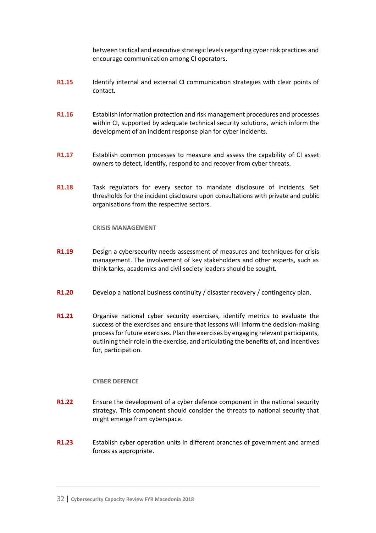between tactical and executive strategic levels regarding cyber risk practices and encourage communication among CI operators.

- **R1.15** Identify internal and external CI communication strategies with clear points of contact.
- **R1.16** Establish information protection and risk management procedures and processes within CI, supported by adequate technical security solutions, which inform the development of an incident response plan for cyber incidents.
- **R1.17** Establish common processes to measure and assess the capability of CI asset owners to detect, identify, respond to and recover from cyber threats.
- **R1.18** Task regulators for every sector to mandate disclosure of incidents. Set thresholds for the incident disclosure upon consultations with private and public organisations from the respective sectors.

#### **CRISIS MANAGEMENT**

- **R1.19** Design a cybersecurity needs assessment of measures and techniques for crisis management. The involvement of key stakeholders and other experts, such as think tanks, academics and civil society leaders should be sought.
- **R1.20** Develop a national business continuity / disaster recovery / contingency plan.
- **R1.21** Organise national cyber security exercises, identify metrics to evaluate the success of the exercises and ensure that lessons will inform the decision-making process for future exercises. Plan the exercises by engaging relevant participants, outlining their role in the exercise, and articulating the benefits of, and incentives for, participation.

#### **CYBER DEFENCE**

- **R1.22** Ensure the development of a cyber defence component in the national security strategy. This component should consider the threats to national security that might emerge from cyberspace.
- **R1.23** Establish cyber operation units in different branches of government and armed forces as appropriate.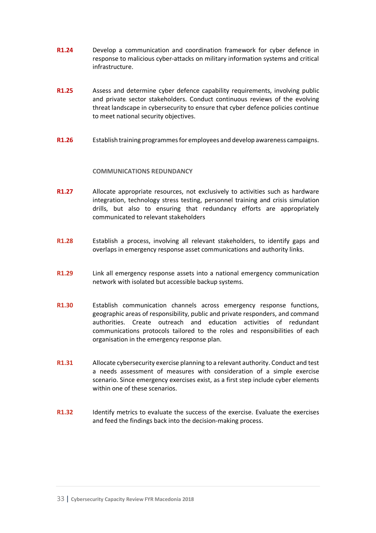- **R1.24** Develop a communication and coordination framework for cyber defence in response to malicious cyber-attacks on military information systems and critical infrastructure.
- **R1.25** Assess and determine cyber defence capability requirements, involving public and private sector stakeholders. Conduct continuous reviews of the evolving threat landscape in cybersecurity to ensure that cyber defence policies continue to meet national security objectives.
- **R1.26** Establish training programmes for employees and develop awareness campaigns.

#### **COMMUNICATIONS REDUNDANCY**

- **R1.27** Allocate appropriate resources, not exclusively to activities such as hardware integration, technology stress testing, personnel training and crisis simulation drills, but also to ensuring that redundancy efforts are appropriately communicated to relevant stakeholders
- **R1.28** Establish a process, involving all relevant stakeholders, to identify gaps and overlaps in emergency response asset communications and authority links.
- **R1.29** Link all emergency response assets into a national emergency communication network with isolated but accessible backup systems.
- **R1.30** Establish communication channels across emergency response functions, geographic areas of responsibility, public and private responders, and command authorities. Create outreach and education activities of redundant communications protocols tailored to the roles and responsibilities of each organisation in the emergency response plan.
- **R1.31** Allocate cybersecurity exercise planning to a relevant authority. Conduct and test a needs assessment of measures with consideration of a simple exercise scenario. Since emergency exercises exist, as a first step include cyber elements within one of these scenarios.
- **R1.32** Identify metrics to evaluate the success of the exercise. Evaluate the exercises and feed the findings back into the decision-making process.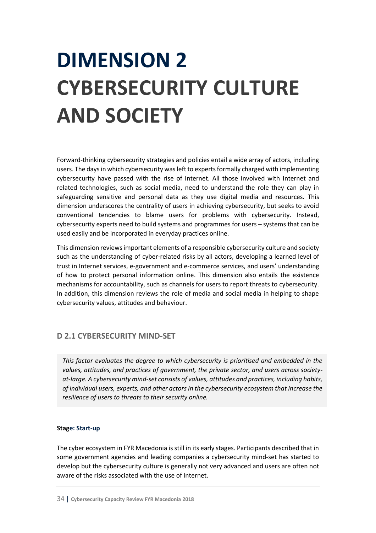## **DIMENSION 2 CYBERSECURITY CULTURE AND SOCIETY**

Forward-thinking cybersecurity strategies and policies entail a wide array of actors, including users. The days in which cybersecurity was left to experts formally charged with implementing cybersecurity have passed with the rise of Internet. All those involved with Internet and related technologies, such as social media, need to understand the role they can play in safeguarding sensitive and personal data as they use digital media and resources. This dimension underscores the centrality of users in achieving cybersecurity, but seeks to avoid conventional tendencies to blame users for problems with cybersecurity. Instead, cybersecurity experts need to build systems and programmes for users – systems that can be used easily and be incorporated in everyday practices online.

This dimension reviews important elements of a responsible cybersecurity culture and society such as the understanding of cyber-related risks by all actors, developing a learned level of trust in Internet services, e-government and e-commerce services, and users' understanding of how to protect personal information online. This dimension also entails the existence mechanisms for accountability, such as channels for users to report threats to cybersecurity. In addition, this dimension reviews the role of media and social media in helping to shape cybersecurity values, attitudes and behaviour.

## **D 2.1 CYBERSECURITY MIND-SET**

*This factor evaluates the degree to which cybersecurity is prioritised and embedded in the values, attitudes, and practices of government, the private sector, and users across societyat-large. A cybersecurity mind-set consists of values, attitudes and practices, including habits, of individual users, experts, and other actors in the cybersecurity ecosystem that increase the resilience of users to threats to their security online.*

#### **Stage: Start-up**

The cyber ecosystem in FYR Macedonia is still in its early stages. Participants described that in some government agencies and leading companies a cybersecurity mind-set has started to develop but the cybersecurity culture is generally not very advanced and users are often not aware of the risks associated with the use of Internet.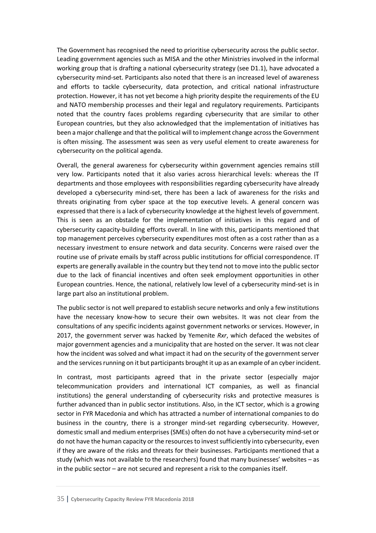The Government has recognised the need to prioritise cybersecurity across the public sector. Leading government agencies such as MISA and the other Ministries involved in the informal working group that is drafting a national cybersecurity strategy (see D1.1), have advocated a cybersecurity mind-set. Participants also noted that there is an increased level of awareness and efforts to tackle cybersecurity, data protection, and critical national infrastructure protection. However, it has not yet become a high priority despite the requirements of the EU and NATO membership processes and their legal and regulatory requirements. Participants noted that the country faces problems regarding cybersecurity that are similar to other European countries, but they also acknowledged that the implementation of initiatives has been a major challenge and that the political will to implement change across the Government is often missing. The assessment was seen as very useful element to create awareness for cybersecurity on the political agenda.

Overall, the general awareness for cybersecurity within government agencies remains still very low. Participants noted that it also varies across hierarchical levels: whereas the IT departments and those employees with responsibilities regarding cybersecurity have already developed a cybersecurity mind-set, there has been a lack of awareness for the risks and threats originating from cyber space at the top executive levels. A general concern was expressed that there is a lack of cybersecurity knowledge at the highest levels of government. This is seen as an obstacle for the implementation of initiatives in this regard and of cybersecurity capacity-building efforts overall. In line with this, participants mentioned that top management perceives cybersecurity expenditures most often as a cost rather than as a necessary investment to ensure network and data security. Concerns were raised over the routine use of private emails by staff across public institutions for official correspondence. IT experts are generally available in the country but they tend not to move into the public sector due to the lack of financial incentives and often seek employment opportunities in other European countries. Hence, the national, relatively low level of a cybersecurity mind-set is in large part also an institutional problem.

The public sector is not well prepared to establish secure networks and only a few institutions have the necessary know-how to secure their own websites. It was not clear from the consultations of any specific incidents against government networks or services. However, in 2017, the government server was hacked by Yemenite *Rxr*, which defaced the websites of major government agencies and a municipality that are hosted on the server. It was not clear how the incident was solved and what impact it had on the security of the government server and the services running on it but participants brought it up as an example of an cyber incident.

In contrast, most participants agreed that in the private sector (especially major telecommunication providers and international ICT companies, as well as financial institutions) the general understanding of cybersecurity risks and protective measures is further advanced than in public sector institutions. Also, in the ICT sector, which is a growing sector in FYR Macedonia and which has attracted a number of international companies to do business in the country, there is a stronger mind-set regarding cybersecurity. However, domestic small and medium enterprises (SMEs) often do not have a cybersecurity mind-set or do not have the human capacity or the resources to invest sufficiently into cybersecurity, even if they are aware of the risks and threats for their businesses. Participants mentioned that a study (which was not available to the researchers) found that many businesses' websites – as in the public sector – are not secured and represent a risk to the companies itself.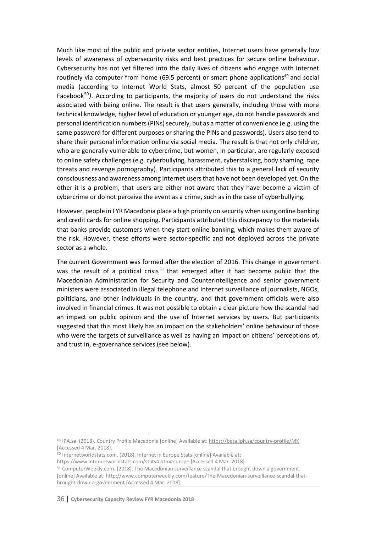Much like most of the public and private sector entities, Internet users have generally low levels of awareness of cybersecurity risks and best practices for secure online behaviour. Cybersecurity has not yet filtered into the daily lives of citizens who engage with Internet routinely via computer from home (69.5 percent) or smart phone applications<sup>49</sup> and social media (according to Internet World Stats, almost 50 percent of the population use Facebook<sup>50</sup>). According to participants, the majority of users do not understand the risks associated with being online. The result is that users generally, including those with more technical knowledge, higher level of education or younger age, do not handle passwords and personal identification numbers (PINs) securely, but as a matter of convenience (e.g. using the same password for different purposes or sharing the PINs and passwords). Users also tend to share their personal information online via social media. The result is that not only children, who are generally vulnerable to cybercrime, but women, in particular, are regularly exposed to online safety challenges (e.g. cyberbullying, harassment, cyberstalking, body shaming, rape threats and revenge pornography). Participants attributed this to a general lack of security consciousness and awareness among Internet users that have not been developed yet. On the other it is a problem, that users are either not aware that they have become a victim of cybercrime or do not perceive the event as a crime, such as in the case of cyberbullying.

However, people in FYR Macedonia place a high priority on security when using online banking and credit cards for online shopping. Participants attributed this discrepancy to the materials that banks provide customers when they start online banking, which makes them aware of the risk. However, these efforts were sector-specific and not deployed across the private sector as a whole.

The current Government was formed after the election of 2016. This change in government was the result of a political crisis<sup>51</sup> that emerged after it had become public that the Macedonian Administration for Security and Counterintelligence and senior government ministers were associated in illegal telephone and Internet surveillance of journalists, NGOs, politicians, and other individuals in the country, and that government officials were also involved in financial crimes. It was not possible to obtain a clear picture how the scandal had an impact on public opinion and the use of Internet services by users. But participants suggested that this most likely has an impact on the stakeholders' online behaviour of those who were the targets of surveillance as well as having an impact on citizens' perceptions of, and trust in, e-governance services (see below).

<sup>50</sup> Internetworldstats.com. (2018). Internet in Europe Stats [online] Available at:

 <sup>49</sup> IPA.sa. (2018). Country Profile Macedonia [online] Available at: https://beta.iph.sa/country-profile/MK [Accessed 4 Mar. 2018].

https://www.internetworldstats.com/stats4.htm#europe [Accessed 4 Mar. 2018].

<sup>51</sup> ComputerWeekly.com. (2018). The Macedonian surveillance scandal that brought down a government. [online] Available at: http://www.computerweekly.com/feature/The-Macedonian-surveillance-scandal-thatbrought-down-a-government [Accessed 4 Mar. 2018].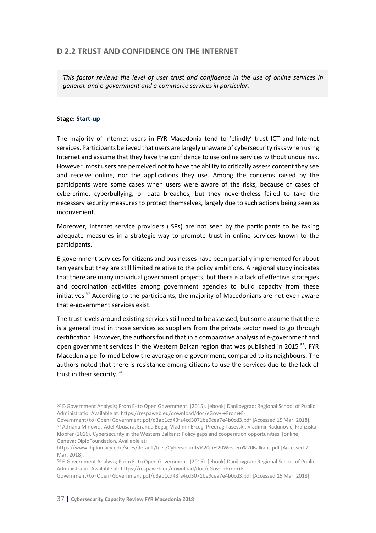# **D 2.2 TRUST AND CONFIDENCE ON THE INTERNET**

*This factor reviews the level of user trust and confidence in the use of online services in general, and e-government and e-commerce services in particular.*

#### **Stage: Start-up**

l

The majority of Internet users in FYR Macedonia tend to 'blindly' trust ICT and Internet services. Participants believed that users are largely unaware of cybersecurity risks when using Internet and assume that they have the confidence to use online services without undue risk. However, most users are perceived not to have the ability to critically assess content they see and receive online, nor the applications they use. Among the concerns raised by the participants were some cases when users were aware of the risks, because of cases of cybercrime, cyberbullying, or data breaches, but they nevertheless failed to take the necessary security measures to protect themselves, largely due to such actions being seen as inconvenient.

Moreover, Internet service providers (ISPs) are not seen by the participants to be taking adequate measures in a strategic way to promote trust in online services known to the participants.

E-government services for citizens and businesses have been partially implemented for about ten years but they are still limited relative to the policy ambitions. A regional study indicates that there are many individual government projects, but there is a lack of effective strategies and coordination activities among government agencies to build capacity from these initiatives.<sup>52</sup> According to the participants, the majority of Macedonians are not even aware that e-government services exist.

The trust levels around existing services still need to be assessed, but some assume that there is a general trust in those services as suppliers from the private sector need to go through certification. However, the authors found that in a comparative analysis of e-government and open government services in the Western Balkan region that was published in 2015  $53$ , FYR Macedonia performed below the average on e-government, compared to its neighbours. The authors noted that there is resistance among citizens to use the services due to the lack of trust in their security.<sup>54</sup>

*<sup>52</sup>* E-Government Analysis; From E- to Open Government. (2015). [ebook] Danilovgrad: Regional School of Public Administratio. Available at: https://respaweb.eu/download/doc/eGov+-+From+E-

Government+to+Open+Government.pdf/d3ab1cd43fa4cd3071be9cea7e4b0cd3.pdf [Accessed 15 Mar. 2018]. *<sup>53</sup>* Adriana Minović , Adel Abusara, Eranda Begaj, Vladimir Erceg, Predrag Tasevski, Vladimir Radunović, Franziska Klopfer (2016). Cybersecurity in the Western Balkans: Policy gaps and cooperation opportunities. [online] Geneva: DiploFoundation. Available at:

https://www.diplomacy.edu/sites/default/files/Cybersecurity%20in%20Western%20Balkans.pdf [Accessed 7 Mar. 2018].

*<sup>54</sup>* E-Government Analysis; From E- to Open Government. (2015). [ebook] Danilovgrad: Regional School of Public Administratio. Available at: https://respaweb.eu/download/doc/eGov+-+From+E-

Government+to+Open+Government.pdf/d3ab1cd43fa4cd3071be9cea7e4b0cd3.pdf [Accessed 15 Mar. 2018].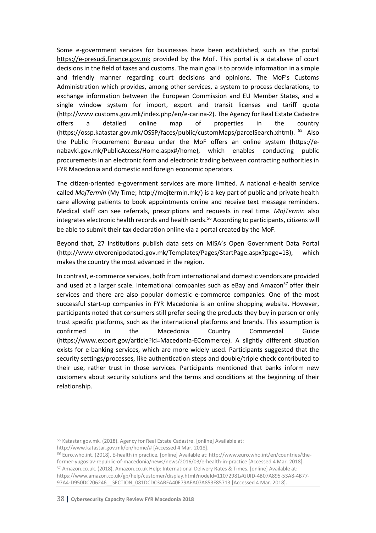Some e-government services for businesses have been established, such as the portal https://e-presudi.finance.gov.mk provided by the MoF. This portal is a database of court decisions in the field of taxes and customs. The main goal is to provide information in a simple and friendly manner regarding court decisions and opinions. The MoF's Customs Administration which provides, among other services, a system to process declarations, to exchange information between the European Commission and EU Member States, and a single window system for import, export and transit licenses and tariff quota (http://www.customs.gov.mk/index.php/en/e-carina-2). The Agency for Real Estate Cadastre offers a detailed online map of properties in the country (https://ossp.katastar.gov.mk/OSSP/faces/public/customMaps/parcelSearch.xhtml). <sup>55</sup> Also the Public Procurement Bureau under the MoF offers an online system (https://enabavki.gov.mk/PublicAccess/Home.aspx#/home), which enables conducting public procurements in an electronic form and electronic trading between contracting authorities in FYR Macedonia and domestic and foreign economic operators.

The citizen-oriented e-government services are more limited. A national e-health service called *MojTermin* (My Time; http://mojtermin.mk/) is a key part of public and private health care allowing patients to book appointments online and receive text message reminders. Medical staff can see referrals, prescriptions and requests in real time. *MojTermin* also integrates electronic health records and health cards.<sup>56</sup> According to participants, citizens will be able to submit their tax declaration online via a portal created by the MoF.

Beyond that, 27 institutions publish data sets on MISA's Open Government Data Portal (http://www.otvorenipodatoci.gov.mk/Templates/Pages/StartPage.aspx?page=13), which makes the country the most advanced in the region.

In contrast, e-commerce services, both from international and domestic vendors are provided and used at a larger scale. International companies such as eBay and Amazon<sup>57</sup> offer their services and there are also popular domestic e-commerce companies. One of the most successful start-up companies in FYR Macedonia is an online shopping website. However, participants noted that consumers still prefer seeing the products they buy in person or only trust specific platforms, such as the international platforms and brands. This assumption is confirmed in the Macedonia Country Commercial Guide (https://www.export.gov/article?id=Macedonia-ECommerce). A slightly different situation exists for e-banking services, which are more widely used. Participants suggested that the security settings/processes, like authentication steps and double/triple check contributed to their use, rather trust in those services. Participants mentioned that banks inform new customers about security solutions and the terms and conditions at the beginning of their relationship.

 <sup>55</sup> Katastar.gov.mk. (2018). Agency for Real Estate Cadastre. [online] Available at: http://www.katastar.gov.mk/en/home/# [Accessed 4 Mar. 2018].

*<sup>56</sup>* Euro.who.int. (2018). E-health in practice. [online] Available at: http://www.euro.who.int/en/countries/theformer-yugoslav-republic-of-macedonia/news/news/2016/03/e-health-in-practice [Accessed 4 Mar. 2018]. <sup>57</sup> Amazon.co.uk. (2018). Amazon.co.uk Help: International Delivery Rates & Times. [online] Available at: https://www.amazon.co.uk/gp/help/customer/display.html?nodeId=11072981#GUID-4B07A895-53A8-4B77-

<sup>97</sup>A4-D950DC206246\_\_SECTION\_081DCDC3ABFA40E79AEA07A853F85713 [Accessed 4 Mar. 2018].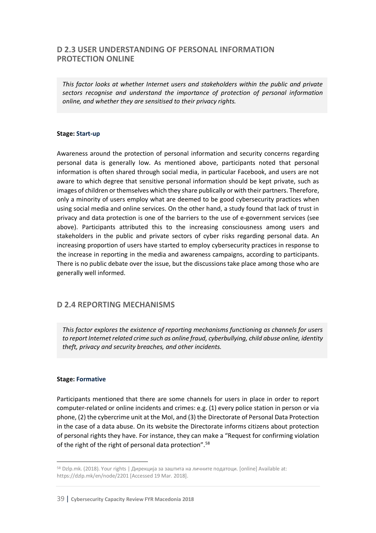## **D 2.3 USER UNDERSTANDING OF PERSONAL INFORMATION PROTECTION ONLINE**

*This factor looks at whether Internet users and stakeholders within the public and private sectors recognise and understand the importance of protection of personal information online, and whether they are sensitised to their privacy rights.*

#### **Stage: Start-up**

Awareness around the protection of personal information and security concerns regarding personal data is generally low. As mentioned above, participants noted that personal information is often shared through social media, in particular Facebook, and users are not aware to which degree that sensitive personal information should be kept private, such as images of children or themselves which they share publically or with their partners. Therefore, only a minority of users employ what are deemed to be good cybersecurity practices when using social media and online services. On the other hand, a study found that lack of trust in privacy and data protection is one of the barriers to the use of e-government services (see above). Participants attributed this to the increasing consciousness among users and stakeholders in the public and private sectors of cyber risks regarding personal data. An increasing proportion of users have started to employ cybersecurity practices in response to the increase in reporting in the media and awareness campaigns, according to participants. There is no public debate over the issue, but the discussions take place among those who are generally well informed.

## **D 2.4 REPORTING MECHANISMS**

*This factor explores the existence of reporting mechanisms functioning as channels for users to report Internet related crime such as online fraud, cyberbullying, child abuse online, identity theft, privacy and security breaches, and other incidents.*

#### **Stage: Formative**

Participants mentioned that there are some channels for users in place in order to report computer-related or online incidents and crimes: e.g. (1) every police station in person or via phone, (2) the cybercrime unit at the MoI, and (3) the Directorate of Personal Data Protection in the case of a data abuse. On its website the Directorate informs citizens about protection of personal rights they have. For instance, they can make a "Request for confirming violation of the right of the right of personal data protection".58

 <sup>58</sup> Dzlp.mk. (2018). Your rights | Дирекција за заштита на личните податоци. [online] Available at: https://dzlp.mk/en/node/2201 [Accessed 19 Mar. 2018].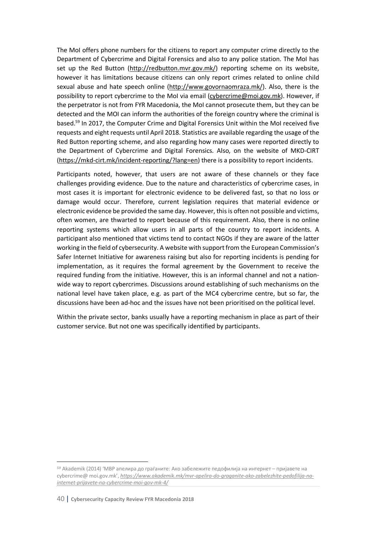The MoI offers phone numbers for the citizens to report any computer crime directly to the Department of Cybercrime and Digital Forensics and also to any police station. The MoI has set up the Red Button (http://redbutton.mvr.gov.mk/) reporting scheme on its website, however it has limitations because citizens can only report crimes related to online child sexual abuse and hate speech online (http://www.govornaomraza.mk/). Also, there is the possibility to report cybercrime to the MoI via email (cybercrime@moi.gov.mk). However, if the perpetrator is not from FYR Macedonia, the MoI cannot prosecute them, but they can be detected and the MOI can inform the authorities of the foreign country where the criminal is based.59 In 2017, the Computer Crime and Digital Forensics Unit within the MoI received five requests and eight requests until April 2018. Statistics are available regarding the usage of the Red Button reporting scheme, and also regarding how many cases were reported directly to the Department of Cybercrime and Digital Forensics. Also, on the website of MKD-CIRT (https://mkd-cirt.mk/incident-reporting/?lang=en) there is a possibility to report incidents.

Participants noted, however, that users are not aware of these channels or they face challenges providing evidence. Due to the nature and characteristics of cybercrime cases, in most cases it is important for electronic evidence to be delivered fast, so that no loss or damage would occur. Therefore, current legislation requires that material evidence or electronic evidence be provided the same day. However, thisis often not possible and victims, often women, are thwarted to report because of this requirement. Also, there is no online reporting systems which allow users in all parts of the country to report incidents. A participant also mentioned that victims tend to contact NGOs if they are aware of the latter working in the field of cybersecurity. A website with support from the European Commission's Safer Internet Initiative for awareness raising but also for reporting incidents is pending for implementation, as it requires the formal agreement by the Government to receive the required funding from the initiative. However, this is an informal channel and not a nationwide way to report cybercrimes. Discussions around establishing of such mechanisms on the national level have taken place, e.g. as part of the MC4 cybercrime centre, but so far, the discussions have been ad-hoc and the issues have not been prioritised on the political level.

Within the private sector, banks usually have a reporting mechanism in place as part of their customer service. But not one was specifically identified by participants.

l

*<sup>59</sup>* Akademik (2014) 'МВР апелира до граѓаните: Ако забележите педофилија на интернет – пријавете на cybercrime@ moi.gov.mk', *https://www.akademik.mk/mvr-apelira-do-graganite-ako-zabelezhite-pedofilija-nainternet-prijavete-na-cybercrime-moi-gov-mk-4/*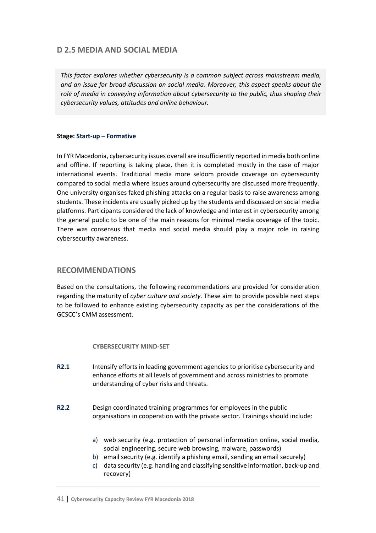# **D 2.5 MEDIA AND SOCIAL MEDIA**

*This factor explores whether cybersecurity is a common subject across mainstream media, and an issue for broad discussion on social media. Moreover, this aspect speaks about the role of media in conveying information about cybersecurity to the public, thus shaping their cybersecurity values, attitudes and online behaviour.*

#### **Stage: Start-up – Formative**

In FYR Macedonia, cybersecurity issues overall are insufficiently reported in media both online and offline. If reporting is taking place, then it is completed mostly in the case of major international events. Traditional media more seldom provide coverage on cybersecurity compared to social media where issues around cybersecurity are discussed more frequently. One university organises faked phishing attacks on a regular basis to raise awareness among students. These incidents are usually picked up by the students and discussed on social media platforms. Participants considered the lack of knowledge and interest in cybersecurity among the general public to be one of the main reasons for minimal media coverage of the topic. There was consensus that media and social media should play a major role in raising cybersecurity awareness.

## **RECOMMENDATIONS**

Based on the consultations, the following recommendations are provided for consideration regarding the maturity of *cyber culture and society*. These aim to provide possible next steps to be followed to enhance existing cybersecurity capacity as per the considerations of the GCSCC's CMM assessment.

#### **CYBERSECURITY MIND-SET**

- **R2.1** Intensify efforts in leading government agencies to prioritise cybersecurity and enhance efforts at all levels of government and across ministries to promote understanding of cyber risks and threats.
- **R2.2** Design coordinated training programmes for employees in the public organisations in cooperation with the private sector. Trainings should include:
	- a) web security (e.g. protection of personal information online, social media, social engineering, secure web browsing, malware, passwords)
	- b) email security (e.g. identify a phishing email, sending an email securely)
	- c) data security (e.g. handling and classifying sensitive information, back-up and recovery)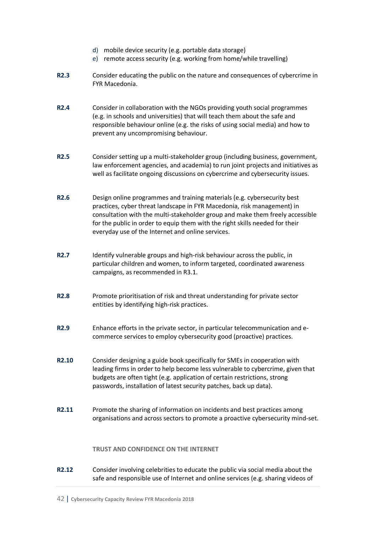- d) mobile device security (e.g. portable data storage)
- e) remote access security (e.g. working from home/while travelling)
- **R2.3** Consider educating the public on the nature and consequences of cybercrime in FYR Macedonia.
- **R2.4** Consider in collaboration with the NGOs providing youth social programmes (e.g. in schools and universities) that will teach them about the safe and responsible behaviour online (e.g. the risks of using social media) and how to prevent any uncompromising behaviour.
- **R2.5** Consider setting up a multi-stakeholder group (including business, government, law enforcement agencies, and academia) to run joint projects and initiatives as well as facilitate ongoing discussions on cybercrime and cybersecurity issues.
- **R2.6** Design online programmes and training materials (e.g. cybersecurity best practices, cyber threat landscape in FYR Macedonia, risk management) in consultation with the multi-stakeholder group and make them freely accessible for the public in order to equip them with the right skills needed for their everyday use of the Internet and online services.
- **R2.7** Identify vulnerable groups and high-risk behaviour across the public, in particular children and women, to inform targeted, coordinated awareness campaigns, as recommended in R3.1.
- **R2.8** Promote prioritisation of risk and threat understanding for private sector entities by identifying high-risk practices.
- **R2.9** Enhance efforts in the private sector, in particular telecommunication and ecommerce services to employ cybersecurity good (proactive) practices.
- **R2.10** Consider designing a guide book specifically for SMEs in cooperation with leading firms in order to help become less vulnerable to cybercrime, given that budgets are often tight (e.g. application of certain restrictions, strong passwords, installation of latest security patches, back up data).
- **R2.11** Promote the sharing of information on incidents and best practices among organisations and across sectors to promote a proactive cybersecurity mind-set.

#### **TRUST AND CONFIDENCE ON THE INTERNET**

**R2.12** Consider involving celebrities to educate the public via social media about the safe and responsible use of Internet and online services (e.g. sharing videos of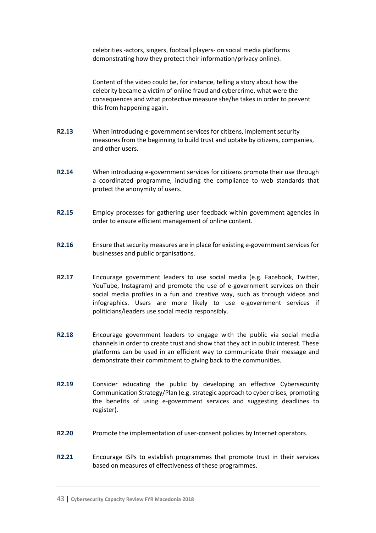celebrities -actors, singers, football players- on social media platforms demonstrating how they protect their information/privacy online).

Content of the video could be, for instance, telling a story about how the celebrity became a victim of online fraud and cybercrime, what were the consequences and what protective measure she/he takes in order to prevent this from happening again.

- **R2.13** When introducing e-government services for citizens, implement security measures from the beginning to build trust and uptake by citizens, companies, and other users.
- **R2.14** When introducing e-government services for citizens promote their use through a coordinated programme, including the compliance to web standards that protect the anonymity of users.
- **R2.15** Employ processes for gathering user feedback within government agencies in order to ensure efficient management of online content.
- **R2.16** Ensure that security measures are in place for existing e-government services for businesses and public organisations.
- **R2.17** Encourage government leaders to use social media (e.g. Facebook, Twitter, YouTube, Instagram) and promote the use of e-government services on their social media profiles in a fun and creative way, such as through videos and infographics. Users are more likely to use e-government services if politicians/leaders use social media responsibly.
- **R2.18** Encourage government leaders to engage with the public via social media channels in order to create trust and show that they act in public interest. These platforms can be used in an efficient way to communicate their message and demonstrate their commitment to giving back to the communities.
- **R2.19** Consider educating the public by developing an effective Cybersecurity Communication Strategy/Plan (e.g. strategic approach to cyber crises, promoting the benefits of using e-government services and suggesting deadlines to register).
- **R2.20** Promote the implementation of user-consent policies by Internet operators.
- **R2.21** Encourage ISPs to establish programmes that promote trust in their services based on measures of effectiveness of these programmes.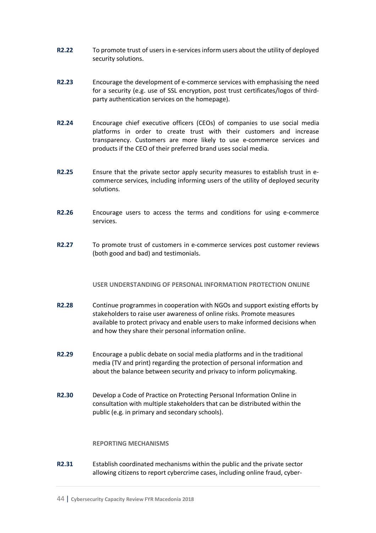- **R2.22** To promote trust of users in e-services inform users about the utility of deployed security solutions.
- **R2.23** Encourage the development of e-commerce services with emphasising the need for a security (e.g. use of SSL encryption, post trust certificates/logos of thirdparty authentication services on the homepage).
- **R2.24** Encourage chief executive officers (CEOs) of companies to use social media platforms in order to create trust with their customers and increase transparency. Customers are more likely to use e-commerce services and products if the CEO of their preferred brand uses social media.
- **R2.25** Ensure that the private sector apply security measures to establish trust in ecommerce services, including informing users of the utility of deployed security solutions.
- **R2.26** Encourage users to access the terms and conditions for using e-commerce services.
- **R2.27** To promote trust of customers in e-commerce services post customer reviews (both good and bad) and testimonials.

#### **USER UNDERSTANDING OF PERSONAL INFORMATION PROTECTION ONLINE**

- **R2.28** Continue programmes in cooperation with NGOs and support existing efforts by stakeholders to raise user awareness of online risks. Promote measures available to protect privacy and enable users to make informed decisions when and how they share their personal information online.
- **R2.29** Encourage a public debate on social media platforms and in the traditional media (TV and print) regarding the protection of personal information and about the balance between security and privacy to inform policymaking.
- **R2.30** Develop a Code of Practice on Protecting Personal Information Online in consultation with multiple stakeholders that can be distributed within the public (e.g. in primary and secondary schools).

#### **REPORTING MECHANISMS**

**R2.31** Establish coordinated mechanisms within the public and the private sector allowing citizens to report cybercrime cases, including online fraud, cyber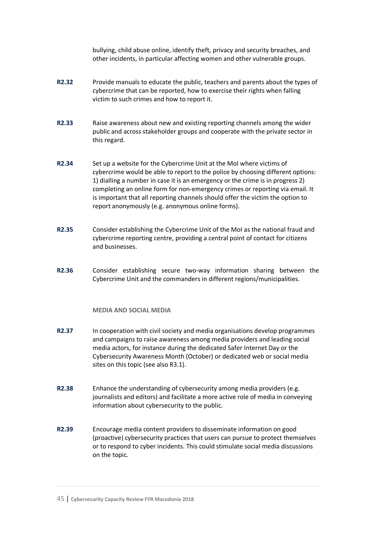bullying, child abuse online, identify theft, privacy and security breaches, and other incidents, in particular affecting women and other vulnerable groups.

- **R2.32** Provide manuals to educate the public, teachers and parents about the types of cybercrime that can be reported, how to exercise their rights when falling victim to such crimes and how to report it.
- **R2.33** Raise awareness about new and existing reporting channels among the wider public and across stakeholder groups and cooperate with the private sector in this regard.
- **R2.34** Set up a website for the Cybercrime Unit at the MoI where victims of cybercrime would be able to report to the police by choosing different options: 1) dialling a number in case it is an emergency or the crime is in progress 2) completing an online form for non-emergency crimes or reporting via email. It is important that all reporting channels should offer the victim the option to report anonymously (e.g. anonymous online forms).
- **R2.35** Consider establishing the Cybercrime Unit of the MoI as the national fraud and cybercrime reporting centre, providing a central point of contact for citizens and businesses.
- **R2.36** Consider establishing secure two-way information sharing between the Cybercrime Unit and the commanders in different regions/municipalities.

#### **MEDIA AND SOCIAL MEDIA**

- **R2.37** In cooperation with civil society and media organisations develop programmes and campaigns to raise awareness among media providers and leading social media actors, for instance during the dedicated Safer Internet Day or the Cybersecurity Awareness Month (October) or dedicated web or social media sites on this topic (see also R3.1).
- **R2.38** Enhance the understanding of cybersecurity among media providers (e.g. journalists and editors) and facilitate a more active role of media in conveying information about cybersecurity to the public.
- **R2.39** Encourage media content providers to disseminate information on good (proactive) cybersecurity practices that users can pursue to protect themselves or to respond to cyber incidents. This could stimulate social media discussions on the topic.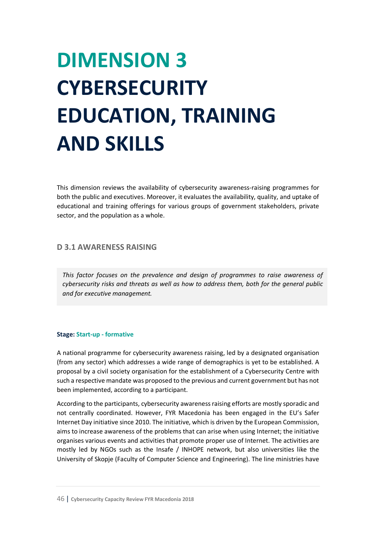# **DIMENSION 3 CYBERSECURITY EDUCATION, TRAINING AND SKILLS**

This dimension reviews the availability of cybersecurity awareness-raising programmes for both the public and executives. Moreover, it evaluates the availability, quality, and uptake of educational and training offerings for various groups of government stakeholders, private sector, and the population as a whole.

## **D 3.1 AWARENESS RAISING**

*This factor focuses on the prevalence and design of programmes to raise awareness of cybersecurity risks and threats as well as how to address them, both for the general public and for executive management.*

#### **Stage: Start-up - formative**

A national programme for cybersecurity awareness raising, led by a designated organisation (from any sector) which addresses a wide range of demographics is yet to be established. A proposal by a civil society organisation for the establishment of a Cybersecurity Centre with such a respective mandate was proposed to the previous and current government but has not been implemented, according to a participant.

According to the participants, cybersecurity awareness raising efforts are mostly sporadic and not centrally coordinated. However, FYR Macedonia has been engaged in the EU's Safer Internet Day initiative since 2010. The initiative, which is driven by the European Commission, aims to increase awareness of the problems that can arise when using Internet; the initiative organises various events and activities that promote proper use of Internet. The activities are mostly led by NGOs such as the Insafe / INHOPE network, but also universities like the University of Skopje (Faculty of Computer Science and Engineering). The line ministries have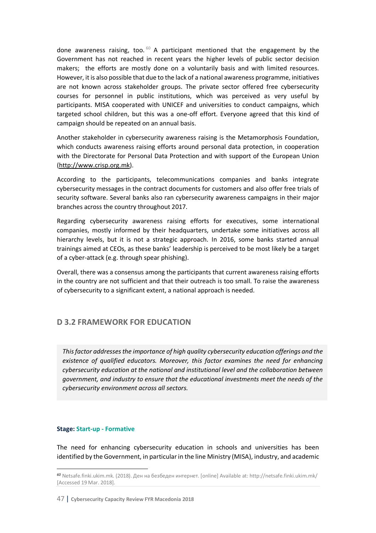done awareness raising, too.  $60$  A participant mentioned that the engagement by the Government has not reached in recent years the higher levels of public sector decision makers; the efforts are mostly done on a voluntarily basis and with limited resources. However, it is also possible that due to the lack of a national awareness programme, initiatives are not known across stakeholder groups. The private sector offered free cybersecurity courses for personnel in public institutions, which was perceived as very useful by participants. MISA cooperated with UNICEF and universities to conduct campaigns, which targeted school children, but this was a one-off effort. Everyone agreed that this kind of campaign should be repeated on an annual basis.

Another stakeholder in cybersecurity awareness raising is the Metamorphosis Foundation, which conducts awareness raising efforts around personal data protection, in cooperation with the Directorate for Personal Data Protection and with support of the European Union (http://www.crisp.org.mk).

According to the participants, telecommunications companies and banks integrate cybersecurity messages in the contract documents for customers and also offer free trials of security software. Several banks also ran cybersecurity awareness campaigns in their major branches across the country throughout 2017.

Regarding cybersecurity awareness raising efforts for executives, some international companies, mostly informed by their headquarters, undertake some initiatives across all hierarchy levels, but it is not a strategic approach. In 2016, some banks started annual trainings aimed at CEOs, as these banks' leadership is perceived to be most likely be a target of a cyber-attack (e.g. through spear phishing).

Overall, there was a consensus among the participants that current awareness raising efforts in the country are not sufficient and that their outreach is too small. To raise the awareness of cybersecurity to a significant extent, a national approach is needed.

# **D 3.2 FRAMEWORK FOR EDUCATION**

*This factor addresses the importance of high quality cybersecurity education offerings and the existence of qualified educators. Moreover, this factor examines the need for enhancing cybersecurity education at the national and institutional level and the collaboration between government, and industry to ensure that the educational investments meet the needs of the cybersecurity environment across all sectors.*

#### **Stage: Start-up - Formative**

 $\overline{\phantom{a}}$ 

The need for enhancing cybersecurity education in schools and universities has been identified by the Government, in particular in the line Ministry (MISA), industry, and academic

*<sup>60</sup>* Netsafe.finki.ukim.mk. (2018). Ден на безбеден интернет. [online] Available at: http://netsafe.finki.ukim.mk/ [Accessed 19 Mar. 2018].

<sup>47</sup> | **Cybersecurity Capacity Review FYR Macedonia 2018**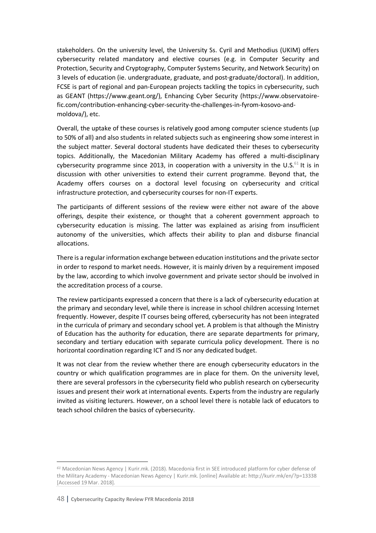stakeholders. On the university level, the University Ss. Cyril and Methodius (UKIM) offers cybersecurity related mandatory and elective courses (e.g. in Computer Security and Protection, Security and Cryptography, Computer Systems Security, and Network Security) on 3 levels of education (ie. undergraduate, graduate, and post-graduate/doctoral). In addition, FCSE is part of regional and pan-European projects tackling the topics in cybersecurity, such as GEANT (https://www.geant.org/), Enhancing Cyber Security (https://www.observatoirefic.com/contribution-enhancing-cyber-security-the-challenges-in-fyrom-kosovo-andmoldova/), etc.

Overall, the uptake of these courses is relatively good among computer science students (up to 50% of all) and also students in related subjects such as engineering show some interest in the subject matter. Several doctoral students have dedicated their theses to cybersecurity topics. Additionally, the Macedonian Military Academy has offered a multi-disciplinary cybersecurity programme since 2013, in cooperation with a university in the U.S. $61$  It is in discussion with other universities to extend their current programme. Beyond that, the Academy offers courses on a doctoral level focusing on cybersecurity and critical infrastructure protection, and cybersecurity courses for non-IT experts.

The participants of different sessions of the review were either not aware of the above offerings, despite their existence, or thought that a coherent government approach to cybersecurity education is missing. The latter was explained as arising from insufficient autonomy of the universities, which affects their ability to plan and disburse financial allocations.

There is a regular information exchange between education institutions and the private sector in order to respond to market needs. However, it is mainly driven by a requirement imposed by the law, according to which involve government and private sector should be involved in the accreditation process of a course.

The review participants expressed a concern that there is a lack of cybersecurity education at the primary and secondary level, while there is increase in school children accessing Internet frequently. However, despite IT courses being offered, cybersecurity has not been integrated in the curricula of primary and secondary school yet. A problem is that although the Ministry of Education has the authority for education, there are separate departments for primary, secondary and tertiary education with separate curricula policy development. There is no horizontal coordination regarding ICT and IS nor any dedicated budget.

It was not clear from the review whether there are enough cybersecurity educators in the country or which qualification programmes are in place for them. On the university level, there are several professors in the cybersecurity field who publish research on cybersecurity issues and present their work at international events. Experts from the industry are regularly invited as visiting lecturers. However, on a school level there is notable lack of educators to teach school children the basics of cybersecurity.

l

*<sup>61</sup>* Macedonian News Agency | Kurir.mk. (2018). Macedonia first in SEE introduced platform for cyber defense of the Military Academy - Macedonian News Agency | Kurir.mk. [online] Available at: http://kurir.mk/en/?p=13338 [Accessed 19 Mar. 2018].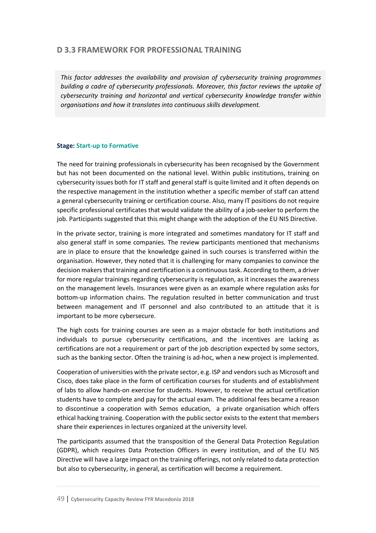# **D 3.3 FRAMEWORK FOR PROFESSIONAL TRAINING**

*This factor addresses the availability and provision of cybersecurity training programmes building a cadre of cybersecurity professionals. Moreover, this factor reviews the uptake of cybersecurity training and horizontal and vertical cybersecurity knowledge transfer within organisations and how it translates into continuous skills development.*

### **Stage: Start-up to Formative**

The need for training professionals in cybersecurity has been recognised by the Government but has not been documented on the national level. Within public institutions, training on cybersecurity issues both for IT staff and general staff is quite limited and it often depends on the respective management in the institution whether a specific member of staff can attend a general cybersecurity training or certification course. Also, many IT positions do not require specific professional certificates that would validate the ability of a job-seeker to perform the job. Participants suggested that this might change with the adoption of the EU NIS Directive.

In the private sector, training is more integrated and sometimes mandatory for IT staff and also general staff in some companies. The review participants mentioned that mechanisms are in place to ensure that the knowledge gained in such courses is transferred within the organisation. However, they noted that it is challenging for many companies to convince the decision makers that training and certification is a continuous task. According to them, a driver for more regular trainings regarding cybersecurity is regulation, as it increases the awareness on the management levels. Insurances were given as an example where regulation asks for bottom-up information chains. The regulation resulted in better communication and trust between management and IT personnel and also contributed to an attitude that it is important to be more cybersecure.

The high costs for training courses are seen as a major obstacle for both institutions and individuals to pursue cybersecurity certifications, and the incentives are lacking as certifications are not a requirement or part of the job description expected by some sectors, such as the banking sector. Often the training is ad-hoc, when a new project is implemented.

Cooperation of universities with the private sector, e.g. ISP and vendors such as Microsoft and Cisco, does take place in the form of certification courses for students and of establishment of labs to allow hands-on exercise for students. However, to receive the actual certification students have to complete and pay for the actual exam. The additional fees became a reason to discontinue a cooperation with Semos education, a private organisation which offers ethical hacking training. Cooperation with the public sector exists to the extent that members share their experiences in lectures organized at the university level.

The participants assumed that the transposition of the General Data Protection Regulation (GDPR), which requires Data Protection Officers in every institution, and of the EU NIS Directive will have a large impact on the training offerings, not only related to data protection but also to cybersecurity, in general, as certification will become a requirement.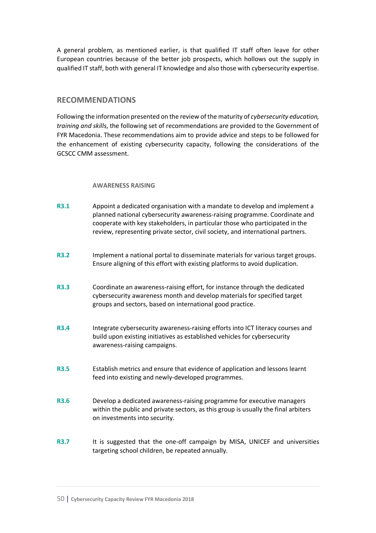A general problem, as mentioned earlier, is that qualified IT staff often leave for other European countries because of the better job prospects, which hollows out the supply in qualified IT staff, both with general IT knowledge and also those with cybersecurity expertise.

## **RECOMMENDATIONS**

Following the information presented on the review of the maturity of *cybersecurity education, training and skills*, the following set of recommendations are provided to the Government of FYR Macedonia. These recommendations aim to provide advice and steps to be followed for the enhancement of existing cybersecurity capacity, following the considerations of the GCSCC CMM assessment.

#### **AWARENESS RAISING**

- **R3.1** Appoint a dedicated organisation with a mandate to develop and implement a planned national cybersecurity awareness-raising programme. Coordinate and cooperate with key stakeholders, in particular those who participated in the review, representing private sector, civil society, and international partners.
- **R3.2** Implement a national portal to disseminate materials for various target groups. Ensure aligning of this effort with existing platforms to avoid duplication.
- **R3.3** Coordinate an awareness-raising effort, for instance through the dedicated cybersecurity awareness month and develop materials for specified target groups and sectors, based on international good practice.
- **R3.4** Integrate cybersecurity awareness-raising efforts into ICT literacy courses and build upon existing initiatives as established vehicles for cybersecurity awareness-raising campaigns.
- **R3.5** Establish metrics and ensure that evidence of application and lessons learnt feed into existing and newly-developed programmes.
- **R3.6** Develop a dedicated awareness-raising programme for executive managers within the public and private sectors, as this group is usually the final arbiters on investments into security.
- **R3.7** It is suggested that the one-off campaign by MISA, UNICEF and universities targeting school children, be repeated annually.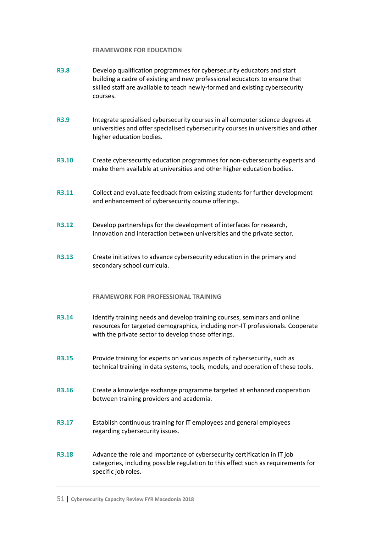#### **FRAMEWORK FOR EDUCATION**

- **R3.8** Develop qualification programmes for cybersecurity educators and start building a cadre of existing and new professional educators to ensure that skilled staff are available to teach newly-formed and existing cybersecurity courses.
- **R3.9** Integrate specialised cybersecurity courses in all computer science degrees at universities and offer specialised cybersecurity courses in universities and other higher education bodies.
- **R3.10** Create cybersecurity education programmes for non-cybersecurity experts and make them available at universities and other higher education bodies.
- **R3.11** Collect and evaluate feedback from existing students for further development and enhancement of cybersecurity course offerings.
- **R3.12** Develop partnerships for the development of interfaces for research, innovation and interaction between universities and the private sector.
- **R3.13** Create initiatives to advance cybersecurity education in the primary and secondary school curricula.

#### **FRAMEWORK FOR PROFESSIONAL TRAINING**

- **R3.14** Identify training needs and develop training courses, seminars and online resources for targeted demographics, including non-IT professionals. Cooperate with the private sector to develop those offerings.
- **R3.15** Provide training for experts on various aspects of cybersecurity, such as technical training in data systems, tools, models, and operation of these tools.
- **R3.16** Create a knowledge exchange programme targeted at enhanced cooperation between training providers and academia.
- **R3.17** Establish continuous training for IT employees and general employees regarding cybersecurity issues.
- **R3.18** Advance the role and importance of cybersecurity certification in IT job categories, including possible regulation to this effect such as requirements for specific job roles.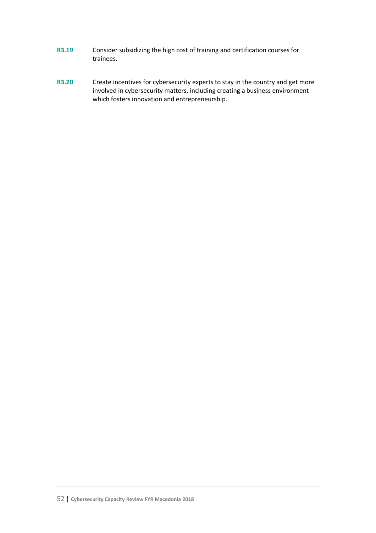- **R3.19** Consider subsidizing the high cost of training and certification courses for trainees.
- **R3.20** Create incentives for cybersecurity experts to stay in the country and get more involved in cybersecurity matters, including creating a business environment which fosters innovation and entrepreneurship.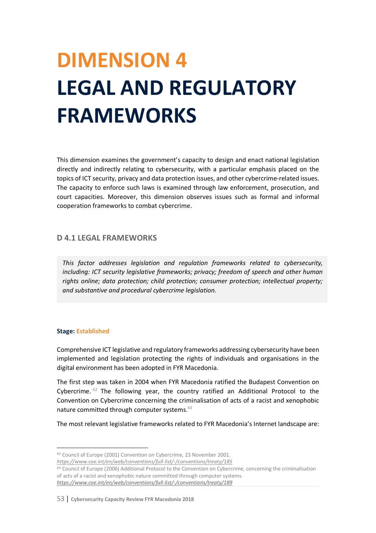# **DIMENSION 4 LEGAL AND REGULATORY FRAMEWORKS**

This dimension examines the government's capacity to design and enact national legislation directly and indirectly relating to cybersecurity, with a particular emphasis placed on the topics of ICT security, privacy and data protection issues, and other cybercrime-related issues. The capacity to enforce such laws is examined through law enforcement, prosecution, and court capacities. Moreover, this dimension observes issues such as formal and informal cooperation frameworks to combat cybercrime.

# **D 4.1 LEGAL FRAMEWORKS**

*This factor addresses legislation and regulation frameworks related to cybersecurity, including: ICT security legislative frameworks; privacy; freedom of speech and other human rights online; data protection; child protection; consumer protection; intellectual property; and substantive and procedural cybercrime legislation.* 

#### **Stage: Established**

 $\overline{a}$ 

Comprehensive ICT legislative and regulatory frameworks addressing cybersecurity have been implemented and legislation protecting the rights of individuals and organisations in the digital environment has been adopted in FYR Macedonia.

The first step was taken in 2004 when FYR Macedonia ratified the Budapest Convention on Cybercrime.  $62$  The following year, the country ratified an Additional Protocol to the Convention on Cybercrime concerning the criminalisation of acts of a racist and xenophobic nature committed through computer systems.<sup>63</sup>

The most relevant legislative frameworks related to FYR Macedonia's Internet landscape are:

*<sup>62</sup>* Council of Europe (2001) Convention on Cybercrime, 23 November 2001. *https://www.coe.int/en/web/conventions/full-list/-/conventions/treaty/185*

*<sup>63</sup>* Council of Europe (2006) Additional Protocol to the Convention on Cybercrime, concerning the criminalisation of acts of a racist and xenophobic nature committed through computer systems. *https://www.coe.int/en/web/conventions/full-list/-/conventions/treaty/189*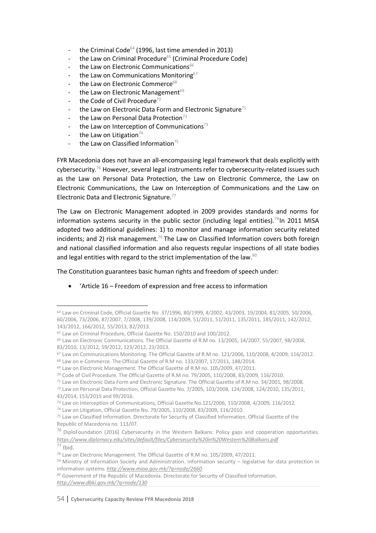- the Criminal Code $64$  (1996, last time amended in 2013)
- the Law on Criminal Procedure<sup>65</sup> (Criminal Procedure Code)
- the Law on Electronic Communications<sup>66</sup>
- the Law on Communications Monitoring<sup>67</sup>
- the Law on Electronic Commerce<sup>68</sup>
- the Law on Electronic Management<sup>69</sup>
- the Code of Civil Procedure<sup>70</sup>
- the Law on Electronic Data Form and Electronic Signature<sup>71</sup>
- the Law on Personal Data Protection<sup>72</sup>
- the Law on Interception of Communications $73$
- the Law on Litigation $74$
- the Law on Classified Information<sup>75</sup>

FYR Macedonia does not have an all-encompassing legal framework that deals explicitly with cybersecurity.76 However, several legal instruments refer to cybersecurity-related issues such as the Law on Personal Data Protection, the Law on Electronic Commerce, the Law on Electronic Communications, the Law on Interception of Communications and the Law on Electronic Data and Electronic Signature.77

The Law on Electronic Management adopted in 2009 provides standards and norms for information systems security in the public sector (including legal entities).<sup>78</sup>In 2011 MISA adopted two additional guidelines: 1) to monitor and manage information security related incidents; and 2) risk management.<sup>79</sup> The Law on Classified Information covers both foreign and national classified information and also requests regular inspections of all state bodies and legal entities with regard to the strict implementation of the law.<sup>80</sup>

The Constitution guarantees basic human rights and freedom of speech under:

• 'Article 16 – Freedom of expression and free access to information

 $\overline{\phantom{a}}$ 

*<sup>64</sup>* Law on Criminal Code, Official Gazette No .37/1996, 80/1999, 4/2002, 43/2003, 19/2004, 81/2005, 50/2006, 60/2006, 73/2006, 87/2007, 7/2008, 139/2008, 114/2009, 51/2011, 51/2011, 135/2011, 185/2011, 142/2012, 143/2012, 166/2012, 55/2013, 82/2013.

*<sup>65</sup>* Law on Criminal Procedure, Official Gazette No. 150/2010 and 100/2012.

*<sup>66</sup>* Law on Electronic Communications. The Official Gazette of R.M no. 13/2005, 14/2007, 55/2007, 98/2008, 83/2010, 13/2012, 59/2012, 123/2012, 23/2013.

*<sup>67</sup>* Law on Communications Monitoring. The Official Gazette of R.M no. 121/2006, 110/2008, 4/2009, 116/2012.

*<sup>68</sup>* Law on e-Commerce. The Official Gazette of R.M no. 133/2007, 17/2011, 188/2014.

*<sup>69</sup>* Law on Electronic Management. The Official Gazette of R.M no. 105/2009, 47/2011.

*<sup>70</sup>* Code of Civil Procedure. The Official Gazette of R.M no. 79/2005, 110/2008, 83/2009, 116/2010.

*<sup>71</sup>* Law on Electronic Data Form and Electronic Signature. The Official Gazette of R.M no. 34/2001, 98/2008. *<sup>72</sup>* Law on Personal Data Protection, Official Gazette No. 7/2005, 103/2008, 124/2008, 124/2010, 135/2011,

<sup>43/2014, 153/2015</sup> and 99/2016.

*<sup>73</sup>* Law on Interception of Communications, Official Gazette No.121/2006, 110/2008, 4/2009, 116/2012.

*<sup>74</sup>* Law on Litigation, Official Gazette No. 79/2005, 110/2008, 83/2009, 116/2010.

*<sup>75</sup>* Law on Classified Information. Directorate for Security of Classified Information. Official Gazette of the Republic of Macedonia no. 113/07.

<sup>&</sup>lt;sup>76</sup> DiploFoundation (2016) Cybersecurity in the Western Balkans: Policy gaps and cooperation opportunities. *https://www.diplomacy.edu/sites/default/files/Cybersecurity%20in%20Western%20Balkans.pdf* <sup>77</sup> Ibid.

<sup>78</sup> Law on Electronic Management. The Official Gazette of R.M no. 105/2009, 47/2011.

 $79$  Ministry of Information Society and Administration. Information security – legislative for data protection in information systems. *http://www.mioa.gov.mk/?q=node/2660*

*<sup>80</sup>* Government of the Republic of Macedonia. Directorate for Security of Classified Information. *http://www.dbki.gov.mk/?q=node/130*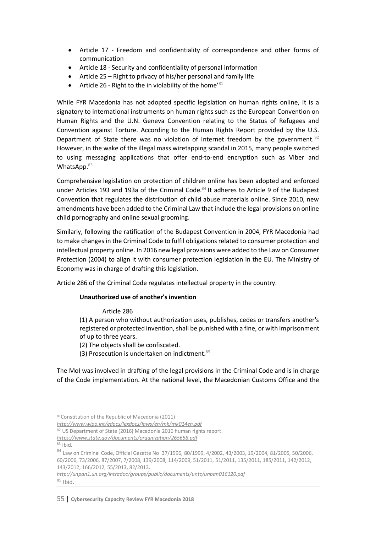- Article 17 Freedom and confidentiality of correspondence and other forms of communication
- Article 18 Security and confidentiality of personal information
- Article 25 Right to privacy of his/her personal and family life
- Article 26 Right to the in violability of the home<sup>'81</sup>

While FYR Macedonia has not adopted specific legislation on human rights online, it is a signatory to international instruments on human rights such as the European Convention on Human Rights and the U.N. Geneva Convention relating to the Status of Refugees and Convention against Torture. According to the Human Rights Report provided by the U.S. Department of State there was no violation of Internet freedom by the government.  $82$ However, in the wake of the illegal mass wiretapping scandal in 2015, many people switched to using messaging applications that offer end-to-end encryption such as Viber and WhatsApp.<sup>83</sup>

Comprehensive legislation on protection of children online has been adopted and enforced under Articles 193 and 193a of the Criminal Code.<sup>84</sup> It adheres to Article 9 of the Budapest Convention that regulates the distribution of child abuse materials online. Since 2010, new amendments have been added to the Criminal Law that include the legal provisions on online child pornography and online sexual grooming.

Similarly, following the ratification of the Budapest Convention in 2004, FYR Macedonia had to make changes in the Criminal Code to fulfil obligations related to consumer protection and intellectual property online. In 2016 new legal provisions were added to the Law on Consumer Protection (2004) to align it with consumer protection legislation in the EU. The Ministry of Economy was in charge of drafting this legislation.

Article 286 of the Criminal Code regulates intellectual property in the country.

### **Unauthorized use of another's invention**

Article 286

(1) A person who without authorization uses, publishes, cedes or transfers another's registered or protected invention, shall be punished with a fine, or with imprisonment of up to three years.

(2) The objects shall be confiscated.

(3) Prosecution is undertaken on indictment.<sup>85</sup>

The MoI was involved in drafting of the legal provisions in the Criminal Code and is in charge of the Code implementation. At the national level, the Macedonian Customs Office and the

82 US Department of State (2016) Macedonia 2016 human rights report.

 <sup>81</sup>Constitution of the Republic of Macedonia (2011)

*http://www.wipo.int/edocs/lexdocs/laws/en/mk/mk014en.pdf*

*https://www.state.gov/documents/organization/265658.pdf*

<sup>83</sup> Ibid.

<sup>84</sup> Law on Criminal Code, Official Gazette No .37/1996, 80/1999, 4/2002, 43/2003, 19/2004, 81/2005, 50/2006, 60/2006, 73/2006, 87/2007, 7/2008, 139/2008, 114/2009, 51/2011, 51/2011, 135/2011, 185/2011, 142/2012, 143/2012, 166/2012, 55/2013, 82/2013.

*http://unpan1.un.org/intradoc/groups/public/documents/untc/unpan016120.pdf*  $85$  Ibid.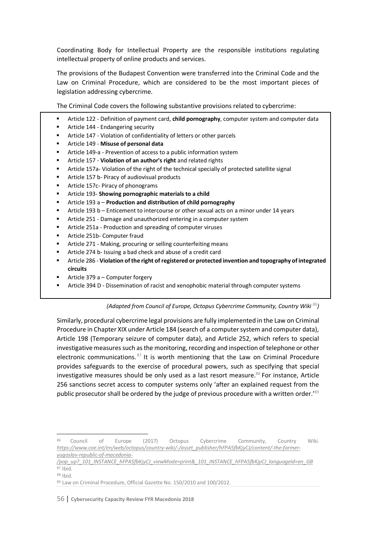Coordinating Body for Intellectual Property are the responsible institutions regulating intellectual property of online products and services.

The provisions of the Budapest Convention were transferred into the Criminal Code and the Law on Criminal Procedure, which are considered to be the most important pieces of legislation addressing cybercrime.

The Criminal Code covers the following substantive provisions related to cybercrime:

- **EXTER Article 122 Definition of payment card, child pornography**, computer system and computer data
- Article 144 Endangering security
- Article 147 Violation of confidentiality of letters or other parcels
- § Article 149 **Misuse of personal data**
- Article 149-a Prevention of access to a public information system
- § Article 157 **Violation of an author's right** and related rights
- **•** Article 157a- Violation of the right of the technical specially of protected satellite signal
- Article 157 b- Piracy of audiovisual products
- Article 157c- Piracy of phonograms
- § Article 193- **Showing pornographic materials to a child**
- § Article 193 a **Production and distribution of child pornography**
- § Article 193 b Enticement to intercourse or other sexual acts on a minor under 14 years
- Article 251 Damage and unauthorized entering in a computer system
- Article 251a Production and spreading of computer viruses
- Article 251b- Computer fraud
- Article 271 Making, procuring or selling counterfeiting means
- § Article 274 b- Issuing a bad check and abuse of a credit card
- **EXECT Article 286 Violation of the right of registered or protected invention and topography of integrated circuits**
- § Article 379 a Computer forgery
- **•** Article 394 D Dissemination of racist and xenophobic material through computer systems

#### *(Adapted from Council of Europe, Octopus Cybercrime Community, Country Wiki 86)*

Similarly, procedural cybercrime legal provisions are fully implemented in the Law on Criminal Procedure in Chapter XIX under Article 184 (search of a computer system and computer data), Article 198 (Temporary seizure of computer data), and Article 252, which refers to special investigative measures such as the monitoring, recording and inspection of telephone or other electronic communications.  $87$  It is worth mentioning that the Law on Criminal Procedure provides safeguards to the exercise of procedural powers, such as specifying that special investigative measures should be only used as a last resort measure.<sup>88</sup> For instance, Article 256 sanctions secret access to computer systems only 'after an explained request from the public prosecutor shall be ordered by the judge of previous procedure with a written order.<sup>'89</sup>

 <sup>86</sup> Council of Europe (2017) Octopus Cybercrime Community, Country Wiki. *https://www.coe.int/en/web/octopus/country-wiki/-/asset\_publisher/hFPA5fbKjyCJ/content/-the-formeryugoslav-republic-of-macedonia-*

*<sup>/</sup>pop\_up?\_101\_INSTANCE\_hFPA5fbKjyCJ\_viewMode=print&\_101\_INSTANCE\_hFPA5fbKjyCJ\_languageId=en\_GB* <sup>87</sup> Ibid.

<sup>88</sup> Ibid.

<sup>89</sup> Law on Criminal Procedure, Official Gazette No. 150/2010 and 100/2012.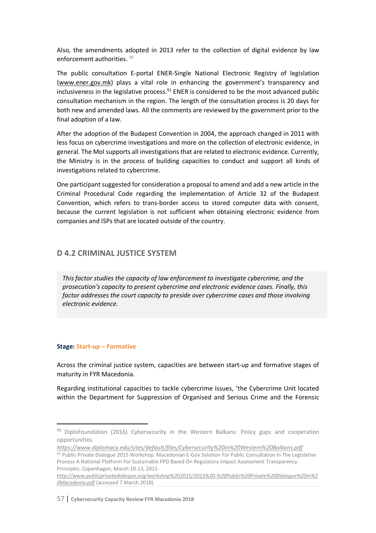Also, the amendments adopted in 2013 refer to the collection of digital evidence by law enforcement authorities. 90

The public consultation E-portal ENER-Single National Electronic Registry of legislation (www.ener.gov.mk) plays a vital role in enhancing the government's transparency and inclusiveness in the legislative process. $91$  ENER is considered to be the most advanced public consultation mechanism in the region. The length of the consultation process is 20 days for both new and amended laws. All the comments are reviewed by the government prior to the final adoption of a law.

After the adoption of the Budapest Convention in 2004, the approach changed in 2011 with less focus on cybercrime investigations and more on the collection of electronic evidence, in general. The MoI supports all investigations that are related to electronic evidence. Currently, the Ministry is in the process of building capacities to conduct and support all kinds of investigations related to cybercrime.

One participant suggested for consideration a proposal to amend and add a new article in the Criminal Procedural Code regarding the implementation of Article 32 of the Budapest Convention, which refers to trans-border access to stored computer data with consent, because the current legislation is not sufficient when obtaining electronic evidence from companies and ISPs that are located outside of the country.

## **D 4.2 CRIMINAL JUSTICE SYSTEM**

*This factor studies the capacity of law enforcement to investigate cybercrime, and the prosecution's capacity to present cybercrime and electronic evidence cases. Finally, this factor addresses the court capacity to preside over cybercrime cases and those involving electronic evidence.*

### **Stage: Start-up – Formative**

Across the criminal justice system, capacities are between start-up and formative stages of maturity in FYR Macedonia.

Regarding institutional capacities to tackle cybercrime issues, 'the Cybercrime Unit located within the Department for Suppression of Organised and Serious Crime and the Forensic

<sup>&</sup>lt;sup>90</sup> DiploFoundation (2016) Cybersecurity in the Western Balkans: Policy gaps and cooperation opportunities.

*https://www.diplomacy.edu/sites/default/files/Cybersecurity%20in%20Western%20Balkans.pdf*

*<sup>91</sup>* Public-Private Dialogue 2015 Workshop. Macedonian E-Gov Solution For Public Consultation In The Legislative Process-A National Platform For Sustainable PPD Based On Regulatory Impact Assessment Transparency Principles. Copenhagen, March 10-13, 2015.

*http://www.publicprivatedialogue.org/workshop%202015/2015%20-%20Public%20Private%20Dialogue%20in%2 0Macedonia.pdf* (accessed 7 March 2018).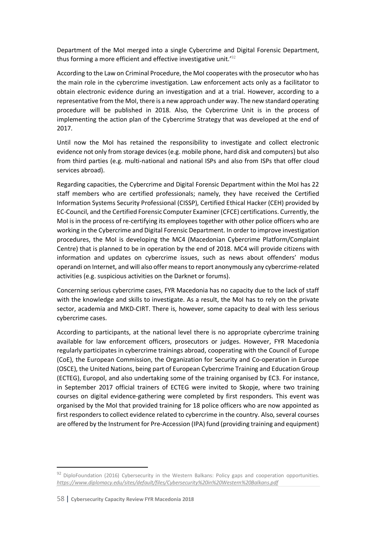Department of the MoI merged into a single Cybercrime and Digital Forensic Department, thus forming a more efficient and effective investigative unit.<sup>192</sup>

According to the Law on Criminal Procedure, the MoI cooperates with the prosecutor who has the main role in the cybercrime investigation. Law enforcement acts only as a facilitator to obtain electronic evidence during an investigation and at a trial. However, according to a representative from the MoI, there is a new approach under way. The new standard operating procedure will be published in 2018. Also, the Cybercrime Unit is in the process of implementing the action plan of the Cybercrime Strategy that was developed at the end of 2017.

Until now the MoI has retained the responsibility to investigate and collect electronic evidence not only from storage devices (e.g. mobile phone, hard disk and computers) but also from third parties (e.g. multi-national and national ISPs and also from ISPs that offer cloud services abroad).

Regarding capacities, the Cybercrime and Digital Forensic Department within the MoI has 22 staff members who are certified professionals; namely, they have received the Certified Information Systems Security Professional (CISSP), Certified Ethical Hacker (CEH) provided by EC-Council, and the Certified Forensic Computer Examiner (CFCE) certifications. Currently, the MoI is in the process of re-certifying its employees together with other police officers who are working in the Cybercrime and Digital Forensic Department. In order to improve investigation procedures, the MoI is developing the MC4 (Macedonian Cybercrime Platform/Complaint Centre) that is planned to be in operation by the end of 2018. MC4 will provide citizens with information and updates on cybercrime issues, such as news about offenders' modus operandi on Internet, and will also offer means to report anonymously any cybercrime-related activities (e.g. suspicious activities on the Darknet or forums).

Concerning serious cybercrime cases, FYR Macedonia has no capacity due to the lack of staff with the knowledge and skills to investigate. As a result, the MoI has to rely on the private sector, academia and MKD-CIRT. There is, however, some capacity to deal with less serious cybercrime cases.

According to participants, at the national level there is no appropriate cybercrime training available for law enforcement officers, prosecutors or judges. However, FYR Macedonia regularly participates in cybercrime trainings abroad, cooperating with the Council of Europe (CoE), the European Commission, the Organization for Security and Co-operation in Europe (OSCE), the United Nations, being part of European Cybercrime Training and Education Group (ECTEG), Europol, and also undertaking some of the training organised by EC3. For instance, in September 2017 official trainers of ECTEG were invited to Skopje, where two training courses on digital evidence-gathering were completed by first responders. This event was organised by the MoI that provided training for 18 police officers who are now appointed as first responders to collect evidence related to cybercrime in the country. Also, several courses are offered by the Instrument for Pre-Accession (IPA) fund (providing training and equipment)

<sup>92</sup> DiploFoundation (2016) Cybersecurity in the Western Balkans: Policy gaps and cooperation opportunities. *https://www.diplomacy.edu/sites/default/files/Cybersecurity%20in%20Western%20Balkans.pdf*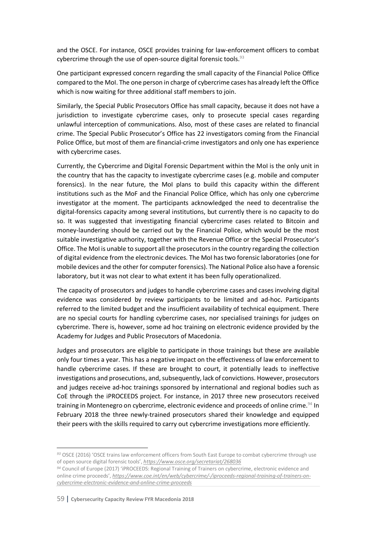and the OSCE. For instance, OSCE provides training for law-enforcement officers to combat cybercrime through the use of open-source digital forensic tools.<sup>93</sup>

One participant expressed concern regarding the small capacity of the Financial Police Office compared to the MoI. The one person in charge of cybercrime cases has already left the Office which is now waiting for three additional staff members to join.

Similarly, the Special Public Prosecutors Office has small capacity, because it does not have a jurisdiction to investigate cybercrime cases, only to prosecute special cases regarding unlawful interception of communications. Also, most of these cases are related to financial crime. The Special Public Prosecutor's Office has 22 investigators coming from the Financial Police Office, but most of them are financial-crime investigators and only one has experience with cybercrime cases.

Currently, the Cybercrime and Digital Forensic Department within the MoI is the only unit in the country that has the capacity to investigate cybercrime cases (e.g. mobile and computer forensics). In the near future, the MoI plans to build this capacity within the different institutions such as the MoF and the Financial Police Office, which has only one cybercrime investigator at the moment. The participants acknowledged the need to decentralise the digital-forensics capacity among several institutions, but currently there is no capacity to do so. It was suggested that investigating financial cybercrime cases related to Bitcoin and money-laundering should be carried out by the Financial Police, which would be the most suitable investigative authority, together with the Revenue Office or the Special Prosecutor's Office. The MoI is unable to support all the prosecutors in the country regarding the collection of digital evidence from the electronic devices. The MoI has two forensic laboratories (one for mobile devices and the other for computer forensics). The National Police also have a forensic laboratory, but it was not clear to what extent it has been fully operationalized.

The capacity of prosecutors and judges to handle cybercrime cases and cases involving digital evidence was considered by review participants to be limited and ad-hoc. Participants referred to the limited budget and the insufficient availability of technical equipment. There are no special courts for handling cybercrime cases, nor specialised trainings for judges on cybercrime. There is, however, some ad hoc training on electronic evidence provided by the Academy for Judges and Public Prosecutors of Macedonia.

Judges and prosecutors are eligible to participate in those trainings but these are available only four times a year. This has a negative impact on the effectiveness of law enforcement to handle cybercrime cases. If these are brought to court, it potentially leads to ineffective investigations and prosecutions, and, subsequently, lack of convictions. However, prosecutors and judges receive ad-hoc trainings sponsored by international and regional bodies such as CoE through the iPROCEEDS project. For instance, in 2017 three new prosecutors received training in Montenegro on cybercrime, electronic evidence and proceeds of online crime.<sup>94</sup> In February 2018 the three newly-trained prosecutors shared their knowledge and equipped their peers with the skills required to carry out cybercrime investigations more efficiently.

 $\overline{a}$ 

*<sup>93</sup>* OSCE (2016) 'OSCE trains law enforcement officers from South East Europe to combat cybercrime through use of open source digital forensic tools', *https://www.osce.org/secretariat/268036*

*<sup>94</sup>* Council of Europe (2017) 'iPROCEEDS: Regional Training of Trainers on cybercrime, electronic evidence and online crime proceeds', *https://www.coe.int/en/web/cybercrime/-/iproceeds-regional-training-of-trainers-oncybercrime-electronic-evidence-and-online-crime-proceeds*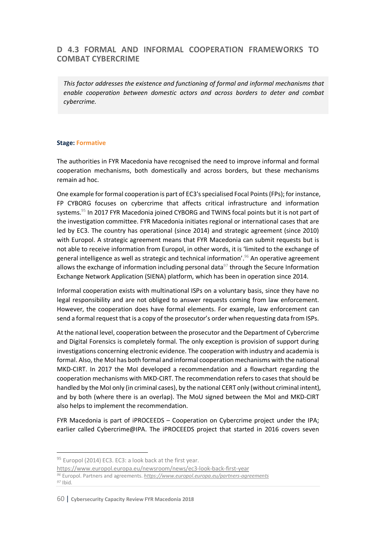# **D 4.3 FORMAL AND INFORMAL COOPERATION FRAMEWORKS TO COMBAT CYBERCRIME**

*This factor addresses the existence and functioning of formal and informal mechanisms that enable cooperation between domestic actors and across borders to deter and combat cybercrime.*

#### **Stage: Formative**

The authorities in FYR Macedonia have recognised the need to improve informal and formal cooperation mechanisms, both domestically and across borders, but these mechanisms remain ad hoc.

One example forformal cooperation is part of EC3's specialised Focal Points (FPs); for instance, FP CYBORG focuses on cybercrime that affects critical infrastructure and information systems.<sup>95</sup> In 2017 FYR Macedonia joined CYBORG and TWINS focal points but it is not part of the investigation committee. FYR Macedonia initiates regional or international cases that are led by EC3. The country has operational (since 2014) and strategic agreement (since 2010) with Europol. A strategic agreement means that FYR Macedonia can submit requests but is not able to receive information from Europol, in other words, it is 'limited to the exchange of general intelligence as well as strategic and technical information'.<sup>96</sup> An operative agreement allows the exchange of information including personal data $97$  through the Secure Information Exchange Network Application (SIENA) platform, which has been in operation since 2014.

Informal cooperation exists with multinational ISPs on a voluntary basis, since they have no legal responsibility and are not obliged to answer requests coming from law enforcement. However, the cooperation does have formal elements. For example, law enforcement can send a formal request that is a copy of the prosecutor's order when requesting data from ISPs.

Atthe national level, cooperation between the prosecutor and the Department of Cybercrime and Digital Forensics is completely formal. The only exception is provision of support during investigations concerning electronic evidence. The cooperation with industry and academia is formal. Also, the MoI has both formal and informal cooperation mechanisms with the national MKD-CIRT. In 2017 the MoI developed a recommendation and a flowchart regarding the cooperation mechanisms with MKD-CIRT. The recommendation refers to cases that should be handled by the MoI only (in criminal cases), by the national CERT only (without criminal intent), and by both (where there is an overlap). The MoU signed between the MoI and MKD-CIRT also helps to implement the recommendation.

FYR Macedonia is part of iPROCEEDS – Cooperation on Cybercrime project under the IPA; earlier called Cybercrime@IPA. The iPROCEEDS project that started in 2016 covers seven

<sup>95</sup> Europol (2014) EC3. EC3: a look back at the first year.

https://www.europol.europa.eu/newsroom/news/ec3-look-back-first-year *<sup>96</sup>* Europol. Partners and agreements. *https://www.europol.europa.eu/partners-agreements <sup>97</sup>* Ibid.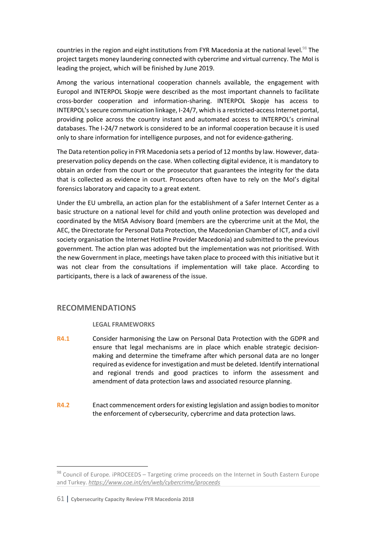countries in the region and eight institutions from FYR Macedonia at the national level.<sup>98</sup> The project targets money laundering connected with cybercrime and virtual currency. The MoI is leading the project, which will be finished by June 2019.

Among the various international cooperation channels available, the engagement with Europol and INTERPOL Skopje were described as the most important channels to facilitate cross-border cooperation and information-sharing. INTERPOL Skopje has access to INTERPOL's secure communication linkage, I-24/7, which is a restricted-access Internet portal, providing police across the country instant and automated access to INTERPOL's criminal databases. The I-24/7 network is considered to be an informal cooperation because it is used only to share information for intelligence purposes, and not for evidence-gathering.

The Data retention policy in FYR Macedonia sets a period of 12 months by law. However, datapreservation policy depends on the case. When collecting digital evidence, it is mandatory to obtain an order from the court or the prosecutor that guarantees the integrity for the data that is collected as evidence in court. Prosecutors often have to rely on the MoI's digital forensics laboratory and capacity to a great extent.

Under the EU umbrella, an action plan for the establishment of a Safer Internet Center as a basic structure on a national level for child and youth online protection was developed and coordinated by the MISA Advisory Board (members are the cybercrime unit at the MoI, the AEC, the Directorate for Personal Data Protection, the Macedonian Chamber of ICT, and a civil society organisation the Internet Hotline Provider Macedonia) and submitted to the previous government. The action plan was adopted but the implementation was not prioritised. With the new Government in place, meetings have taken place to proceed with this initiative but it was not clear from the consultations if implementation will take place. According to participants, there is a lack of awareness of the issue.

## **RECOMMENDATIONS**

#### **LEGAL FRAMEWORKS**

- **R4.1** Consider harmonising the Law on Personal Data Protection with the GDPR and ensure that legal mechanisms are in place which enable strategic decisionmaking and determine the timeframe after which personal data are no longer required as evidence for investigation and must be deleted. Identify international and regional trends and good practices to inform the assessment and amendment of data protection laws and associated resource planning.
- **R4.2** Enact commencement orders for existing legislation and assign bodies to monitor the enforcement of cybersecurity, cybercrime and data protection laws.

<sup>98</sup> Council of Europe. iPROCEEDS - Targeting crime proceeds on the Internet in South Eastern Europe and Turkey. *https://www.coe.int/en/web/cybercrime/iproceeds*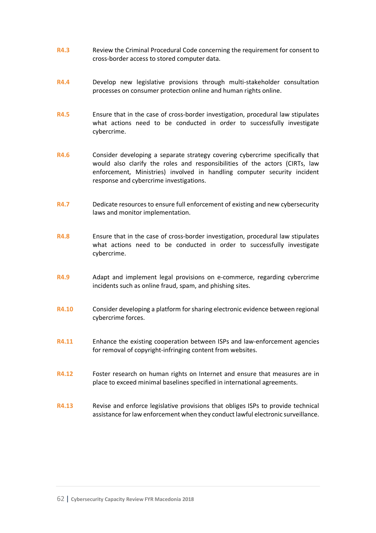- **R4.3** Review the Criminal Procedural Code concerning the requirement for consent to cross-border access to stored computer data.
- **R4.4** Develop new legislative provisions through multi-stakeholder consultation processes on consumer protection online and human rights online.
- **R4.5** Ensure that in the case of cross-border investigation, procedural law stipulates what actions need to be conducted in order to successfully investigate cybercrime.
- **R4.6** Consider developing a separate strategy covering cybercrime specifically that would also clarify the roles and responsibilities of the actors (CIRTs, law enforcement, Ministries) involved in handling computer security incident response and cybercrime investigations.
- **R4.7** Dedicate resources to ensure full enforcement of existing and new cybersecurity laws and monitor implementation.
- **R4.8** Ensure that in the case of cross-border investigation, procedural law stipulates what actions need to be conducted in order to successfully investigate cybercrime.
- **R4.9** Adapt and implement legal provisions on e-commerce, regarding cybercrime incidents such as online fraud, spam, and phishing sites.
- **R4.10** Consider developing a platform for sharing electronic evidence between regional cybercrime forces.
- **R4.11** Enhance the existing cooperation between ISPs and law-enforcement agencies for removal of copyright-infringing content from websites.
- **R4.12** Foster research on human rights on Internet and ensure that measures are in place to exceed minimal baselines specified in international agreements.
- **R4.13** Revise and enforce legislative provisions that obliges ISPs to provide technical assistance for law enforcement when they conduct lawful electronic surveillance.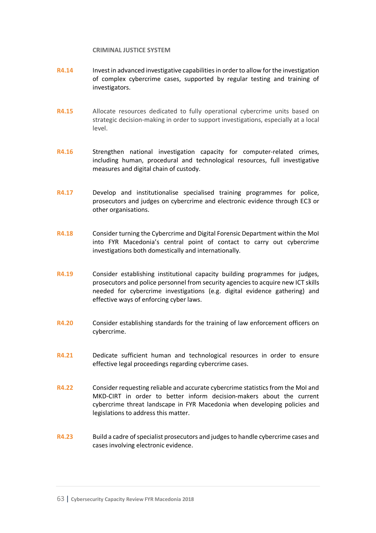#### **CRIMINAL JUSTICE SYSTEM**

- **R4.14** Invest in advanced investigative capabilities in order to allow forthe investigation of complex cybercrime cases, supported by regular testing and training of investigators.
- **R4.15** Allocate resources dedicated to fully operational cybercrime units based on strategic decision-making in order to support investigations, especially at a local level.
- **R4.16** Strengthen national investigation capacity for computer-related crimes, including human, procedural and technological resources, full investigative measures and digital chain of custody.
- **R4.17** Develop and institutionalise specialised training programmes for police, prosecutors and judges on cybercrime and electronic evidence through EC3 or other organisations.
- **R4.18** Consider turning the Cybercrime and Digital Forensic Department within the MoI into FYR Macedonia's central point of contact to carry out cybercrime investigations both domestically and internationally.
- **R4.19** Consider establishing institutional capacity building programmes for judges, prosecutors and police personnel from security agencies to acquire new ICT skills needed for cybercrime investigations (e.g. digital evidence gathering) and effective ways of enforcing cyber laws.
- **R4.20** Consider establishing standards for the training of law enforcement officers on cybercrime.
- **R4.21** Dedicate sufficient human and technological resources in order to ensure effective legal proceedings regarding cybercrime cases.
- **R4.22** Consider requesting reliable and accurate cybercrime statistics from the MoI and MKD-CIRT in order to better inform decision-makers about the current cybercrime threat landscape in FYR Macedonia when developing policies and legislations to address this matter.
- **R4.23** Build a cadre of specialist prosecutors and judges to handle cybercrime cases and cases involving electronic evidence.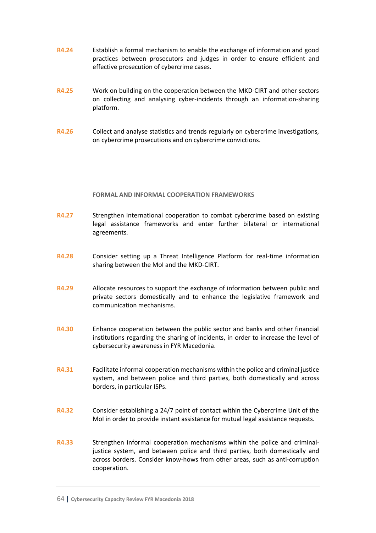- **R4.24** Establish a formal mechanism to enable the exchange of information and good practices between prosecutors and judges in order to ensure efficient and effective prosecution of cybercrime cases.
- **R4.25** Work on building on the cooperation between the MKD-CIRT and other sectors on collecting and analysing cyber-incidents through an information-sharing platform.
- **R4.26** Collect and analyse statistics and trends regularly on cybercrime investigations, on cybercrime prosecutions and on cybercrime convictions.

#### **FORMAL AND INFORMAL COOPERATION FRAMEWORKS**

- **R4.27** Strengthen international cooperation to combat cybercrime based on existing legal assistance frameworks and enter further bilateral or international agreements.
- **R4.28** Consider setting up a Threat Intelligence Platform for real-time information sharing between the MoI and the MKD-CIRT.
- **R4.29** Allocate resources to support the exchange of information between public and private sectors domestically and to enhance the legislative framework and communication mechanisms.
- **R4.30** Enhance cooperation between the public sector and banks and other financial institutions regarding the sharing of incidents, in order to increase the level of cybersecurity awareness in FYR Macedonia.
- **R4.31** Facilitate informal cooperation mechanisms within the police and criminal justice system, and between police and third parties, both domestically and across borders, in particular ISPs.
- **R4.32** Consider establishing a 24/7 point of contact within the Cybercrime Unit of the MoI in order to provide instant assistance for mutual legal assistance requests.
- **R4.33** Strengthen informal cooperation mechanisms within the police and criminaljustice system, and between police and third parties, both domestically and across borders. Consider know-hows from other areas, such as anti-corruption cooperation.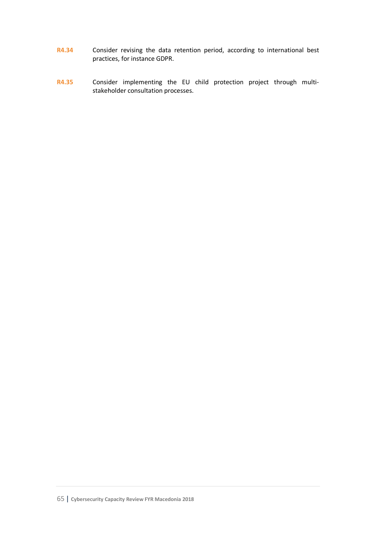- **R4.34** Consider revising the data retention period, according to international best practices, for instance GDPR.
- **R4.35** Consider implementing the EU child protection project through multistakeholder consultation processes.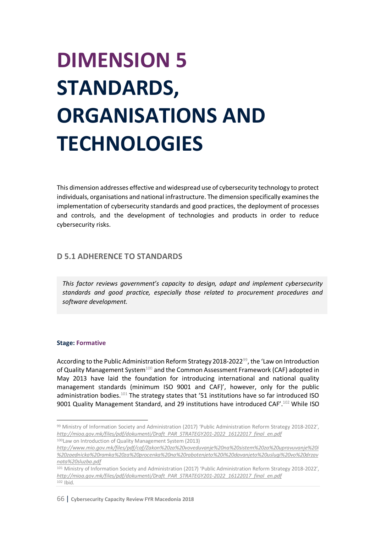# **DIMENSION 5 STANDARDS, ORGANISATIONS AND TECHNOLOGIES**

This dimension addresses effective and widespread use of cybersecurity technology to protect individuals, organisations and national infrastructure. The dimension specifically examines the implementation of cybersecurity standards and good practices, the deployment of processes and controls, and the development of technologies and products in order to reduce cybersecurity risks.

## **D 5.1 ADHERENCE TO STANDARDS**

*This factor reviews government's capacity to design, adapt and implement cybersecurity standards and good practice, especially those related to procurement procedures and software development.*

#### **Stage: Formative**

According to the Public Administration Reform Strategy 2018-2022<sup>99</sup>, the 'Law on Introduction of Quality Management System<sup>100</sup> and the Common Assessment Framework (CAF) adopted in May 2013 have laid the foundation for introducing international and national quality management standards (minimum ISO 9001 and CAF)', however, only for the public administration bodies.<sup>101</sup> The strategy states that '51 institutions have so far introduced ISO 9001 Quality Management Standard, and 29 institutions have introduced CAF'.<sup>102</sup> While ISO

 <sup>99</sup> Ministry of Information Society and Administration (2017) 'Public Administration Reform Strategy 2018-2022', *http://mioa.gov.mk/files/pdf/dokumenti/Draft\_PAR\_STRATEGY201-2022\_16122017\_final\_en.pdf* 100Law on Introduction of Quality Management System (2013)

*http://www.mio.gov.mk/files/pdf/caf/Zakon%20za%20voveduvanje%20na%20sistem%20za%20upravuvanje%20i %20zaednicka%20ramka%20za%20procenka%20na%20rabotenjeto%20i%20davanjeto%20uslugi%20vo%20drzav nata%20sluzba.pdf*

<sup>101</sup> Ministry of Information Society and Administration (2017) 'Public Administration Reform Strategy 2018-2022', *http://mioa.gov.mk/files/pdf/dokumenti/Draft\_PAR\_STRATEGY201-2022\_16122017\_final\_en.pdf* 102 Ibid.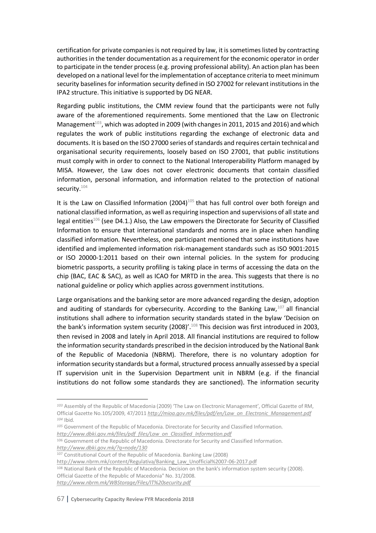certification for private companies is not required by law, it is sometimes listed by contracting authorities in the tender documentation as a requirement for the economic operator in order to participate in the tender process (e.g. proving professional ability). An action plan has been developed on a national level for the implementation of acceptance criteria to meet minimum security baselines for information security defined in ISO 27002 for relevant institutions in the IPA2 structure. This initiative is supported by DG NEAR.

Regarding public institutions, the CMM review found that the participants were not fully aware of the aforementioned requirements. Some mentioned that the Law on Electronic Management<sup>103</sup>, which was adopted in 2009 (with changes in 2011, 2015 and 2016) and which regulates the work of public institutions regarding the exchange of electronic data and documents. It is based on the ISO 27000 series of standards and requires certain technical and organisational security requirements, loosely based on ISO 27001, that public institutions must comply with in order to connect to the National Interoperability Platform managed by MISA. However, the Law does not cover electronic documents that contain classified information, personal information, and information related to the protection of national security.<sup>104</sup>

It is the Law on Classified Information  $(2004)^{105}$  that has full control over both foreign and national classified information, as well as requiring inspection and supervisions of all state and legal entities<sup>106</sup> (see D4.1.) Also, the Law empowers the Directorate for Security of Classified Information to ensure that international standards and norms are in place when handling classified information. Nevertheless, one participant mentioned that some institutions have identified and implemented information risk-management standards such as ISO 9001:2015 or ISO 20000-1:2011 based on their own internal policies. In the system for producing biometric passports, a security profiling is taking place in terms of accessing the data on the chip (BAC, EAC & SAC), as well as ICAO for MRTD in the area. This suggests that there is no national guideline or policy which applies across government institutions.

Large organisations and the banking setor are more advanced regarding the design, adoption and auditing of standards for cybersecurity. According to the Banking Law, <sup>107</sup> all financial institutions shall adhere to information security standards stated in the bylaw 'Decision on the bank's information system security (2008)'.<sup>108</sup> This decision was first introduced in 2003, then revised in 2008 and lately in April 2018. All financial institutions are required to follow the information security standards prescribed in the decision introduced by the National Bank of the Republic of Macedonia (NBRM). Therefore, there is no voluntary adoption for information security standards but a formal, structured process annually assessed by a special IT supervision unit in the Supervision Department unit in NBRM (e.g. if the financial institutions do not follow some standards they are sanctioned). The information security

l

*<sup>103</sup>* Assembly of the Republic of Macedonia (2009) 'The Law on Electronic Management', Official Gazette of RM, Official Gazette No.105/2009, 47/2011 *http://mioa.gov.mk/files/pdf/en/Law\_on\_Electronic\_Management.pdf <sup>104</sup>* Ibid.

*<sup>105</sup>* Government of the Republic of Macedonia. Directorate for Security and Classified Information. *http://www.dbki.gov.mk/files/pdf\_files/Law\_on\_Classified\_Information.pdf*

<sup>106</sup> Government of the Republic of Macedonia. Directorate for Security and Classified Information.

*http://www.dbki.gov.mk/?q=node/130*

<sup>107</sup> Constitutional Court of the Republic of Macedonia. Banking Law (2008)

http://www.nbrm.mk/content/Regulativa/Banking\_Law\_Unofficial%2007-06-2017.pdf

<sup>108</sup> National Bank of the Republic of Macedonia. Decision on the bank's information system security (2008). Official Gazette of the Republic of Macedonia" No. 31/2008. *http://www.nbrm.mk/WBStorage/Files/IT%20security.pdf*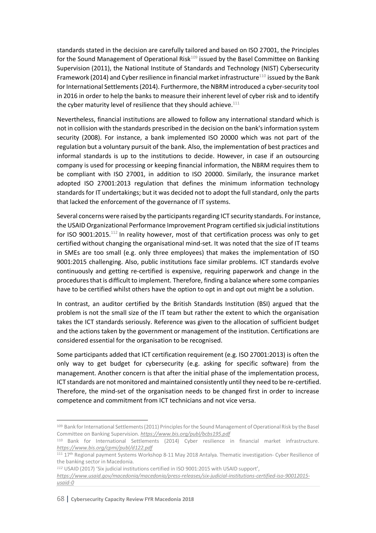standards stated in the decision are carefully tailored and based on ISO 27001, the Principles for the Sound Management of Operational Risk $109$  issued by the Basel Committee on Banking Supervision (2011), the National Institute of Standards and Technology (NIST) Cybersecurity Framework (2014) and Cyber resilience in financial market infrastructure<sup>110</sup> issued by the Bank for International Settlements (2014). Furthermore, the NBRM introduced a cyber-security tool in 2016 in order to help the banks to measure their inherent level of cyber risk and to identify the cyber maturity level of resilience that they should achieve. $111$ 

Nevertheless, financial institutions are allowed to follow any international standard which is not in collision with the standards prescribed in the decision on the bank's information system security (2008). For instance, a bank implemented ISO 20000 which was not part of the regulation but a voluntary pursuit of the bank. Also, the implementation of best practices and informal standards is up to the institutions to decide. However, in case if an outsourcing company is used for processing or keeping financial information, the NBRM requires them to be compliant with ISO 27001, in addition to ISO 20000. Similarly, the insurance market adopted ISO 27001:2013 regulation that defines the minimum information technology standards for IT undertakings; but it was decided not to adopt the full standard, only the parts that lacked the enforcement of the governance of IT systems.

Several concerns were raised by the participants regarding ICT security standards. For instance, the USAID Organizational Performance Improvement Program certified six judicial institutions for ISO 9001:2015.<sup>112</sup> In reality however, most of that certification process was only to get certified without changing the organisational mind-set. It was noted that the size of IT teams in SMEs are too small (e.g. only three employees) that makes the implementation of ISO 9001:2015 challenging. Also, public institutions face similar problems. ICT standards evolve continuously and getting re-certified is expensive, requiring paperwork and change in the procedures that is difficult to implement. Therefore, finding a balance where some companies have to be certified whilst others have the option to opt in and opt out might be a solution.

In contrast, an auditor certified by the British Standards Institution (BSI) argued that the problem is not the small size of the IT team but rather the extent to which the organisation takes the ICT standards seriously. Reference was given to the allocation of sufficient budget and the actions taken by the government or management of the institution. Certifications are considered essential for the organisation to be recognised.

Some participants added that ICT certification requirement (e.g. ISO 27001:2013) is often the only way to get budget for cybersecurity (e.g. asking for specific software) from the management. Another concern is that after the initial phase of the implementation process, ICT standards are not monitored and maintained consistently until they need to be re-certified. Therefore, the mind-set of the organisation needs to be changed first in order to increase competence and commitment from ICT technicians and not vice versa.

<sup>109</sup> Bank for International Settlements (2011) Principles for the Sound Management of Operational Risk by the Basel Committee on Banking Supervision. *https://www.bis.org/publ/bcbs195.pdf*

<sup>110</sup> Bank for International Settlements (2014) Cyber resilience in financial market infrastructure. *https://www.bis.org/cpmi/publ/d122.pdf*

<sup>111</sup> 17th Regional payment Systems Workshop 8-11 May 2018 Antalya. Thematic investigation- Cyber Resilience of the banking sector in Macedonia.

*<sup>112</sup>* USAID (2017) 'Six judicial institutions certified in ISO 9001:2015 with USAID support',

*https://www.usaid.gov/macedonia/macedonia/press-releases/six-judicial-institutions-certified-iso-90012015 usaid-0*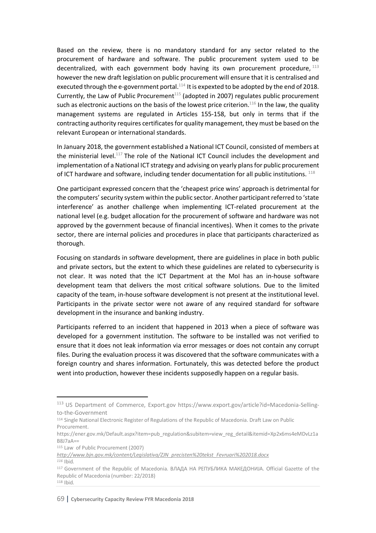Based on the review, there is no mandatory standard for any sector related to the procurement of hardware and software. The public procurement system used to be decentralized, with each government body having its own procurement procedure, 113 however the new draft legislation on public procurement will ensure that it is centralised and executed through the e-government portal. $114$  It is expexted to be adopted by the end of 2018. Currently, the Law of Public Procurement<sup> $115$ </sup> (adopted in 2007) regulates public procurement such as electronic auctions on the basis of the lowest price criterion.<sup>116</sup> In the law, the quality management systems are regulated in Articles 155-158, but only in terms that if the contracting authority requires certificates for quality management, they must be based on the relevant European or international standards.

In January 2018, the government established a National ICT Council, consisted of members at the ministerial level.<sup>117</sup> The role of the National ICT Council includes the development and implementation of a National ICT strategy and advising on yearly plans for public procurement of ICT hardware and software, including tender documentation for all public institutions.  $^{118}$ 

One participant expressed concern that the 'cheapest price wins' approach is detrimental for the computers'security system within the public sector. Another participant referred to 'state interference' as another challenge when implementing ICT-related procurement at the national level (e.g. budget allocation for the procurement of software and hardware was not approved by the government because of financial incentives). When it comes to the private sector, there are internal policies and procedures in place that participants characterized as thorough.

Focusing on standards in software development, there are guidelines in place in both public and private sectors, but the extent to which these guidelines are related to cybersecurity is not clear. It was noted that the ICT Department at the MoI has an in-house software development team that delivers the most critical software solutions. Due to the limited capacity of the team, in-house software development is not present at the institutional level. Participants in the private sector were not aware of any required standard for software development in the insurance and banking industry.

Participants referred to an incident that happened in 2013 when a piece of software was developed for a government institution. The software to be installed was not verified to ensure that it does not leak information via error messages or does not contain any corrupt files. During the evaluation process it was discovered that the software communicates with a foreign country and shares information. Fortunately, this was detected before the product went into production, however these incidents supposedly happen on a regular basis.

 <sup>113</sup> US Department of Commerce, Export.gov https://www.export.gov/article?id=Macedonia-Sellingto-the-Government

<sup>114</sup> Single National Electronic Register of Regulations of the Republic of Macedonia. Draft Law on Public Procurement.

https://ener.gov.mk/Default.aspx?item=pub\_regulation&subitem=view\_reg\_detail&itemid=Xp2x6ms4eMDvLz1a B8J7aA==<br><sup>115</sup> Law of Public Procurement (2007)

*http://www.bjn.gov.mk/content/Legislativa/ZJN\_precisten%20tekst\_Fevruari%202018.docx <sup>116</sup>* Ibid.

<sup>117</sup> Government of the Republic of Macedonia. ВЛАДА НА РЕПУБЛИКА МАКЕДОНИЈА. Official Gazette of the Republic of Macedonia (number: 22/2018) <sup>118</sup> Ibid.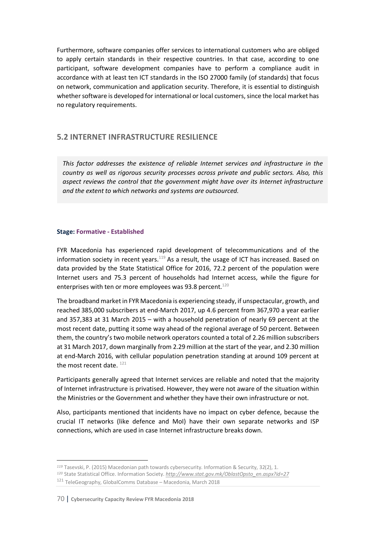Furthermore, software companies offer services to international customers who are obliged to apply certain standards in their respective countries. In that case, according to one participant, software development companies have to perform a compliance audit in accordance with at least ten ICT standards in the ISO 27000 family (of standards) that focus on network, communication and application security. Therefore, it is essential to distinguish whether software is developed for international or local customers, since the local market has no regulatory requirements.

## **5.2 INTERNET INFRASTRUCTURE RESILIENCE**

*This factor addresses the existence of reliable Internet services and infrastructure in the country as well as rigorous security processes across private and public sectors. Also, this aspect reviews the control that the government might have over its Internet infrastructure and the extent to which networks and systems are outsourced.*

#### **Stage: Formative - Established**

FYR Macedonia has experienced rapid development of telecommunications and of the information society in recent years.<sup>119</sup> As a result, the usage of ICT has increased. Based on data provided by the State Statistical Office for 2016, 72.2 percent of the population were Internet users and 75.3 percent of households had Internet access, while the figure for enterprises with ten or more employees was 93.8 percent. $^{120}$ 

The broadband market in FYR Macedonia is experiencing steady, if unspectacular, growth, and reached 385,000 subscribers at end-March 2017, up 4.6 percent from 367,970 a year earlier and 357,383 at 31 March 2015 – with a household penetration of nearly 69 percent at the most recent date, putting it some way ahead of the regional average of 50 percent. Between them, the country's two mobile network operators counted a total of 2.26 million subscribers at 31 March 2017, down marginally from 2.29 million at the start of the year, and 2.30 million at end-March 2016, with cellular population penetration standing at around 109 percent at the most recent date.  $121$ 

Participants generally agreed that Internet services are reliable and noted that the majority of Internet infrastructure is privatised. However, they were not aware of the situation within the Ministries or the Government and whether they have their own infrastructure or not.

Also, participants mentioned that incidents have no impact on cyber defence, because the crucial IT networks (like defence and MoI) have their own separate networks and ISP connections, which are used in case Internet infrastructure breaks down.

 $\overline{\phantom{a}}$ *<sup>119</sup>* Tasevski, P. (2015) Macedonian path towards cybersecurity. Information & Security, 32(2), 1. *<sup>120</sup>* State Statistical Office. Information Society. *http://www.stat.gov.mk/OblastOpsto\_en.aspx?id=27* <sup>121</sup> TeleGeography, GlobalComms Database – Macedonia, March 2018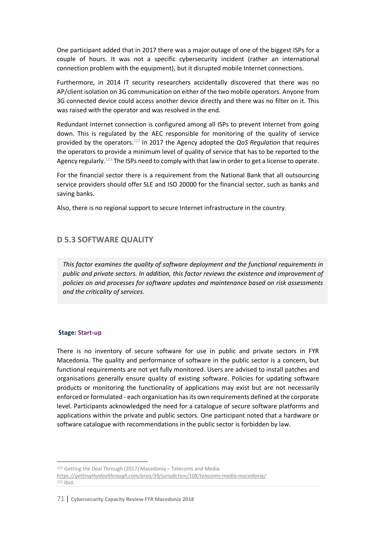One participant added that in 2017 there was a major outage of one of the biggest ISPs for a couple of hours. It was not a specific cybersecurity incident (rather an international connection problem with the equipment), but it disrupted mobile Internet connections.

Furthermore, in 2014 IT security researchers accidentally discovered that there was no AP/client isolation on 3G communication on either of the two mobile operators. Anyone from 3G connected device could access another device directly and there was no filter on it. This was raised with the operator and was resolved in the end.

Redundant Internet connection is configured among all ISPs to prevent Internet from going down. This is regulated by the AEC responsible for monitoring of the quality of service provided by the operators.122 In 2017 the Agency adopted the *QoS Regulation* that requires the operators to provide a minimum level of quality of service that has to be reported to the Agency regularly.<sup>123</sup> The ISPs need to comply with that law in order to get a license to operate.

For the financial sector there is a requirement from the National Bank that all outsourcing service providers should offer SLE and ISO 20000 for the financial sector, such as banks and saving banks.

Also, there is no regional support to secure Internet infrastructure in the country.

# **D 5.3 SOFTWARE QUALITY**

*This factor examines the quality of software deployment and the functional requirements in public and private sectors. In addition, this factor reviews the existence and improvement of policies on and processes for software updates and maintenance based on risk assessments and the criticality of services.*

#### **Stage: Start-up**

l

There is no inventory of secure software for use in public and private sectors in FYR Macedonia. The quality and performance of software in the public sector is a concern, but functional requirements are not yet fully monitored. Users are advised to install patches and organisations generally ensure quality of existing software. Policies for updating software products or monitoring the functionality of applications may exist but are not necessarily enforced or formulated - each organisation has its own requirements defined at the corporate level. Participants acknowledged the need for a catalogue of secure software platforms and applications within the private and public sectors. One participant noted that a hardware or software catalogue with recommendations in the public sector is forbidden by law.

*<sup>122</sup>* Getting the Deal Through (2017) Macedonia – Telecoms and Media. *https://gettingthedealthrough.com/area/39/jurisdiction/108/telecoms-media-macedonia/ <sup>123</sup>* Ibid.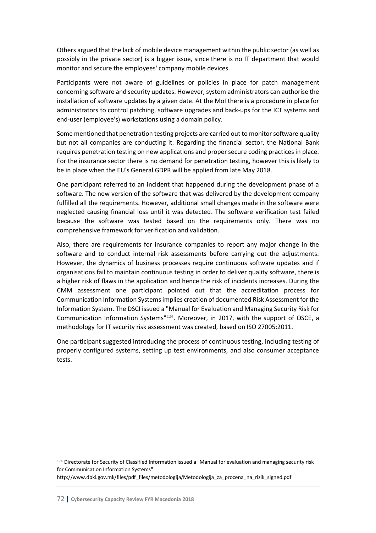Others argued that the lack of mobile device management within the public sector (as well as possibly in the private sector) is a bigger issue, since there is no IT department that would monitor and secure the employees' company mobile devices.

Participants were not aware of guidelines or policies in place for patch management concerning software and security updates. However, system administrators can authorise the installation of software updates by a given date. At the MoI there is a procedure in place for administrators to control patching, software upgrades and back-ups for the ICT systems and end-user (employee's) workstations using a domain policy.

Some mentioned that penetration testing projects are carried out to monitor software quality but not all companies are conducting it. Regarding the financial sector, the National Bank requires penetration testing on new applications and proper secure coding practices in place. For the insurance sector there is no demand for penetration testing, however this is likely to be in place when the EU's General GDPR will be applied from late May 2018.

One participant referred to an incident that happened during the development phase of a software. The new version of the software that was delivered by the development company fulfilled all the requirements. However, additional small changes made in the software were neglected causing financial loss until it was detected. The software verification test failed because the software was tested based on the requirements only. There was no comprehensive framework for verification and validation.

Also, there are requirements for insurance companies to report any major change in the software and to conduct internal risk assessments before carrying out the adjustments. However, the dynamics of business processes require continuous software updates and if organisations fail to maintain continuous testing in order to deliver quality software, there is a higher risk of flaws in the application and hence the risk of incidents increases. During the CMM assessment one participant pointed out that the accreditation process for Communication Information Systems implies creation of documented Risk Assessment for the Information System. The DSCI issued a "Manual for Evaluation and Managing Security Risk for Communication Information Systems"124. Moreover, in 2017, with the support of OSCE, a methodology for IT security risk assessment was created, based on ISO 27005:2011.

One participant suggested introducing the process of continuous testing, including testing of properly configured systems, setting up test environments, and also consumer acceptance tests.

 <sup>124</sup> Directorate for Security of Classified Information issued a "Manual for evaluation and managing security risk for Communication Information Systems"

http://www.dbki.gov.mk/files/pdf\_files/metodologija/Metodologija\_za\_procena\_na\_rizik\_signed.pdf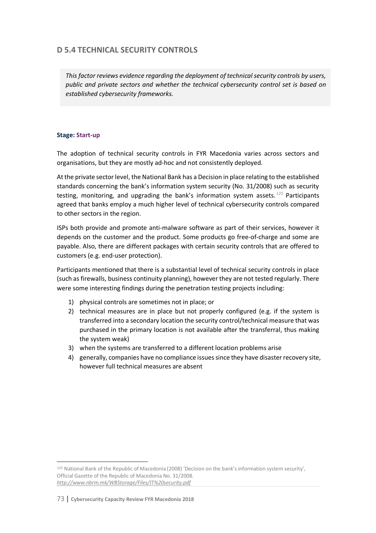# **D 5.4 TECHNICAL SECURITY CONTROLS**

*This factor reviews evidence regarding the deployment of technical security controls by users, public and private sectors and whether the technical cybersecurity control set is based on established cybersecurity frameworks.*

### **Stage: Start-up**

The adoption of technical security controls in FYR Macedonia varies across sectors and organisations, but they are mostly ad-hoc and not consistently deployed.

At the private sector level, the National Bank has a Decision in place relating to the established standards concerning the bank's information system security (No. 31/2008) such as security testing, monitoring, and upgrading the bank's information system assets.  $125$  Participants agreed that banks employ a much higher level of technical cybersecurity controls compared to other sectors in the region.

ISPs both provide and promote anti-malware software as part of their services, however it depends on the customer and the product. Some products go free-of-charge and some are payable. Also, there are different packages with certain security controls that are offered to customers (e.g. end-user protection).

Participants mentioned that there is a substantial level of technical security controls in place (such as firewalls, business continuity planning), however they are not tested regularly. There were some interesting findings during the penetration testing projects including:

- 1) physical controls are sometimes not in place; or
- 2) technical measures are in place but not properly configured (e.g. if the system is transferred into a secondary location the security control/technical measure that was purchased in the primary location is not available after the transferral, thus making the system weak)
- 3) when the systems are transferred to a different location problems arise
- 4) generally, companies have no compliance issuessince they have disaster recovery site, however full technical measures are absent

l *<sup>125</sup>* National Bank of the Republic of Macedonia (2008) 'Decision on the bank's information system security', Official Gazette of the Republic of Macedonia No. 31/2008. *http://www.nbrm.mk/WBStorage/Files/IT%20security.pdf*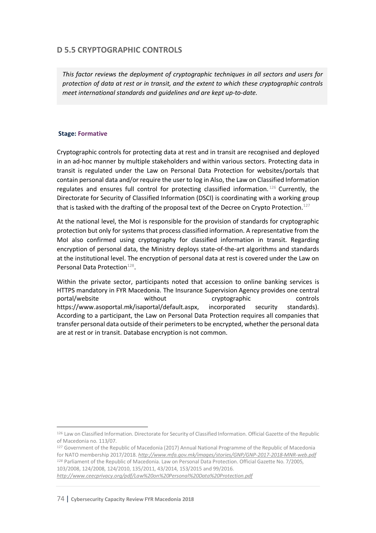# **D 5.5 CRYPTOGRAPHIC CONTROLS**

*This factor reviews the deployment of cryptographic techniques in all sectors and users for protection of data at rest or in transit, and the extent to which these cryptographic controls meet international standards and guidelines and are kept up-to-date.*

### **Stage: Formative**

Cryptographic controls for protecting data at rest and in transit are recognised and deployed in an ad-hoc manner by multiple stakeholders and within various sectors. Protecting data in transit is regulated under the Law on Personal Data Protection for websites/portals that contain personal data and/or require the user to log in Also, the Law on Classified Information regulates and ensures full control for protecting classified information.<sup>126</sup> Currently, the Directorate for Security of Classified Information (DSCI) is coordinating with a working group that is tasked with the drafting of the proposal text of the Decree on Crypto Protection.<sup>127</sup>

At the national level, the MoI is responsible for the provision of standards for cryptographic protection but only for systems that process classified information. A representative from the MoI also confirmed using cryptography for classified information in transit. Regarding encryption of personal data, the Ministry deploys state-of-the-art algorithms and standards at the institutional level. The encryption of personal data at rest is covered under the Law on Personal Data Protection<sup>128</sup>.

Within the private sector, participants noted that accession to online banking services is HTTPS mandatory in FYR Macedonia. The Insurance Supervision Agency provides one central portal/website without cryptographic controls https://www.asoportal.mk/isaportal/default.aspx, incorporated security standards). According to a participant, the Law on Personal Data Protection requires all companies that transfer personal data outside of their perimeters to be encrypted, whether the personal data are at rest or in transit. Database encryption is not common.

74 | **Cybersecurity Capacity Review FYR Macedonia 2018**

 <sup>126</sup> Law on Classified Information. Directorate for Security of Classified Information. Official Gazette of the Republic of Macedonia no. 113/07.

<sup>&</sup>lt;sup>127</sup> Government of the Republic of Macedonia (2017) Annual National Programme of the Republic of Macedonia for NATO membership 2017/2018. *http://www.mfa.gov.mk/images/stories/GNP/GNP-2017-2018-MNR-web.pdf <sup>128</sup>* Parliament of the Republic of Macedonia. Law on Personal Data Protection. Official Gazette No. 7/2005, 103/2008, 124/2008, 124/2010, 135/2011, 43/2014, 153/2015 and 99/2016. *http://www.ceecprivacy.org/pdf/Law%20on%20Personal%20Data%20Protection.pdf*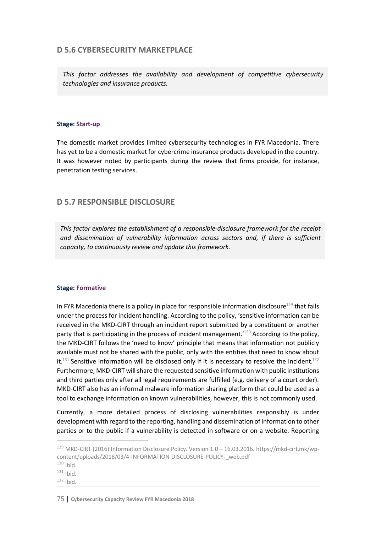## **D 5.6 CYBERSECURITY MARKETPLACE**

*This factor addresses the availability and development of competitive cybersecurity technologies and insurance products.*

### **Stage: Start-up**

The domestic market provides limited cybersecurity technologies in FYR Macedonia. There has yet to be a domestic market for cybercrime insurance products developed in the country. It was however noted by participants during the review that firms provide, for instance, penetration testing services.

## **D 5.7 RESPONSIBLE DISCLOSURE**

*This factor explores the establishment of a responsible-disclosure framework for the receipt and dissemination of vulnerability information across sectors and, if there is sufficient capacity, to continuously review and update this framework.*

### **Stage: Formative**

In FYR Macedonia there is a policy in place for responsible information disclosure $129$  that falls under the process for incident handling. According to the policy, 'sensitive information can be received in the MKD-CIRT through an incident report submitted by a constituent or another party that is participating in the process of incident management.<sup>'130</sup> According to the policy, the MKD-CIRT follows the 'need to know' principle that means that information not publicly available must not be shared with the public, only with the entities that need to know about it.<sup>131</sup> Sensitive information will be disclosed only if it is necessary to resolve the incident.<sup>132</sup> Furthermore, MKD-CIRT will share the requested sensitive information with public institutions and third parties only after all legal requirements are fulfilled (e.g. delivery of a court order). MKD-CIRT also has an informal malware information sharing platform that could be used as a tool to exchange information on known vulnerabilities, however, this is not commonly used.

Currently, a more detailed process of disclosing vulnerabilities responsibly is under development with regard to the reporting, handling and dissemination of information to other parties or to the public if a vulnerability is detected in software or on a website. Reporting

 <sup>129</sup> MKD-CIRT (2016) Information Disclosure Policy. Version 1.0 – 16.03.2016. https://mkd-cirt.mk/wpcontent/uploads/2018/03/4-INFORMATION-DISCLOSURE-POLICY-\_web.pdf

 $130$  Ibid.

 $131$  Ibid.

 $132$  Ibid.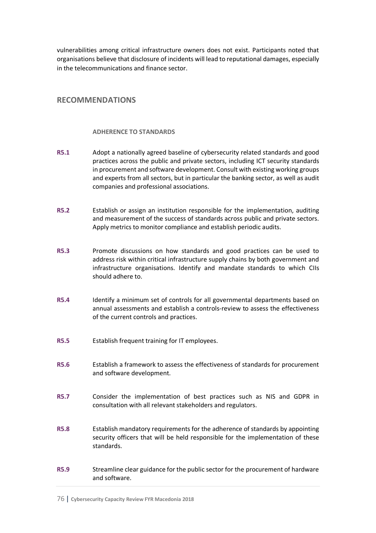vulnerabilities among critical infrastructure owners does not exist. Participants noted that organisations believe that disclosure of incidents will lead to reputational damages, especially in the telecommunications and finance sector.

## **RECOMMENDATIONS**

#### **ADHERENCE TO STANDARDS**

- **R5.1** Adopt a nationally agreed baseline of cybersecurity related standards and good practices across the public and private sectors, including ICT security standards in procurement and software development. Consult with existing working groups and experts from all sectors, but in particular the banking sector, as well as audit companies and professional associations.
- **R5.2** Establish or assign an institution responsible for the implementation, auditing and measurement of the success of standards across public and private sectors. Apply metrics to monitor compliance and establish periodic audits.
- **R5.3** Promote discussions on how standards and good practices can be used to address risk within critical infrastructure supply chains by both government and infrastructure organisations. Identify and mandate standards to which CIIs should adhere to.
- **R5.4** Identify a minimum set of controls for all governmental departments based on annual assessments and establish a controls-review to assess the effectiveness of the current controls and practices.
- **R5.5** Establish frequent training for IT employees.
- **R5.6** Establish a framework to assess the effectiveness of standards for procurement and software development.
- **R5.7** Consider the implementation of best practices such as NIS and GDPR in consultation with all relevant stakeholders and regulators.
- **R5.8** Establish mandatory requirements for the adherence of standards by appointing security officers that will be held responsible for the implementation of these standards.
- **R5.9** Streamline clear guidance for the public sector for the procurement of hardware and software.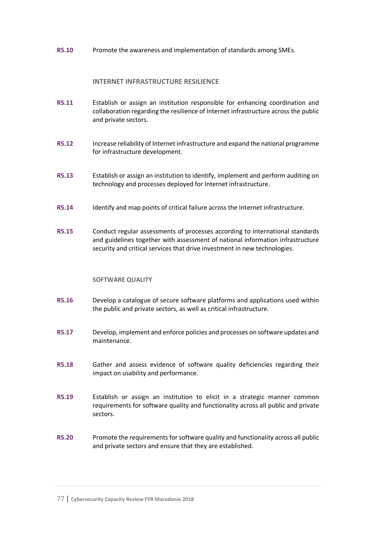**R5.10** Promote the awareness and implementation of standards among SMEs.

#### **INTERNET INFRASTRUCTURE RESILIENCE**

- **R5.11** Establish or assign an institution responsible for enhancing coordination and collaboration regarding the resilience of Internet infrastructure across the public and private sectors.
- **R5.12** Increase reliability of Internet infrastructure and expand the national programme for infrastructure development.
- **R5.13** Establish or assign an institution to identify, implement and perform auditing on technology and processes deployed for Internet infrastructure.
- **R5.14** Identify and map points of critical failure across the Internet infrastructure.
- **R5.15** Conduct regular assessments of processes according to international standards and guidelines together with assessment of national information infrastructure security and critical services that drive investment in new technologies.

#### **SOFTWARE QUALITY**

- **R5.16** Develop a catalogue of secure software platforms and applications used within the public and private sectors, as well as critical infrastructure.
- **R5.17** Develop, implement and enforce policies and processes on software updates and maintenance.
- **R5.18** Gather and assess evidence of software quality deficiencies regarding their impact on usability and performance.
- **R5.19** Establish or assign an institution to elicit in a strategic manner common requirements for software quality and functionality across all public and private sectors.
- **R5.20** Promote the requirements for software quality and functionality across all public and private sectors and ensure that they are established.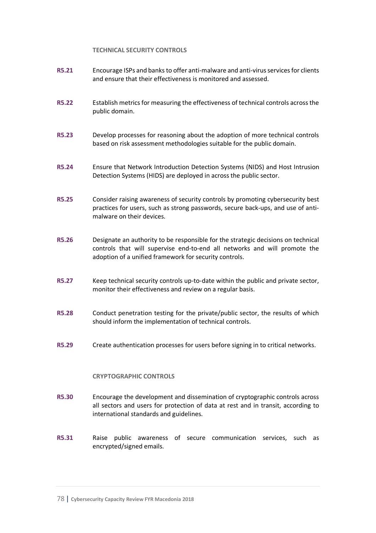#### **TECHNICAL SECURITY CONTROLS**

- **R5.21** Encourage ISPs and banks to offer anti-malware and anti-virus servicesfor clients and ensure that their effectiveness is monitored and assessed.
- **R5.22** Establish metrics for measuring the effectiveness of technical controls across the public domain.
- **R5.23** Develop processes for reasoning about the adoption of more technical controls based on risk assessment methodologies suitable for the public domain.
- **R5.24** Ensure that Network Introduction Detection Systems (NIDS) and Host Intrusion Detection Systems (HIDS) are deployed in across the public sector.
- **R5.25** Consider raising awareness of security controls by promoting cybersecurity best practices for users, such as strong passwords, secure back-ups, and use of antimalware on their devices.
- **R5.26** Designate an authority to be responsible for the strategic decisions on technical controls that will supervise end-to-end all networks and will promote the adoption of a unified framework for security controls.
- **R5.27** Keep technical security controls up-to-date within the public and private sector, monitor their effectiveness and review on a regular basis.
- **R5.28** Conduct penetration testing for the private/public sector, the results of which should inform the implementation of technical controls.
- **R5.29** Create authentication processes for users before signing in to critical networks.

#### **CRYPTOGRAPHIC CONTROLS**

- **R5.30** Encourage the development and dissemination of cryptographic controls across all sectors and users for protection of data at rest and in transit, according to international standards and guidelines.
- **R5.31** Raise public awareness of secure communication services, such as encrypted/signed emails.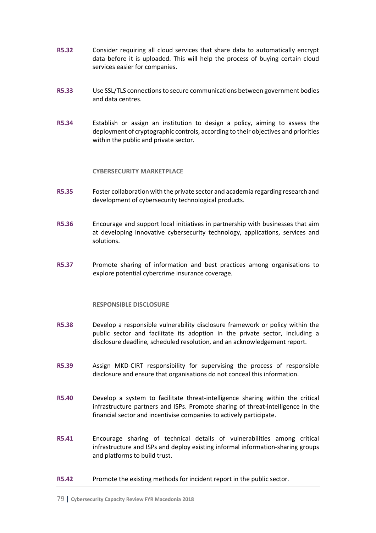- **R5.32** Consider requiring all cloud services that share data to automatically encrypt data before it is uploaded. This will help the process of buying certain cloud services easier for companies.
- **R5.33** Use SSL/TLS connections to secure communications between government bodies and data centres.
- **R5.34** Establish or assign an institution to design a policy, aiming to assess the deployment of cryptographic controls, according to their objectives and priorities within the public and private sector.

#### **CYBERSECURITY MARKETPLACE**

- **R5.35** Foster collaboration with the private sector and academia regarding research and development of cybersecurity technological products.
- **R5.36** Encourage and support local initiatives in partnership with businesses that aim at developing innovative cybersecurity technology, applications, services and solutions.
- **R5.37** Promote sharing of information and best practices among organisations to explore potential cybercrime insurance coverage.

#### **RESPONSIBLE DISCLOSURE**

- **R5.38** Develop a responsible vulnerability disclosure framework or policy within the public sector and facilitate its adoption in the private sector, including a disclosure deadline, scheduled resolution, and an acknowledgement report.
- **R5.39** Assign MKD-CIRT responsibility for supervising the process of responsible disclosure and ensure that organisations do not conceal this information.
- **R5.40** Develop a system to facilitate threat-intelligence sharing within the critical infrastructure partners and ISPs. Promote sharing of threat-intelligence in the financial sector and incentivise companies to actively participate.
- **R5.41** Encourage sharing of technical details of vulnerabilities among critical infrastructure and ISPs and deploy existing informal information-sharing groups and platforms to build trust.
- **R5.42** Promote the existing methods for incident report in the public sector.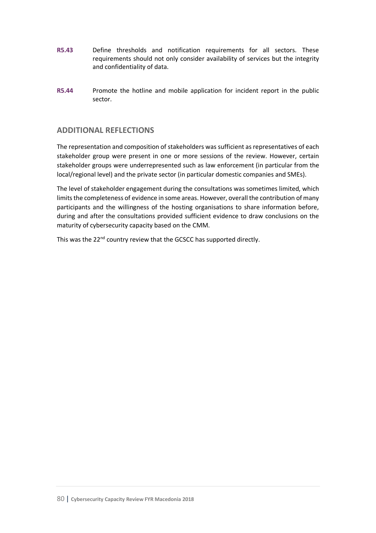- **R5.43** Define thresholds and notification requirements for all sectors. These requirements should not only consider availability of services but the integrity and confidentiality of data.
- **R5.44** Promote the hotline and mobile application for incident report in the public sector.

## **ADDITIONAL REFLECTIONS**

The representation and composition of stakeholders was sufficient as representatives of each stakeholder group were present in one or more sessions of the review. However, certain stakeholder groups were underrepresented such as law enforcement (in particular from the local/regional level) and the private sector (in particular domestic companies and SMEs).

The level of stakeholder engagement during the consultations was sometimes limited, which limits the completeness of evidence in some areas. However, overall the contribution of many participants and the willingness of the hosting organisations to share information before, during and after the consultations provided sufficient evidence to draw conclusions on the maturity of cybersecurity capacity based on the CMM.

This was the 22<sup>nd</sup> country review that the GCSCC has supported directly.